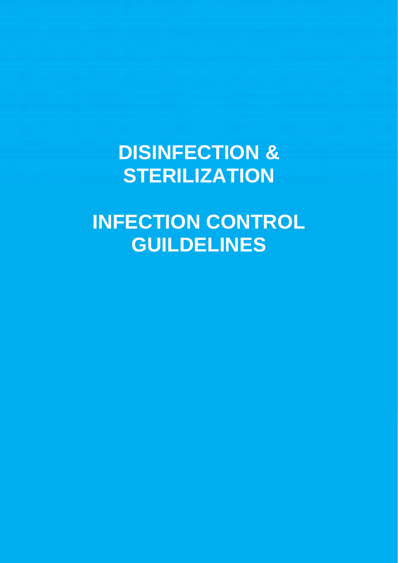# **DISINFECTION & STERILIZATION**

# **INFECTION CONTROL GUILDELINES**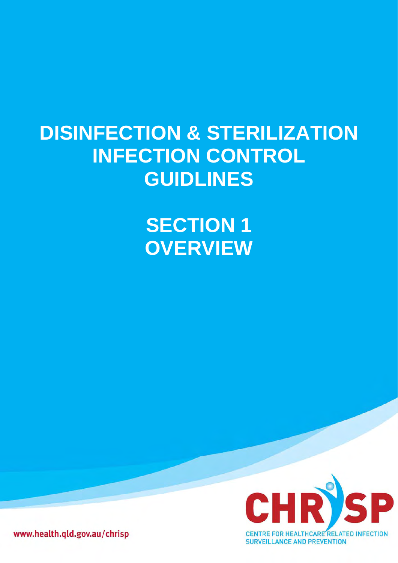# **DISINFECTION & STERILIZATION INFECTION CONTROL GUIDLINES**

**SECTION 1 OVERVIEW**



www.health.qld.gov.au/chrisp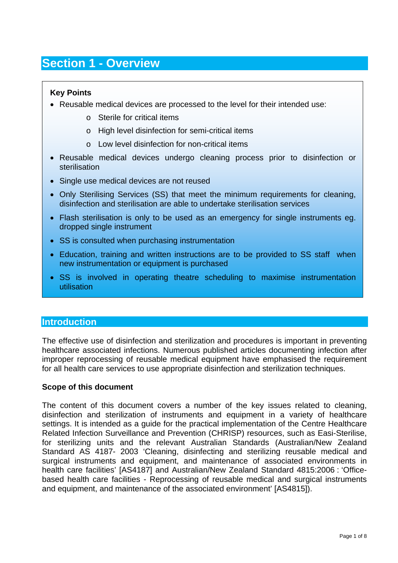# **Section 1 - Overview**

### **Key Points**

- Reusable medical devices are processed to the level for their intended use:
	- o Sterile for critical items
	- o High level disinfection for semi-critical items
	- o Low level disinfection for non-critical items
- Reusable medical devices undergo cleaning process prior to disinfection or sterilisation
- Single use medical devices are not reused
- Only Sterilising Services (SS) that meet the minimum requirements for cleaning, disinfection and sterilisation are able to undertake sterilisation services
- Flash sterilisation is only to be used as an emergency for single instruments eg. dropped single instrument
- SS is consulted when purchasing instrumentation
- Education, training and written instructions are to be provided to SS staff when new instrumentation or equipment is purchased
- SS is involved in operating theatre scheduling to maximise instrumentation utilisation

#### **Introduction**

The effective use of disinfection and sterilization and procedures is important in preventing healthcare associated infections. Numerous published articles documenting infection after improper reprocessing of reusable medical equipment have emphasised the requirement for all health care services to use appropriate disinfection and sterilization techniques.

#### **Scope of this document**

The content of this document covers a number of the key issues related to cleaning, disinfection and sterilization of instruments and equipment in a variety of healthcare settings. It is intended as a guide for the practical implementation of the Centre Healthcare Related Infection Surveillance and Prevention (CHRISP) resources, such as Easi-Sterilise, for sterilizing units and the relevant Australian Standards (Australian/New Zealand Standard AS 4187- 2003 'Cleaning, disinfecting and sterilizing reusable medical and surgical instruments and equipment, and maintenance of associated environments in health care facilities' [AS4187] and Australian/New Zealand Standard 4815:2006 : 'Officebased health care facilities - Reprocessing of reusable medical and surgical instruments and equipment, and maintenance of the associated environment' [AS4815]).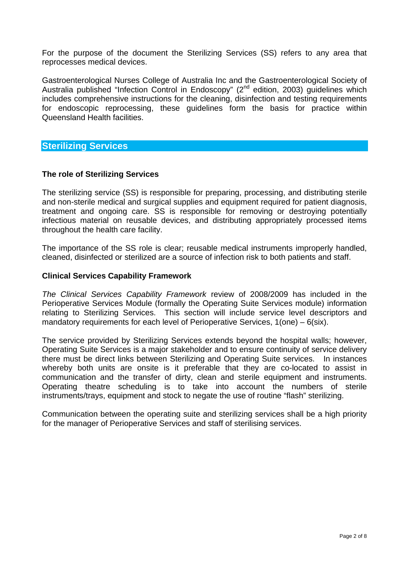For the purpose of the document the Sterilizing Services (SS) refers to any area that reprocesses medical devices.

Gastroenterological Nurses College of Australia Inc and the Gastroenterological Society of Australia published "Infection Control in Endoscopy" (2<sup>nd</sup> edition, 2003) guidelines which includes comprehensive instructions for the cleaning, disinfection and testing requirements for endoscopic reprocessing, these guidelines form the basis for practice within Queensland Health facilities.

# **Sterilizing Services**

#### **The role of Sterilizing Services**

The sterilizing service (SS) is responsible for preparing, processing, and distributing sterile and non-sterile medical and surgical supplies and equipment required for patient diagnosis, treatment and ongoing care. SS is responsible for removing or destroying potentially infectious material on reusable devices, and distributing appropriately processed items throughout the health care facility.

The importance of the SS role is clear; reusable medical instruments improperly handled, cleaned, disinfected or sterilized are a source of infection risk to both patients and staff.

#### **Clinical Services Capability Framework**

*The Clinical Services Capability Framework* review of 2008/2009 has included in the Perioperative Services Module (formally the Operating Suite Services module) information relating to Sterilizing Services. This section will include service level descriptors and mandatory requirements for each level of Perioperative Services, 1(one) – 6(six).

The service provided by Sterilizing Services extends beyond the hospital walls; however, Operating Suite Services is a major stakeholder and to ensure continuity of service delivery there must be direct links between Sterilizing and Operating Suite services. In instances whereby both units are onsite is it preferable that they are co-located to assist in communication and the transfer of dirty, clean and sterile equipment and instruments. Operating theatre scheduling is to take into account the numbers of sterile instruments/trays, equipment and stock to negate the use of routine "flash" sterilizing.

Communication between the operating suite and sterilizing services shall be a high priority for the manager of Perioperative Services and staff of sterilising services.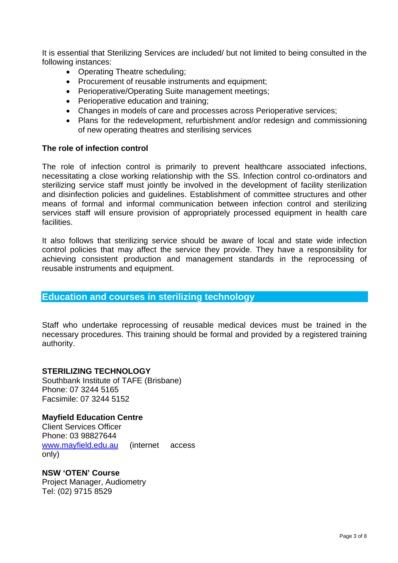It is essential that Sterilizing Services are included/ but not limited to being consulted in the following instances:

- Operating Theatre scheduling;
- Procurement of reusable instruments and equipment;
- Perioperative/Operating Suite management meetings;
- Perioperative education and training;
- Changes in models of care and processes across Perioperative services;
- Plans for the redevelopment, refurbishment and/or redesign and commissioning of new operating theatres and sterilising services

#### **The role of infection control**

The role of infection control is primarily to prevent healthcare associated infections, necessitating a close working relationship with the SS. Infection control co-ordinators and sterilizing service staff must jointly be involved in the development of facility sterilization and disinfection policies and guidelines. Establishment of committee structures and other means of formal and informal communication between infection control and sterilizing services staff will ensure provision of appropriately processed equipment in health care facilities.

It also follows that sterilizing service should be aware of local and state wide infection control policies that may affect the service they provide. They have a responsibility for achieving consistent production and management standards in the reprocessing of reusable instruments and equipment.

#### **Education and courses in sterilizing technology**

Staff who undertake reprocessing of reusable medical devices must be trained in the necessary procedures. This training should be formal and provided by a registered training authority.

#### **STERILIZING TECHNOLOGY**

Southbank Institute of TAFE (Brisbane) Phone: 07 3244 5165 Facsimile: 07 3244 5152

#### **Mayfield Education Centre**

Client Services Officer Phone: 03 98827644 [www.mayfield.edu.au](http://www.mayfield.edu.au/) (internet access only)

**NSW 'OTEN' Course**  Project Manager, Audiometry Tel: (02) 9715 8529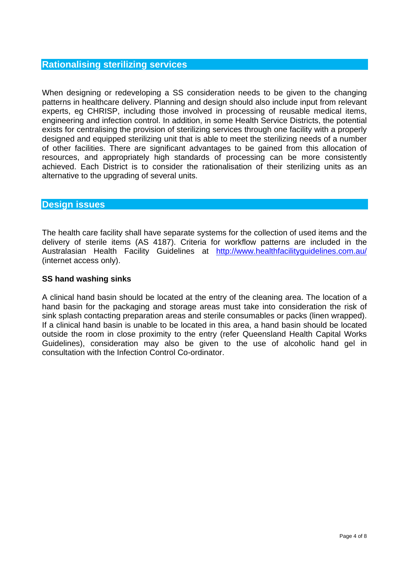When designing or redeveloping a SS consideration needs to be given to the changing patterns in healthcare delivery. Planning and design should also include input from relevant experts, eg CHRISP, including those involved in processing of reusable medical items, engineering and infection control. In addition, in some Health Service Districts, the potential exists for centralising the provision of sterilizing services through one facility with a properly designed and equipped sterilizing unit that is able to meet the sterilizing needs of a number of other facilities. There are significant advantages to be gained from this allocation of resources, and appropriately high standards of processing can be more consistently achieved. Each District is to consider the rationalisation of their sterilizing units as an alternative to the upgrading of several units.

# **Design issues**

The health care facility shall have separate systems for the collection of used items and the delivery of sterile items (AS 4187). Criteria for workflow patterns are included in the Australasian Health Facility Guidelines at <http://www.healthfacilityguidelines.com.au/> (internet access only).

# **SS hand washing sinks**

A clinical hand basin should be located at the entry of the cleaning area. The location of a hand basin for the packaging and storage areas must take into consideration the risk of sink splash contacting preparation areas and sterile consumables or packs (linen wrapped). If a clinical hand basin is unable to be located in this area, a hand basin should be located outside the room in close proximity to the entry (refer Queensland Health Capital Works Guidelines), consideration may also be given to the use of alcoholic hand gel in consultation with the Infection Control Co-ordinator.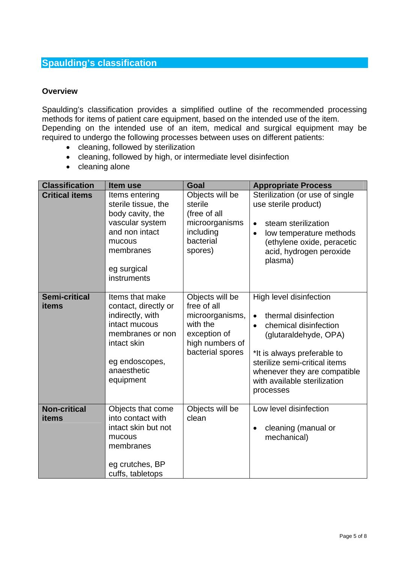# **Spaulding's classification**

#### **Overview**

Spaulding's classification provides a simplified outline of the recommended processing methods for items of patient care equipment, based on the intended use of the item. Depending on the intended use of an item, medical and surgical equipment may be required to undergo the following processes between uses on different patients:

- cleaning, followed by sterilization
- cleaning, followed by high, or intermediate level disinfection
- cleaning alone

| <b>Classification</b>         | Item use                                                                                                                                                      | Goal                                                                                                                 | <b>Appropriate Process</b>                                                                                                                                                                                                                                  |
|-------------------------------|---------------------------------------------------------------------------------------------------------------------------------------------------------------|----------------------------------------------------------------------------------------------------------------------|-------------------------------------------------------------------------------------------------------------------------------------------------------------------------------------------------------------------------------------------------------------|
| <b>Critical items</b>         | Items entering<br>sterile tissue, the<br>body cavity, the<br>vascular system<br>and non intact<br>mucous<br>membranes<br>eg surgical<br>instruments           | Objects will be<br>sterile<br>(free of all<br>microorganisms<br>including<br>bacterial<br>spores)                    | Sterilization (or use of single<br>use sterile product)<br>steam sterilization<br>$\bullet$<br>low temperature methods<br>$\bullet$<br>(ethylene oxide, peracetic<br>acid, hydrogen peroxide<br>plasma)                                                     |
| <b>Semi-critical</b><br>items | Items that make<br>contact, directly or<br>indirectly, with<br>intact mucous<br>membranes or non<br>intact skin<br>eg endoscopes,<br>anaesthetic<br>equipment | Objects will be<br>free of all<br>microorganisms,<br>with the<br>exception of<br>high numbers of<br>bacterial spores | High level disinfection<br>thermal disinfection<br>$\bullet$<br>chemical disinfection<br>(glutaraldehyde, OPA)<br>*It is always preferable to<br>sterilize semi-critical items<br>whenever they are compatible<br>with available sterilization<br>processes |
| <b>Non-critical</b><br>items  | Objects that come<br>into contact with<br>intact skin but not<br>mucous<br>membranes<br>eg crutches, BP<br>cuffs, tabletops                                   | Objects will be<br>clean                                                                                             | Low level disinfection<br>cleaning (manual or<br>mechanical)                                                                                                                                                                                                |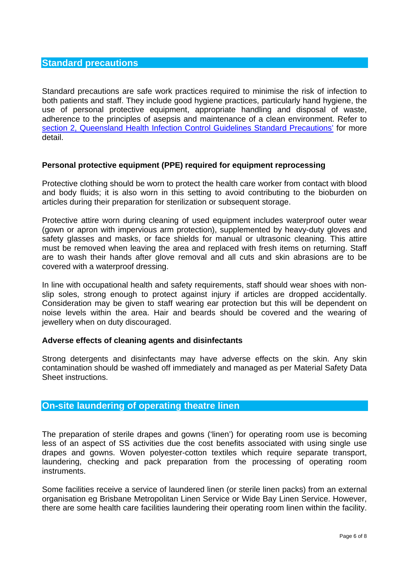### **Standard precautions**

Standard precautions are safe work practices required to minimise the risk of infection to both patients and staff. They include good hygiene practices, particularly hand hygiene, the use of personal protective equipment, appropriate handling and disposal of waste, adherence to the principles of asepsis and maintenance of a clean environment. Refer to [section 2, Queensland Health Infection Control Guidelines Standard Precautions'](http://www.health.qld.gov.au/chrisp/ic_guidelines/sect2_elements.pdf) for more detail.

#### **Personal protective equipment (PPE) required for equipment reprocessing**

Protective clothing should be worn to protect the health care worker from contact with blood and body fluids; it is also worn in this setting to avoid contributing to the bioburden on articles during their preparation for sterilization or subsequent storage.

Protective attire worn during cleaning of used equipment includes waterproof outer wear (gown or apron with impervious arm protection), supplemented by heavy-duty gloves and safety glasses and masks, or face shields for manual or ultrasonic cleaning. This attire must be removed when leaving the area and replaced with fresh items on returning. Staff are to wash their hands after glove removal and all cuts and skin abrasions are to be covered with a waterproof dressing.

In line with occupational health and safety requirements, staff should wear shoes with nonslip soles, strong enough to protect against injury if articles are dropped accidentally. Consideration may be given to staff wearing ear protection but this will be dependent on noise levels within the area. Hair and beards should be covered and the wearing of jewellery when on duty discouraged.

#### **Adverse effects of cleaning agents and disinfectants**

Strong detergents and disinfectants may have adverse effects on the skin. Any skin contamination should be washed off immediately and managed as per Material Safety Data Sheet instructions.

# **On-site laundering of operating theatre linen**

The preparation of sterile drapes and gowns ('linen') for operating room use is becoming less of an aspect of SS activities due the cost benefits associated with using single use drapes and gowns. Woven polyester-cotton textiles which require separate transport, laundering, checking and pack preparation from the processing of operating room instruments.

Some facilities receive a service of laundered linen (or sterile linen packs) from an external organisation eg Brisbane Metropolitan Linen Service or Wide Bay Linen Service. However, there are some health care facilities laundering their operating room linen within the facility.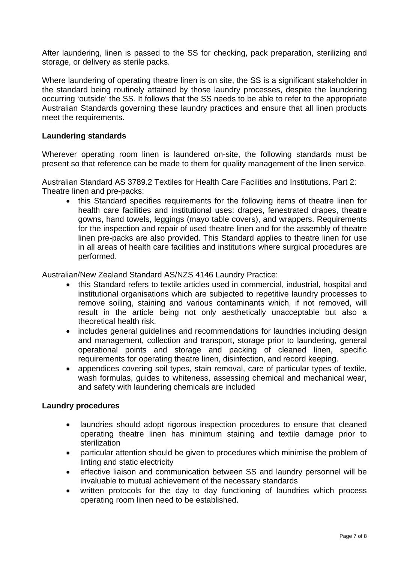After laundering, linen is passed to the SS for checking, pack preparation, sterilizing and storage, or delivery as sterile packs.

Where laundering of operating theatre linen is on site, the SS is a significant stakeholder in the standard being routinely attained by those laundry processes, despite the laundering occurring 'outside' the SS. It follows that the SS needs to be able to refer to the appropriate Australian Standards governing these laundry practices and ensure that all linen products meet the requirements.

#### **Laundering standards**

Wherever operating room linen is laundered on-site, the following standards must be present so that reference can be made to them for quality management of the linen service.

Australian Standard AS 3789.2 Textiles for Health Care Facilities and Institutions. Part 2: Theatre linen and pre-packs:

• this Standard specifies requirements for the following items of theatre linen for health care facilities and institutional uses: drapes, fenestrated drapes, theatre gowns, hand towels, leggings (mayo table covers), and wrappers. Requirements for the inspection and repair of used theatre linen and for the assembly of theatre linen pre-packs are also provided. This Standard applies to theatre linen for use in all areas of health care facilities and institutions where surgical procedures are performed.

Australian/New Zealand Standard AS/NZS 4146 Laundry Practice:

- this Standard refers to textile articles used in commercial, industrial, hospital and institutional organisations which are subjected to repetitive laundry processes to remove soiling, staining and various contaminants which, if not removed, will result in the article being not only aesthetically unacceptable but also a theoretical health risk.
- includes general guidelines and recommendations for laundries including design and management, collection and transport, storage prior to laundering, general operational points and storage and packing of cleaned linen, specific requirements for operating theatre linen, disinfection, and record keeping.
- appendices covering soil types, stain removal, care of particular types of textile, wash formulas, guides to whiteness, assessing chemical and mechanical wear, and safety with laundering chemicals are included

#### **Laundry procedures**

- laundries should adopt rigorous inspection procedures to ensure that cleaned operating theatre linen has minimum staining and textile damage prior to sterilization
- particular attention should be given to procedures which minimise the problem of linting and static electricity
- effective liaison and communication between SS and laundry personnel will be invaluable to mutual achievement of the necessary standards
- written protocols for the day to day functioning of laundries which process operating room linen need to be established.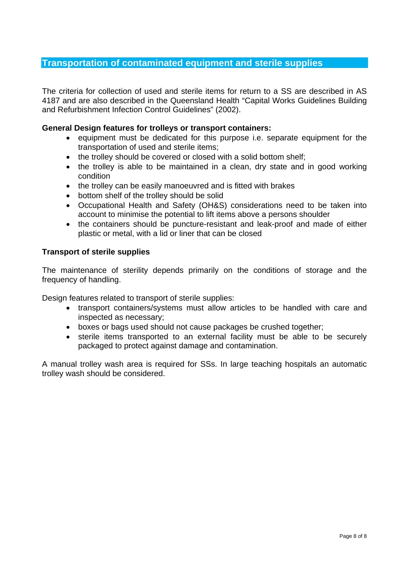# **Transportation of contaminated equipment and sterile supplies**

The criteria for collection of used and sterile items for return to a SS are described in AS 4187 and are also described in the Queensland Health "Capital Works Guidelines Building and Refurbishment Infection Control Guidelines" (2002).

#### **General Design features for trolleys or transport containers:**

- equipment must be dedicated for this purpose i.e. separate equipment for the transportation of used and sterile items;
- the trolley should be covered or closed with a solid bottom shelf;
- the trolley is able to be maintained in a clean, dry state and in good working condition
- the trolley can be easily manoeuvred and is fitted with brakes
- bottom shelf of the trolley should be solid
- Occupational Health and Safety (OH&S) considerations need to be taken into account to minimise the potential to lift items above a persons shoulder
- the containers should be puncture-resistant and leak-proof and made of either plastic or metal, with a lid or liner that can be closed

#### **Transport of sterile supplies**

The maintenance of sterility depends primarily on the conditions of storage and the frequency of handling.

Design features related to transport of sterile supplies:

- transport containers/systems must allow articles to be handled with care and inspected as necessary;
- boxes or bags used should not cause packages be crushed together;
- sterile items transported to an external facility must be able to be securely packaged to protect against damage and contamination.

A manual trolley wash area is required for SSs. In large teaching hospitals an automatic trolley wash should be considered.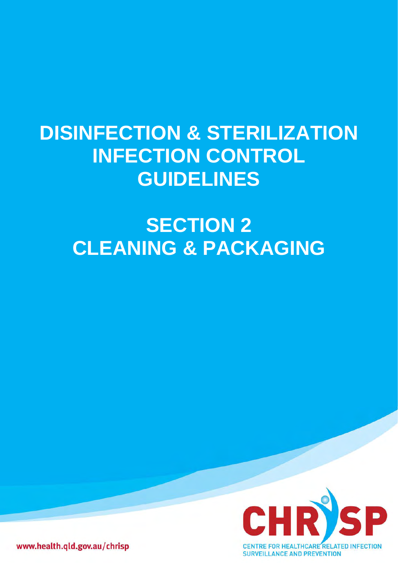# **DISINFECTION & STERILIZATION INFECTION CONTROL GUIDELINES**

# **SECTION 2 CLEANING & PACKAGING**



www.health.qld.gov.au/chrisp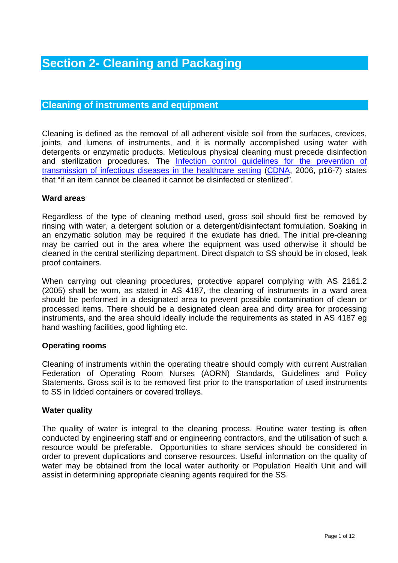# **Section 2- Cleaning and Packaging**

# **Cleaning of instruments and equipment**

Cleaning is defined as the removal of all adherent visible soil from the surfaces, crevices, joints, and lumens of instruments, and it is normally accomplished using water with detergents or enzymatic products. Meticulous physical cleaning must precede disinfection and sterilization procedures. The [Infection control guidelines for the prevention of](http://www.health.gov.au/)  [transmission of infectious diseases in the healthcare setting](http://www.health.gov.au/) ([CDNA,](http://www.health.gov.au/) 2006, p16-7) states that "if an item cannot be cleaned it cannot be disinfected or sterilized".

#### **Ward areas**

Regardless of the type of cleaning method used, gross soil should first be removed by rinsing with water, a detergent solution or a detergent/disinfectant formulation. Soaking in an enzymatic solution may be required if the exudate has dried. The initial pre-cleaning may be carried out in the area where the equipment was used otherwise it should be cleaned in the central sterilizing department. Direct dispatch to SS should be in closed, leak proof containers.

When carrying out cleaning procedures, protective apparel complying with AS 2161.2 (2005) shall be worn, as stated in AS 4187, the cleaning of instruments in a ward area should be performed in a designated area to prevent possible contamination of clean or processed items. There should be a designated clean area and dirty area for processing instruments, and the area should ideally include the requirements as stated in AS 4187 eg hand washing facilities, good lighting etc.

#### **Operating rooms**

Cleaning of instruments within the operating theatre should comply with current Australian Federation of Operating Room Nurses (AORN) Standards, Guidelines and Policy Statements. Gross soil is to be removed first prior to the transportation of used instruments to SS in lidded containers or covered trolleys.

#### **Water quality**

The quality of water is integral to the cleaning process. Routine water testing is often conducted by engineering staff and or engineering contractors, and the utilisation of such a resource would be preferable. Opportunities to share services should be considered in order to prevent duplications and conserve resources. Useful information on the quality of water may be obtained from the local water authority or Population Health Unit and will assist in determining appropriate cleaning agents required for the SS.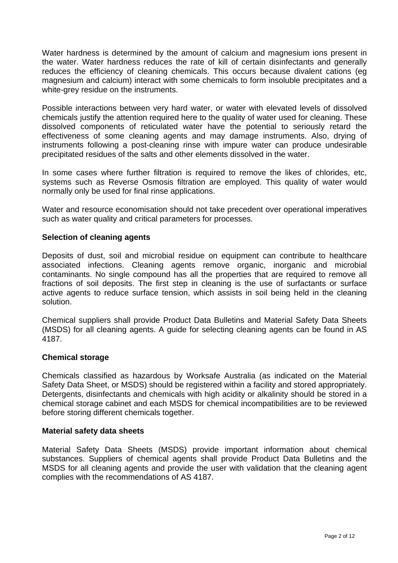Water hardness is determined by the amount of calcium and magnesium ions present in the water. Water hardness reduces the rate of kill of certain disinfectants and generally reduces the efficiency of cleaning chemicals. This occurs because divalent cations (eg magnesium and calcium) interact with some chemicals to form insoluble precipitates and a white-grey residue on the instruments.

Possible interactions between very hard water, or water with elevated levels of dissolved chemicals justify the attention required here to the quality of water used for cleaning. These dissolved components of reticulated water have the potential to seriously retard the effectiveness of some cleaning agents and may damage instruments. Also, drying of instruments following a post-cleaning rinse with impure water can produce undesirable precipitated residues of the salts and other elements dissolved in the water.

In some cases where further filtration is required to remove the likes of chlorides, etc, systems such as Reverse Osmosis filtration are employed. This quality of water would normally only be used for final rinse applications.

Water and resource economisation should not take precedent over operational imperatives such as water quality and critical parameters for processes.

#### **Selection of cleaning agents**

Deposits of dust, soil and microbial residue on equipment can contribute to healthcare associated infections. Cleaning agents remove organic, inorganic and microbial contaminants. No single compound has all the properties that are required to remove all fractions of soil deposits. The first step in cleaning is the use of surfactants or surface active agents to reduce surface tension, which assists in soil being held in the cleaning solution.

Chemical suppliers shall provide Product Data Bulletins and Material Safety Data Sheets (MSDS) for all cleaning agents. A guide for selecting cleaning agents can be found in AS 4187.

#### **Chemical storage**

Chemicals classified as hazardous by Worksafe Australia (as indicated on the Material Safety Data Sheet, or MSDS) should be registered within a facility and stored appropriately. Detergents, disinfectants and chemicals with high acidity or alkalinity should be stored in a chemical storage cabinet and each MSDS for chemical incompatibilities are to be reviewed before storing different chemicals together.

#### **Material safety data sheets**

Material Safety Data Sheets (MSDS) provide important information about chemical substances. Suppliers of chemical agents shall provide Product Data Bulletins and the MSDS for all cleaning agents and provide the user with validation that the cleaning agent complies with the recommendations of AS 4187.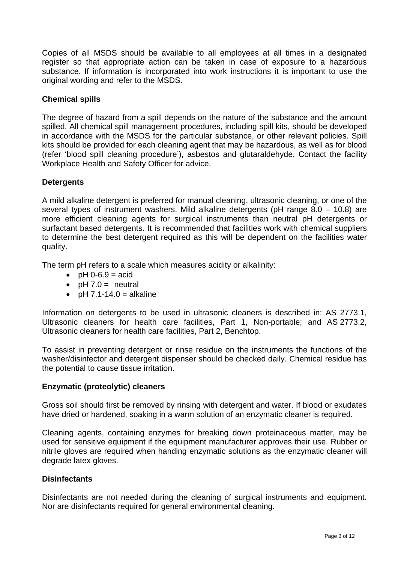Copies of all MSDS should be available to all employees at all times in a designated register so that appropriate action can be taken in case of exposure to a hazardous substance. If information is incorporated into work instructions it is important to use the original wording and refer to the MSDS.

#### **Chemical spills**

The degree of hazard from a spill depends on the nature of the substance and the amount spilled. All chemical spill management procedures, including spill kits, should be developed in accordance with the MSDS for the particular substance, or other relevant policies. Spill kits should be provided for each cleaning agent that may be hazardous, as well as for blood (refer 'blood spill cleaning procedure'), asbestos and glutaraldehyde. Contact the facility Workplace Health and Safety Officer for advice.

#### **Detergents**

A mild alkaline detergent is preferred for manual cleaning, ultrasonic cleaning, or one of the several types of instrument washers. Mild alkaline detergents (pH range 8.0 – 10.8) are more efficient cleaning agents for surgical instruments than neutral pH detergents or surfactant based detergents. It is recommended that facilities work with chemical suppliers to determine the best detergent required as this will be dependent on the facilities water quality.

The term pH refers to a scale which measures acidity or alkalinity:

- pH 0-6.9  $=$  acid
- $pH 7.0 =$  neutral
- pH  $7.1-14.0$  = alkaline

Information on detergents to be used in ultrasonic cleaners is described in: AS 2773.1, Ultrasonic cleaners for health care facilities, Part 1, Non-portable; and AS 2773.2, Ultrasonic cleaners for health care facilities, Part 2, Benchtop.

To assist in preventing detergent or rinse residue on the instruments the functions of the washer/disinfector and detergent dispenser should be checked daily. Chemical residue has the potential to cause tissue irritation.

#### **Enzymatic (proteolytic) cleaners**

Gross soil should first be removed by rinsing with detergent and water. If blood or exudates have dried or hardened, soaking in a warm solution of an enzymatic cleaner is required.

Cleaning agents, containing enzymes for breaking down proteinaceous matter, may be used for sensitive equipment if the equipment manufacturer approves their use. Rubber or nitrile gloves are required when handing enzymatic solutions as the enzymatic cleaner will degrade latex gloves.

#### **Disinfectants**

Disinfectants are not needed during the cleaning of surgical instruments and equipment. Nor are disinfectants required for general environmental cleaning.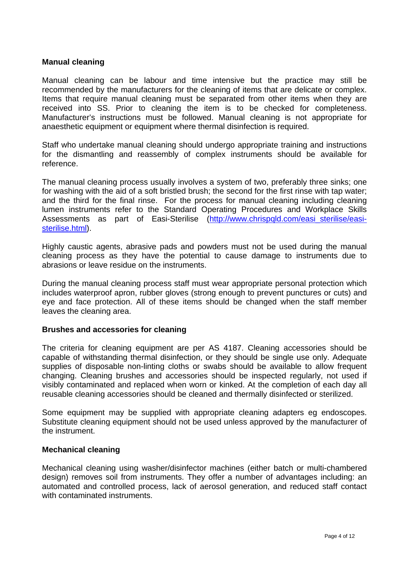#### **Manual cleaning**

Manual cleaning can be labour and time intensive but the practice may still be recommended by the manufacturers for the cleaning of items that are delicate or complex. Items that require manual cleaning must be separated from other items when they are received into SS. Prior to cleaning the item is to be checked for completeness. Manufacturer's instructions must be followed. Manual cleaning is not appropriate for anaesthetic equipment or equipment where thermal disinfection is required.

Staff who undertake manual cleaning should undergo appropriate training and instructions for the dismantling and reassembly of complex instruments should be available for reference.

The manual cleaning process usually involves a system of two, preferably three sinks; one for washing with the aid of a soft bristled brush; the second for the first rinse with tap water; and the third for the final rinse. For the process for manual cleaning including cleaning lumen instruments refer to the Standard Operating Procedures and Workplace Skills Assessments as part of Easi-Sterilise (http://www.chrispgld.com/easi\_sterilise/easi[sterilise.html\)](http://www.chrispqld.com/easi_sterilise/easi-sterilise.html).

Highly caustic agents, abrasive pads and powders must not be used during the manual cleaning process as they have the potential to cause damage to instruments due to abrasions or leave residue on the instruments.

During the manual cleaning process staff must wear appropriate personal protection which includes waterproof apron, rubber gloves (strong enough to prevent punctures or cuts) and eye and face protection. All of these items should be changed when the staff member leaves the cleaning area.

#### **Brushes and accessories for cleaning**

The criteria for cleaning equipment are per AS 4187. Cleaning accessories should be capable of withstanding thermal disinfection, or they should be single use only. Adequate supplies of disposable non-linting cloths or swabs should be available to allow frequent changing. Cleaning brushes and accessories should be inspected regularly, not used if visibly contaminated and replaced when worn or kinked. At the completion of each day all reusable cleaning accessories should be cleaned and thermally disinfected or sterilized.

Some equipment may be supplied with appropriate cleaning adapters eg endoscopes. Substitute cleaning equipment should not be used unless approved by the manufacturer of the instrument.

#### **Mechanical cleaning**

Mechanical cleaning using washer/disinfector machines (either batch or multi-chambered design) removes soil from instruments. They offer a number of advantages including: an automated and controlled process, lack of aerosol generation, and reduced staff contact with contaminated instruments.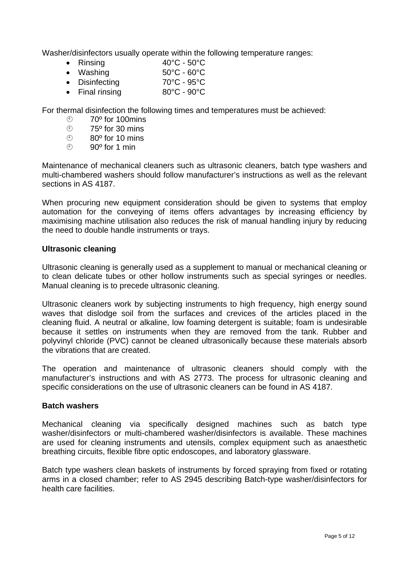Washer/disinfectors usually operate within the following temperature ranges:

- Rinsing 40°C 50°C
- Washing 50°C 60°C
- Disinfecting 70°C 95°C
- Final rinsing 80°C 90°C

For thermal disinfection the following times and temperatures must be achieved:

- $\circled{}$  70<sup>o</sup> for 100mins<br> $\circled{}$  75<sup>o</sup> for 30 mins
- $75<sup>°</sup>$  for 30 mins
- $\circ$  80<sup>o</sup> for 10 mins
- $\circledcirc$  90<sup>o</sup> for 1 min

Maintenance of mechanical cleaners such as ultrasonic cleaners, batch type washers and multi-chambered washers should follow manufacturer's instructions as well as the relevant sections in AS 4187.

When procuring new equipment consideration should be given to systems that employ automation for the conveying of items offers advantages by increasing efficiency by maximising machine utilisation also reduces the risk of manual handling injury by reducing the need to double handle instruments or trays.

#### **Ultrasonic cleaning**

Ultrasonic cleaning is generally used as a supplement to manual or mechanical cleaning or to clean delicate tubes or other hollow instruments such as special syringes or needles. Manual cleaning is to precede ultrasonic cleaning.

Ultrasonic cleaners work by subjecting instruments to high frequency, high energy sound waves that dislodge soil from the surfaces and crevices of the articles placed in the cleaning fluid. A neutral or alkaline, low foaming detergent is suitable; foam is undesirable because it settles on instruments when they are removed from the tank. Rubber and polyvinyl chloride (PVC) cannot be cleaned ultrasonically because these materials absorb the vibrations that are created.

The operation and maintenance of ultrasonic cleaners should comply with the manufacturer's instructions and with AS 2773. The process for ultrasonic cleaning and specific considerations on the use of ultrasonic cleaners can be found in AS 4187.

#### **Batch washers**

Mechanical cleaning via specifically designed machines such as batch type washer/disinfectors or multi-chambered washer/disinfectors is available. These machines are used for cleaning instruments and utensils, complex equipment such as anaesthetic breathing circuits, flexible fibre optic endoscopes, and laboratory glassware.

Batch type washers clean baskets of instruments by forced spraying from fixed or rotating arms in a closed chamber; refer to AS 2945 describing Batch-type washer/disinfectors for health care facilities.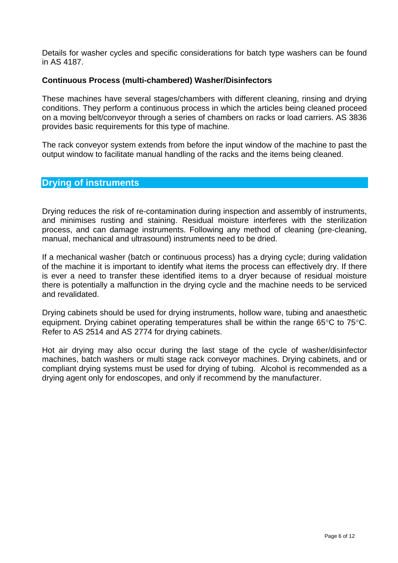Details for washer cycles and specific considerations for batch type washers can be found in AS 4187.

#### **Continuous Process (multi-chambered) Washer/Disinfectors**

These machines have several stages/chambers with different cleaning, rinsing and drying conditions. They perform a continuous process in which the articles being cleaned proceed on a moving belt/conveyor through a series of chambers on racks or load carriers. AS 3836 provides basic requirements for this type of machine.

The rack conveyor system extends from before the input window of the machine to past the output window to facilitate manual handling of the racks and the items being cleaned.

#### **Drying of instruments**

Drying reduces the risk of re-contamination during inspection and assembly of instruments, and minimises rusting and staining. Residual moisture interferes with the sterilization process, and can damage instruments. Following any method of cleaning (pre-cleaning, manual, mechanical and ultrasound) instruments need to be dried.

If a mechanical washer (batch or continuous process) has a drying cycle; during validation of the machine it is important to identify what items the process can effectively dry. If there is ever a need to transfer these identified items to a dryer because of residual moisture there is potentially a malfunction in the drying cycle and the machine needs to be serviced and revalidated.

Drying cabinets should be used for drying instruments, hollow ware, tubing and anaesthetic equipment. Drying cabinet operating temperatures shall be within the range 65°C to 75°C. Refer to AS 2514 and AS 2774 for drying cabinets.

Hot air drying may also occur during the last stage of the cycle of washer/disinfector machines, batch washers or multi stage rack conveyor machines. Drying cabinets, and or compliant drying systems must be used for drying of tubing. Alcohol is recommended as a drying agent only for endoscopes, and only if recommend by the manufacturer.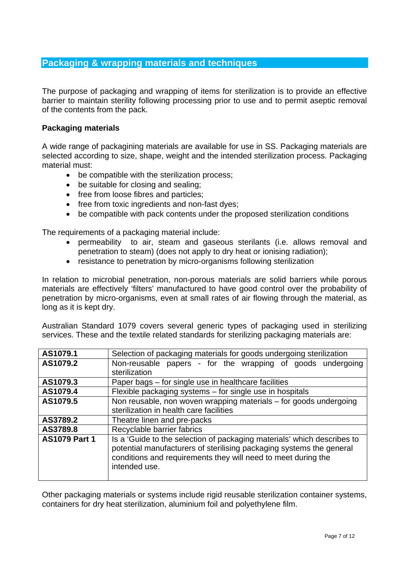# **Packaging & wrapping materials and techniques**

The purpose of packaging and wrapping of items for sterilization is to provide an effective barrier to maintain sterility following processing prior to use and to permit aseptic removal of the contents from the pack.

#### **Packaging materials**

A wide range of packagining materials are available for use in SS. Packaging materials are selected according to size, shape, weight and the intended sterilization process. Packaging material must:

- be compatible with the sterilization process;
- be suitable for closing and sealing;
- free from loose fibres and particles;
- free from toxic ingredients and non-fast dyes;
- be compatible with pack contents under the proposed sterilization conditions

The requirements of a packaging material include:

- permeability to air, steam and gaseous sterilants (i.e. allows removal and penetration to steam) (does not apply to dry heat or ionising radiation);
- resistance to penetration by micro-organisms following sterilization

In relation to microbial penetration, non-porous materials are solid barriers while porous materials are effectively 'filters' manufactured to have good control over the probability of penetration by micro-organisms, even at small rates of air flowing through the material, as long as it is kept dry.

Australian Standard 1079 covers several generic types of packaging used in sterilizing services. These and the textile related standards for sterilizing packaging materials are:

| AS1079.1             | Selection of packaging materials for goods undergoing sterilization                                                                                                                                                               |  |  |
|----------------------|-----------------------------------------------------------------------------------------------------------------------------------------------------------------------------------------------------------------------------------|--|--|
| AS1079.2             | Non-reusable papers - for the wrapping of goods undergoing                                                                                                                                                                        |  |  |
|                      | sterilization                                                                                                                                                                                                                     |  |  |
| AS1079.3             | Paper bags – for single use in healthcare facilities                                                                                                                                                                              |  |  |
| AS1079.4             | Flexible packaging systems – for single use in hospitals                                                                                                                                                                          |  |  |
| AS1079.5             | Non reusable, non woven wrapping materials - for goods undergoing                                                                                                                                                                 |  |  |
|                      | sterilization in health care facilities                                                                                                                                                                                           |  |  |
| AS3789.2             | Theatre linen and pre-packs                                                                                                                                                                                                       |  |  |
| AS3789.8             | Recyclable barrier fabrics                                                                                                                                                                                                        |  |  |
| <b>AS1079 Part 1</b> | Is a 'Guide to the selection of packaging materials' which describes to<br>potential manufacturers of sterilising packaging systems the general<br>conditions and requirements they will need to meet during the<br>intended use. |  |  |

Other packaging materials or systems include rigid reusable sterilization container systems, containers for dry heat sterilization, aluminium foil and polyethylene film.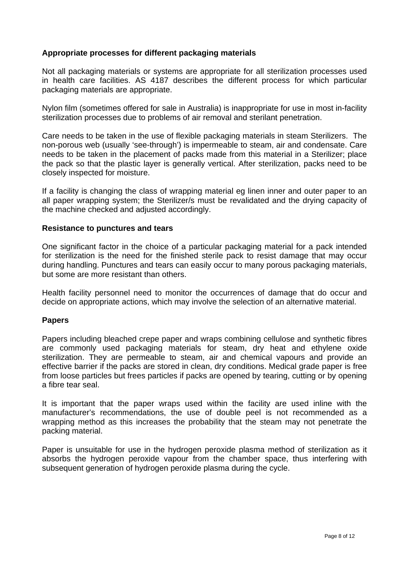#### **Appropriate processes for different packaging materials**

Not all packaging materials or systems are appropriate for all sterilization processes used in health care facilities. AS 4187 describes the different process for which particular packaging materials are appropriate.

Nylon film (sometimes offered for sale in Australia) is inappropriate for use in most in-facility sterilization processes due to problems of air removal and sterilant penetration.

Care needs to be taken in the use of flexible packaging materials in steam Sterilizers. The non-porous web (usually 'see-through') is impermeable to steam, air and condensate. Care needs to be taken in the placement of packs made from this material in a Sterilizer; place the pack so that the plastic layer is generally vertical. After sterilization, packs need to be closely inspected for moisture.

If a facility is changing the class of wrapping material eg linen inner and outer paper to an all paper wrapping system; the Sterilizer/s must be revalidated and the drying capacity of the machine checked and adjusted accordingly.

#### **Resistance to punctures and tears**

One significant factor in the choice of a particular packaging material for a pack intended for sterilization is the need for the finished sterile pack to resist damage that may occur during handling. Punctures and tears can easily occur to many porous packaging materials, but some are more resistant than others.

Health facility personnel need to monitor the occurrences of damage that do occur and decide on appropriate actions, which may involve the selection of an alternative material.

#### **Papers**

Papers including bleached crepe paper and wraps combining cellulose and synthetic fibres are commonly used packaging materials for steam, dry heat and ethylene oxide sterilization. They are permeable to steam, air and chemical vapours and provide an effective barrier if the packs are stored in clean, dry conditions. Medical grade paper is free from loose particles but frees particles if packs are opened by tearing, cutting or by opening a fibre tear seal.

It is important that the paper wraps used within the facility are used inline with the manufacturer's recommendations, the use of double peel is not recommended as a wrapping method as this increases the probability that the steam may not penetrate the packing material.

Paper is unsuitable for use in the hydrogen peroxide plasma method of sterilization as it absorbs the hydrogen peroxide vapour from the chamber space, thus interfering with subsequent generation of hydrogen peroxide plasma during the cycle.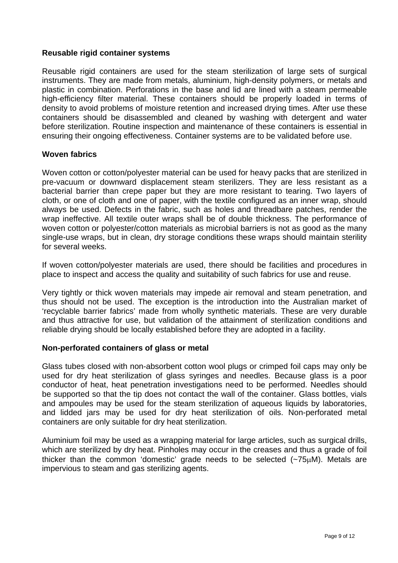#### **Reusable rigid container systems**

Reusable rigid containers are used for the steam sterilization of large sets of surgical instruments. They are made from metals, aluminium, high-density polymers, or metals and plastic in combination. Perforations in the base and lid are lined with a steam permeable high-efficiency filter material. These containers should be properly loaded in terms of density to avoid problems of moisture retention and increased drying times. After use these containers should be disassembled and cleaned by washing with detergent and water before sterilization. Routine inspection and maintenance of these containers is essential in ensuring their ongoing effectiveness. Container systems are to be validated before use.

#### **Woven fabrics**

Woven cotton or cotton/polyester material can be used for heavy packs that are sterilized in pre-vacuum or downward displacement steam sterilizers. They are less resistant as a bacterial barrier than crepe paper but they are more resistant to tearing. Two layers of cloth, or one of cloth and one of paper, with the textile configured as an inner wrap, should always be used. Defects in the fabric, such as holes and threadbare patches, render the wrap ineffective. All textile outer wraps shall be of double thickness. The performance of woven cotton or polyester/cotton materials as microbial barriers is not as good as the many single-use wraps, but in clean, dry storage conditions these wraps should maintain sterility for several weeks.

If woven cotton/polyester materials are used, there should be facilities and procedures in place to inspect and access the quality and suitability of such fabrics for use and reuse.

Very tightly or thick woven materials may impede air removal and steam penetration, and thus should not be used. The exception is the introduction into the Australian market of 'recyclable barrier fabrics' made from wholly synthetic materials. These are very durable and thus attractive for use, but validation of the attainment of sterilization conditions and reliable drying should be locally established before they are adopted in a facility.

#### **Non-perforated containers of glass or metal**

Glass tubes closed with non-absorbent cotton wool plugs or crimped foil caps may only be used for dry heat sterilization of glass syringes and needles. Because glass is a poor conductor of heat, heat penetration investigations need to be performed. Needles should be supported so that the tip does not contact the wall of the container. Glass bottles, vials and ampoules may be used for the steam sterilization of aqueous liquids by laboratories, and lidded jars may be used for dry heat sterilization of oils. Non-perforated metal containers are only suitable for dry heat sterilization.

Aluminium foil may be used as a wrapping material for large articles, such as surgical drills, which are sterilized by dry heat. Pinholes may occur in the creases and thus a grade of foil thicker than the common 'domestic' grade needs to be selected (~75μM). Metals are impervious to steam and gas sterilizing agents.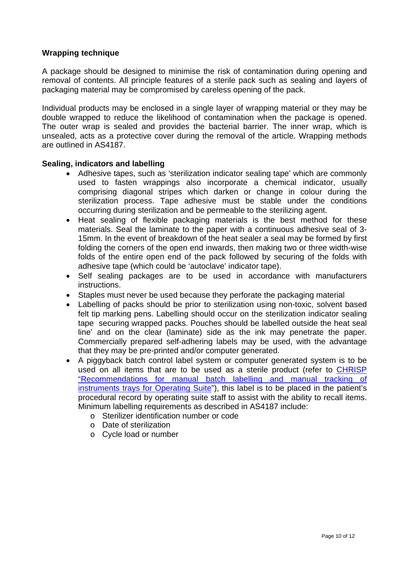#### **Wrapping technique**

A package should be designed to minimise the risk of contamination during opening and removal of contents. All principle features of a sterile pack such as sealing and layers of packaging material may be compromised by careless opening of the pack.

Individual products may be enclosed in a single layer of wrapping material or they may be double wrapped to reduce the likelihood of contamination when the package is opened. The outer wrap is sealed and provides the bacterial barrier. The inner wrap, which is unsealed, acts as a protective cover during the removal of the article. Wrapping methods are outlined in AS4187.

#### **Sealing, indicators and labelling**

- Adhesive tapes, such as 'sterilization indicator sealing tape' which are commonly used to fasten wrappings also incorporate a chemical indicator, usually comprising diagonal stripes which darken or change in colour during the sterilization process. Tape adhesive must be stable under the conditions occurring during sterilization and be permeable to the sterilizing agent.
- Heat sealing of flexible packaging materials is the best method for these materials. Seal the laminate to the paper with a continuous adhesive seal of 3- 15mm. In the event of breakdown of the heat sealer a seal may be formed by first folding the corners of the open end inwards, then making two or three width-wise folds of the entire open end of the pack followed by securing of the folds with adhesive tape (which could be 'autoclave' indicator tape).
- Self sealing packages are to be used in accordance with manufacturers instructions.
- Staples must never be used because they perforate the packaging material
- Labelling of packs should be prior to sterilization using non-toxic, solvent based felt tip marking pens. Labelling should occur on the sterilization indicator sealing tape securing wrapped packs. Pouches should be labelled outside the heat seal line' and on the clear (laminate) side as the ink may penetrate the paper. Commercially prepared self-adhering labels may be used, with the advantage that they may be pre-printed and/or computer generated.
- A piggyback batch control label system or computer generated system is to be used on all items that are to be used as a sterile product (refer to [CHRISP](http://www.health.qld.gov.au/chrisp/sterilising/manual_lab_track.pdf)  ["Recommendations for manual batch labelling and manual tracking of](http://www.health.qld.gov.au/chrisp/sterilising/manual_lab_track.pdf)  [instruments trays for Operating Suite](http://www.health.qld.gov.au/chrisp/sterilising/manual_lab_track.pdf)"), this label is to be placed in the patient's procedural record by operating suite staff to assist with the ability to recall items. Minimum labelling requirements as described in AS4187 include:
	- o Sterilizer identification number or code
	- o Date of sterilization
	- o Cycle load or number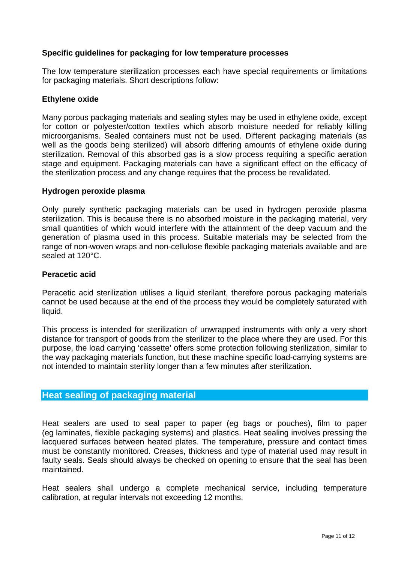#### **Specific guidelines for packaging for low temperature processes**

The low temperature sterilization processes each have special requirements or limitations for packaging materials. Short descriptions follow:

#### **Ethylene oxide**

Many porous packaging materials and sealing styles may be used in ethylene oxide, except for cotton or polyester/cotton textiles which absorb moisture needed for reliably killing microorganisms. Sealed containers must not be used. Different packaging materials (as well as the goods being sterilized) will absorb differing amounts of ethylene oxide during sterilization. Removal of this absorbed gas is a slow process requiring a specific aeration stage and equipment. Packaging materials can have a significant effect on the efficacy of the sterilization process and any change requires that the process be revalidated.

#### **Hydrogen peroxide plasma**

Only purely synthetic packaging materials can be used in hydrogen peroxide plasma sterilization. This is because there is no absorbed moisture in the packaging material, very small quantities of which would interfere with the attainment of the deep vacuum and the generation of plasma used in this process. Suitable materials may be selected from the range of non-woven wraps and non-cellulose flexible packaging materials available and are sealed at 120°C.

#### **Peracetic acid**

Peracetic acid sterilization utilises a liquid sterilant, therefore porous packaging materials cannot be used because at the end of the process they would be completely saturated with liquid.

This process is intended for sterilization of unwrapped instruments with only a very short distance for transport of goods from the sterilizer to the place where they are used. For this purpose, the load carrying 'cassette' offers some protection following sterilization, similar to the way packaging materials function, but these machine specific load-carrying systems are not intended to maintain sterility longer than a few minutes after sterilization.

# **Heat sealing of packaging material**

Heat sealers are used to seal paper to paper (eg bags or pouches), film to paper (eg laminates, flexible packaging systems) and plastics. Heat sealing involves pressing the lacquered surfaces between heated plates. The temperature, pressure and contact times must be constantly monitored. Creases, thickness and type of material used may result in faulty seals. Seals should always be checked on opening to ensure that the seal has been maintained.

Heat sealers shall undergo a complete mechanical service, including temperature calibration, at regular intervals not exceeding 12 months.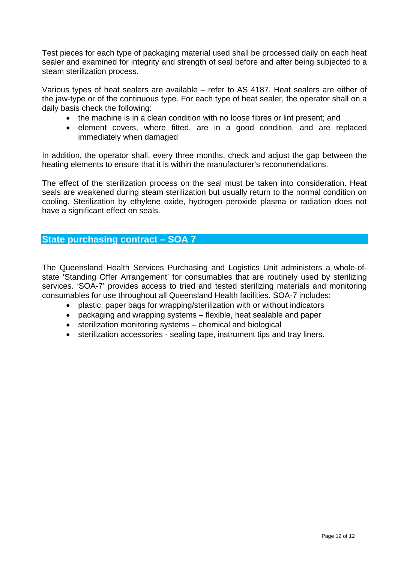Test pieces for each type of packaging material used shall be processed daily on each heat sealer and examined for integrity and strength of seal before and after being subjected to a steam sterilization process.

Various types of heat sealers are available – refer to AS 4187. Heat sealers are either of the jaw-type or of the continuous type. For each type of heat sealer, the operator shall on a daily basis check the following:

- the machine is in a clean condition with no loose fibres or lint present; and
- element covers, where fitted, are in a good condition, and are replaced immediately when damaged

In addition, the operator shall, every three months, check and adjust the gap between the heating elements to ensure that it is within the manufacturer's recommendations.

The effect of the sterilization process on the seal must be taken into consideration. Heat seals are weakened during steam sterilization but usually return to the normal condition on cooling. Sterilization by ethylene oxide, hydrogen peroxide plasma or radiation does not have a significant effect on seals.

# **State purchasing contract – SOA 7**

The Queensland Health Services Purchasing and Logistics Unit administers a whole-ofstate 'Standing Offer Arrangement' for consumables that are routinely used by sterilizing services. 'SOA-7' provides access to tried and tested sterilizing materials and monitoring consumables for use throughout all Queensland Health facilities. SOA-7 includes:

- plastic, paper bags for wrapping/sterilization with or without indicators
- packaging and wrapping systems flexible, heat sealable and paper
- sterilization monitoring systems chemical and biological
- sterilization accessories sealing tape, instrument tips and tray liners.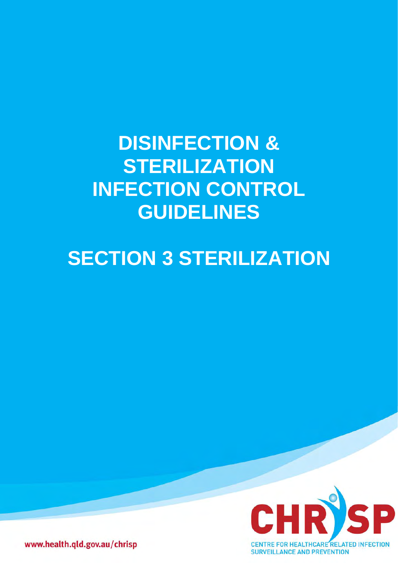# **DISINFECTION & STERILIZATION INFECTION CONTROL GUIDELINES**

# **SECTION 3 STERILIZATION**



www.health.qld.gov.au/chrisp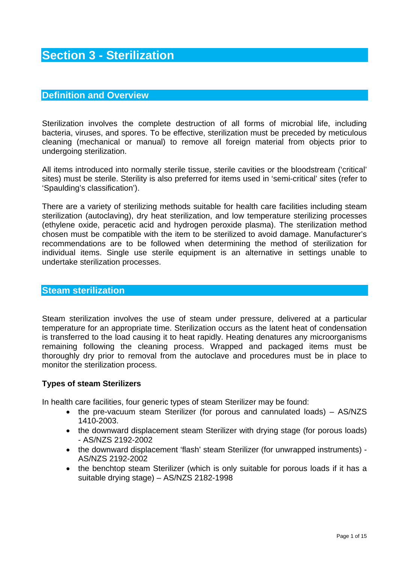# **Section 3 - Sterilization**

### **Definition and Overview**

Sterilization involves the complete destruction of all forms of microbial life, including bacteria, viruses, and spores. To be effective, sterilization must be preceded by meticulous cleaning (mechanical or manual) to remove all foreign material from objects prior to undergoing sterilization.

All items introduced into normally sterile tissue, sterile cavities or the bloodstream ('critical' sites) must be sterile. Sterility is also preferred for items used in 'semi-critical' sites (refer to 'Spaulding's classification').

There are a variety of sterilizing methods suitable for health care facilities including steam sterilization (autoclaving), dry heat sterilization, and low temperature sterilizing processes (ethylene oxide, peracetic acid and hydrogen peroxide plasma). The sterilization method chosen must be compatible with the item to be sterilized to avoid damage. Manufacturer's recommendations are to be followed when determining the method of sterilization for individual items. Single use sterile equipment is an alternative in settings unable to undertake sterilization processes.

#### **Steam sterilization**

Steam sterilization involves the use of steam under pressure, delivered at a particular temperature for an appropriate time. Sterilization occurs as the latent heat of condensation is transferred to the load causing it to heat rapidly. Heating denatures any microorganisms remaining following the cleaning process. Wrapped and packaged items must be thoroughly dry prior to removal from the autoclave and procedures must be in place to monitor the sterilization process.

#### **Types of steam Sterilizers**

In health care facilities, four generic types of steam Sterilizer may be found:

- the pre-vacuum steam Sterilizer (for porous and cannulated loads) AS/NZS 1410-2003.
- the downward displacement steam Sterilizer with drying stage (for porous loads) - AS/NZS 2192-2002
- the downward displacement 'flash' steam Sterilizer (for unwrapped instruments) AS/NZS 2192-2002
- the benchtop steam Sterilizer (which is only suitable for porous loads if it has a suitable drying stage) – AS/NZS 2182-1998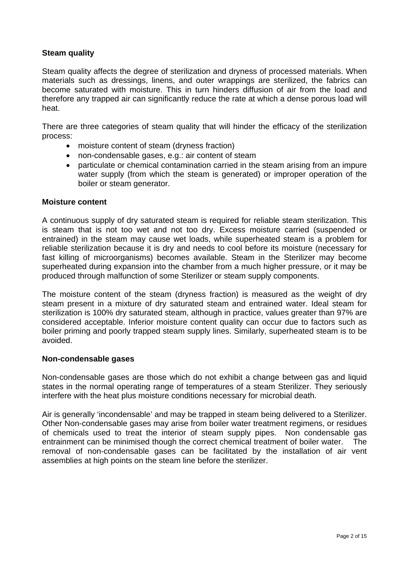#### **Steam quality**

Steam quality affects the degree of sterilization and dryness of processed materials. When materials such as dressings, linens, and outer wrappings are sterilized, the fabrics can become saturated with moisture. This in turn hinders diffusion of air from the load and therefore any trapped air can significantly reduce the rate at which a dense porous load will heat.

There are three categories of steam quality that will hinder the efficacy of the sterilization process:

- moisture content of steam (dryness fraction)
- non-condensable gases, e.g.: air content of steam
- particulate or chemical contamination carried in the steam arising from an impure water supply (from which the steam is generated) or improper operation of the boiler or steam generator.

#### **Moisture content**

A continuous supply of dry saturated steam is required for reliable steam sterilization. This is steam that is not too wet and not too dry. Excess moisture carried (suspended or entrained) in the steam may cause wet loads, while superheated steam is a problem for reliable sterilization because it is dry and needs to cool before its moisture (necessary for fast killing of microorganisms) becomes available. Steam in the Sterilizer may become superheated during expansion into the chamber from a much higher pressure, or it may be produced through malfunction of some Sterilizer or steam supply components.

The moisture content of the steam (dryness fraction) is measured as the weight of dry steam present in a mixture of dry saturated steam and entrained water. Ideal steam for sterilization is 100% dry saturated steam, although in practice, values greater than 97% are considered acceptable. Inferior moisture content quality can occur due to factors such as boiler priming and poorly trapped steam supply lines. Similarly, superheated steam is to be avoided.

#### **Non-condensable gases**

Non-condensable gases are those which do not exhibit a change between gas and liquid states in the normal operating range of temperatures of a steam Sterilizer. They seriously interfere with the heat plus moisture conditions necessary for microbial death.

Air is generally 'incondensable' and may be trapped in steam being delivered to a Sterilizer. Other Non-condensable gases may arise from boiler water treatment regimens, or residues of chemicals used to treat the interior of steam supply pipes. Non condensable gas entrainment can be minimised though the correct chemical treatment of boiler water. The removal of non-condensable gases can be facilitated by the installation of air vent assemblies at high points on the steam line before the sterilizer.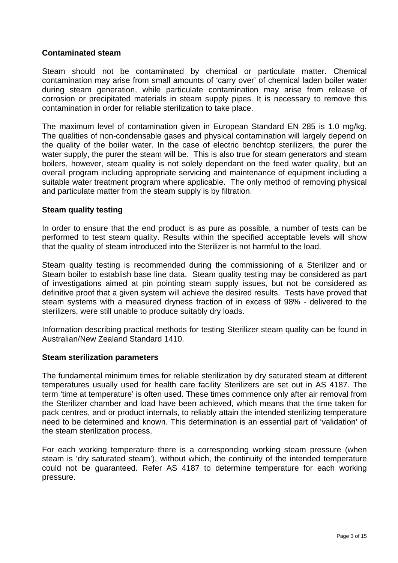#### **Contaminated steam**

Steam should not be contaminated by chemical or particulate matter. Chemical contamination may arise from small amounts of 'carry over' of chemical laden boiler water during steam generation, while particulate contamination may arise from release of corrosion or precipitated materials in steam supply pipes. It is necessary to remove this contamination in order for reliable sterilization to take place.

The maximum level of contamination given in European Standard EN 285 is 1.0 mg/kg. The qualities of non-condensable gases and physical contamination will largely depend on the quality of the boiler water. In the case of electric benchtop sterilizers, the purer the water supply, the purer the steam will be. This is also true for steam generators and steam boilers, however, steam quality is not solely dependant on the feed water quality, but an overall program including appropriate servicing and maintenance of equipment including a suitable water treatment program where applicable. The only method of removing physical and particulate matter from the steam supply is by filtration.

#### **Steam quality testing**

In order to ensure that the end product is as pure as possible, a number of tests can be performed to test steam quality. Results within the specified acceptable levels will show that the quality of steam introduced into the Sterilizer is not harmful to the load.

Steam quality testing is recommended during the commissioning of a Sterilizer and or Steam boiler to establish base line data. Steam quality testing may be considered as part of investigations aimed at pin pointing steam supply issues, but not be considered as definitive proof that a given system will achieve the desired results. Tests have proved that steam systems with a measured dryness fraction of in excess of 98% - delivered to the sterilizers, were still unable to produce suitably dry loads.

Information describing practical methods for testing Sterilizer steam quality can be found in Australian/New Zealand Standard 1410.

#### **Steam sterilization parameters**

The fundamental minimum times for reliable sterilization by dry saturated steam at different temperatures usually used for health care facility Sterilizers are set out in AS 4187. The term 'time at temperature' is often used. These times commence only after air removal from the Sterilizer chamber and load have been achieved, which means that the time taken for pack centres, and or product internals, to reliably attain the intended sterilizing temperature need to be determined and known. This determination is an essential part of 'validation' of the steam sterilization process.

For each working temperature there is a corresponding working steam pressure (when steam is 'dry saturated steam'), without which, the continuity of the intended temperature could not be guaranteed. Refer AS 4187 to determine temperature for each working pressure.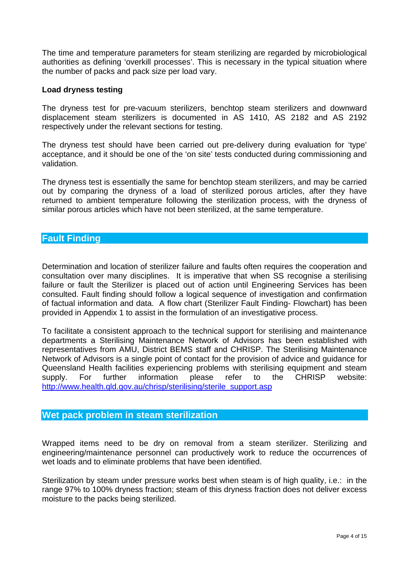The time and temperature parameters for steam sterilizing are regarded by microbiological authorities as defining 'overkill processes'. This is necessary in the typical situation where the number of packs and pack size per load vary.

#### **Load dryness testing**

The dryness test for pre-vacuum sterilizers, benchtop steam sterilizers and downward displacement steam sterilizers is documented in AS 1410, AS 2182 and AS 2192 respectively under the relevant sections for testing.

The dryness test should have been carried out pre-delivery during evaluation for 'type' acceptance, and it should be one of the 'on site' tests conducted during commissioning and validation.

The dryness test is essentially the same for benchtop steam sterilizers, and may be carried out by comparing the dryness of a load of sterilized porous articles, after they have returned to ambient temperature following the sterilization process, with the dryness of similar porous articles which have not been sterilized, at the same temperature.

#### **Fault Finding**

Determination and location of sterilizer failure and faults often requires the cooperation and consultation over many disciplines. It is imperative that when SS recognise a sterilising failure or fault the Sterilizer is placed out of action until Engineering Services has been consulted. Fault finding should follow a logical sequence of investigation and confirmation of factual information and data. A flow chart (Sterilizer Fault Finding- Flowchart) has been provided in Appendix 1 to assist in the formulation of an investigative process.

To facilitate a consistent approach to the technical support for sterilising and maintenance departments a Sterilising Maintenance Network of Advisors has been established with representatives from AMU, District BEMS staff and CHRISP. The Sterilising Maintenance Network of Advisors is a single point of contact for the provision of advice and guidance for Queensland Health facilities experiencing problems with sterilising equipment and steam supply. For further information please refer to the CHRISP website: [http://www.health.qld.gov.au/chrisp/sterilising/sterile\\_support.asp](http://www.health.qld.gov.au/chrisp/sterilising/sterile_support.asp)

# **Wet pack problem in steam sterilization**

Wrapped items need to be dry on removal from a steam sterilizer. Sterilizing and engineering/maintenance personnel can productively work to reduce the occurrences of wet loads and to eliminate problems that have been identified.

Sterilization by steam under pressure works best when steam is of high quality, i.e.: in the range 97% to 100% dryness fraction; steam of this dryness fraction does not deliver excess moisture to the packs being sterilized.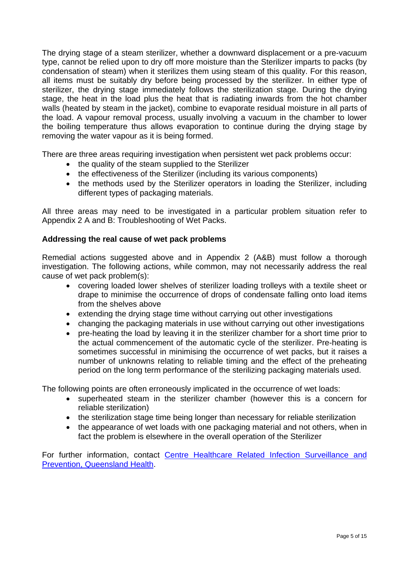The drying stage of a steam sterilizer, whether a downward displacement or a pre-vacuum type, cannot be relied upon to dry off more moisture than the Sterilizer imparts to packs (by condensation of steam) when it sterilizes them using steam of this quality. For this reason, all items must be suitably dry before being processed by the sterilizer. In either type of sterilizer, the drying stage immediately follows the sterilization stage. During the drying stage, the heat in the load plus the heat that is radiating inwards from the hot chamber walls (heated by steam in the jacket), combine to evaporate residual moisture in all parts of the load. A vapour removal process, usually involving a vacuum in the chamber to lower the boiling temperature thus allows evaporation to continue during the drying stage by removing the water vapour as it is being formed.

There are three areas requiring investigation when persistent wet pack problems occur:

- the quality of the steam supplied to the Sterilizer
- the effectiveness of the Sterilizer (including its various components)
- the methods used by the Sterilizer operators in loading the Sterilizer, including different types of packaging materials.

All three areas may need to be investigated in a particular problem situation refer to Appendix 2 A and B: Troubleshooting of Wet Packs.

#### **Addressing the real cause of wet pack problems**

Remedial actions suggested above and in Appendix 2 (A&B) must follow a thorough investigation. The following actions, while common, may not necessarily address the real cause of wet pack problem(s):

- covering loaded lower shelves of sterilizer loading trolleys with a textile sheet or drape to minimise the occurrence of drops of condensate falling onto load items from the shelves above
- extending the drying stage time without carrying out other investigations
- changing the packaging materials in use without carrying out other investigations
- pre-heating the load by leaving it in the sterilizer chamber for a short time prior to the actual commencement of the automatic cycle of the sterilizer. Pre-heating is sometimes successful in minimising the occurrence of wet packs, but it raises a number of unknowns relating to reliable timing and the effect of the preheating period on the long term performance of the sterilizing packaging materials used.

The following points are often erroneously implicated in the occurrence of wet loads:

- superheated steam in the sterilizer chamber (however this is a concern for reliable sterilization)
- the sterilization stage time being longer than necessary for reliable sterilization
- the appearance of wet loads with one packaging material and not others, when in fact the problem is elsewhere in the overall operation of the Sterilizer

For further information, contact [Centre Healthcare Related Infection Surveillance and](http://www.health.qld.gov.au/chrisp/default.asp)  [Prevention, Queensland Health.](http://www.health.qld.gov.au/chrisp/default.asp)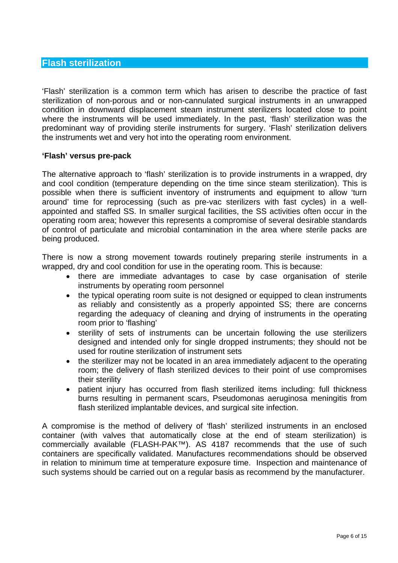### **Flash sterilization**

'Flash' sterilization is a common term which has arisen to describe the practice of fast sterilization of non-porous and or non-cannulated surgical instruments in an unwrapped condition in downward displacement steam instrument sterilizers located close to point where the instruments will be used immediately. In the past, 'flash' sterilization was the predominant way of providing sterile instruments for surgery. 'Flash' sterilization delivers the instruments wet and very hot into the operating room environment.

#### **'Flash' versus pre-pack**

The alternative approach to 'flash' sterilization is to provide instruments in a wrapped, dry and cool condition (temperature depending on the time since steam sterilization). This is possible when there is sufficient inventory of instruments and equipment to allow 'turn around' time for reprocessing (such as pre-vac sterilizers with fast cycles) in a wellappointed and staffed SS. In smaller surgical facilities, the SS activities often occur in the operating room area; however this represents a compromise of several desirable standards of control of particulate and microbial contamination in the area where sterile packs are being produced.

There is now a strong movement towards routinely preparing sterile instruments in a wrapped, dry and cool condition for use in the operating room. This is because:

- there are immediate advantages to case by case organisation of sterile instruments by operating room personnel
- the typical operating room suite is not designed or equipped to clean instruments as reliably and consistently as a properly appointed SS; there are concerns regarding the adequacy of cleaning and drying of instruments in the operating room prior to 'flashing'
- sterility of sets of instruments can be uncertain following the use sterilizers designed and intended only for single dropped instruments; they should not be used for routine sterilization of instrument sets
- the sterilizer may not be located in an area immediately adjacent to the operating room; the delivery of flash sterilized devices to their point of use compromises their sterility
- patient injury has occurred from flash sterilized items including: full thickness burns resulting in permanent scars, Pseudomonas aeruginosa meningitis from flash sterilized implantable devices, and surgical site infection.

A compromise is the method of delivery of 'flash' sterilized instruments in an enclosed container (with valves that automatically close at the end of steam sterilization) is commercially available (FLASH-PAK™). AS 4187 recommends that the use of such containers are specifically validated. Manufactures recommendations should be observed in relation to minimum time at temperature exposure time. Inspection and maintenance of such systems should be carried out on a regular basis as recommend by the manufacturer.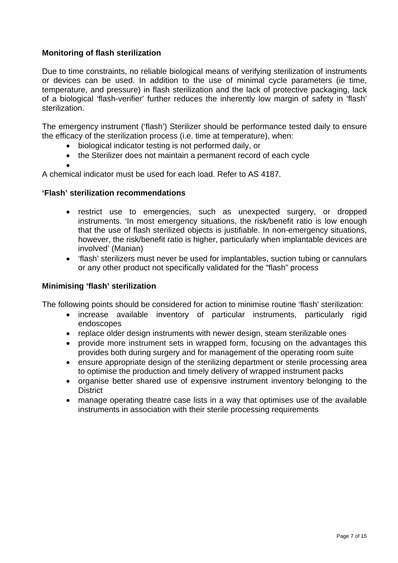### **Monitoring of flash sterilization**

Due to time constraints, no reliable biological means of verifying sterilization of instruments or devices can be used. In addition to the use of minimal cycle parameters (ie time, temperature, and pressure) in flash sterilization and the lack of protective packaging, lack of a biological 'flash-verifier' further reduces the inherently low margin of safety in 'flash' sterilization.

The emergency instrument ('flash') Sterilizer should be performance tested daily to ensure the efficacy of the sterilization process (i.e. time at temperature), when:

- biological indicator testing is not performed daily, or
- the Sterilizer does not maintain a permanent record of each cycle

• A chemical indicator must be used for each load. Refer to AS 4187.

#### **'Flash' sterilization recommendations**

- restrict use to emergencies, such as unexpected surgery, or dropped instruments. 'In most emergency situations, the risk/benefit ratio is low enough that the use of flash sterilized objects is justifiable. In non-emergency situations, however, the risk/benefit ratio is higher, particularly when implantable devices are involved' (Manian)
- 'flash' sterilizers must never be used for implantables, suction tubing or cannulars or any other product not specifically validated for the "flash" process

#### **Minimising 'flash' sterilization**

The following points should be considered for action to minimise routine 'flash' sterilization:

- increase available inventory of particular instruments, particularly rigid endoscopes
- replace older design instruments with newer design, steam sterilizable ones
- provide more instrument sets in wrapped form, focusing on the advantages this provides both during surgery and for management of the operating room suite
- ensure appropriate design of the sterilizing department or sterile processing area to optimise the production and timely delivery of wrapped instrument packs
- organise better shared use of expensive instrument inventory belonging to the **District**
- manage operating theatre case lists in a way that optimises use of the available instruments in association with their sterile processing requirements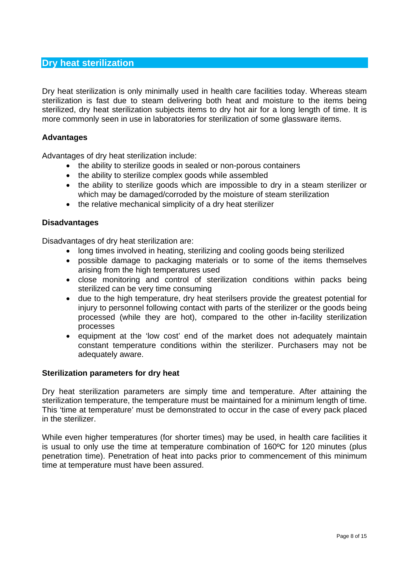# **Dry heat sterilization**

Dry heat sterilization is only minimally used in health care facilities today. Whereas steam sterilization is fast due to steam delivering both heat and moisture to the items being sterilized, dry heat sterilization subjects items to dry hot air for a long length of time. It is more commonly seen in use in laboratories for sterilization of some glassware items.

#### **Advantages**

Advantages of dry heat sterilization include:

- the ability to sterilize goods in sealed or non-porous containers
- the ability to sterilize complex goods while assembled
- the ability to sterilize goods which are impossible to dry in a steam sterilizer or which may be damaged/corroded by the moisture of steam sterilization
- the relative mechanical simplicity of a dry heat sterilizer

#### **Disadvantages**

Disadvantages of dry heat sterilization are:

- long times involved in heating, sterilizing and cooling goods being sterilized
- possible damage to packaging materials or to some of the items themselves arising from the high temperatures used
- close monitoring and control of sterilization conditions within packs being sterilized can be very time consuming
- due to the high temperature, dry heat sterilsers provide the greatest potential for injury to personnel following contact with parts of the sterilizer or the goods being processed (while they are hot), compared to the other in-facility sterilization processes
- equipment at the 'low cost' end of the market does not adequately maintain constant temperature conditions within the sterilizer. Purchasers may not be adequately aware.

#### **Sterilization parameters for dry heat**

Dry heat sterilization parameters are simply time and temperature. After attaining the sterilization temperature, the temperature must be maintained for a minimum length of time. This 'time at temperature' must be demonstrated to occur in the case of every pack placed in the sterilizer.

While even higher temperatures (for shorter times) may be used, in health care facilities it is usual to only use the time at temperature combination of 160ºC for 120 minutes (plus penetration time). Penetration of heat into packs prior to commencement of this minimum time at temperature must have been assured.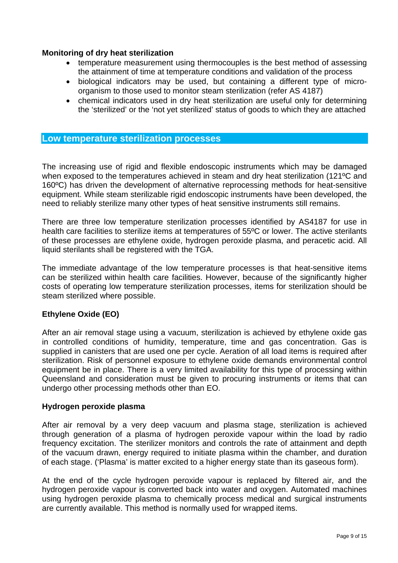#### **Monitoring of dry heat sterilization**

- temperature measurement using thermocouples is the best method of assessing the attainment of time at temperature conditions and validation of the process
- biological indicators may be used, but containing a different type of microorganism to those used to monitor steam sterilization (refer AS 4187)
- chemical indicators used in dry heat sterilization are useful only for determining the 'sterilized' or the 'not yet sterilized' status of goods to which they are attached

#### **Low temperature sterilization processes**

The increasing use of rigid and flexible endoscopic instruments which may be damaged when exposed to the temperatures achieved in steam and dry heat sterilization (121°C and 160ºC) has driven the development of alternative reprocessing methods for heat-sensitive equipment. While steam sterilizable rigid endoscopic instruments have been developed, the need to reliably sterilize many other types of heat sensitive instruments still remains.

There are three low temperature sterilization processes identified by AS4187 for use in health care facilities to sterilize items at temperatures of 55ºC or lower. The active sterilants of these processes are ethylene oxide, hydrogen peroxide plasma, and peracetic acid. All liquid sterilants shall be registered with the TGA.

The immediate advantage of the low temperature processes is that heat-sensitive items can be sterilized within health care facilities. However, because of the significantly higher costs of operating low temperature sterilization processes, items for sterilization should be steam sterilized where possible.

#### **Ethylene Oxide (EO)**

After an air removal stage using a vacuum, sterilization is achieved by ethylene oxide gas in controlled conditions of humidity, temperature, time and gas concentration. Gas is supplied in canisters that are used one per cycle. Aeration of all load items is required after sterilization. Risk of personnel exposure to ethylene oxide demands environmental control equipment be in place. There is a very limited availability for this type of processing within Queensland and consideration must be given to procuring instruments or items that can undergo other processing methods other than EO.

#### **Hydrogen peroxide plasma**

After air removal by a very deep vacuum and plasma stage, sterilization is achieved through generation of a plasma of hydrogen peroxide vapour within the load by radio frequency excitation. The sterilizer monitors and controls the rate of attainment and depth of the vacuum drawn, energy required to initiate plasma within the chamber, and duration of each stage. ('Plasma' is matter excited to a higher energy state than its gaseous form).

At the end of the cycle hydrogen peroxide vapour is replaced by filtered air, and the hydrogen peroxide vapour is converted back into water and oxygen. Automated machines using hydrogen peroxide plasma to chemically process medical and surgical instruments are currently available. This method is normally used for wrapped items.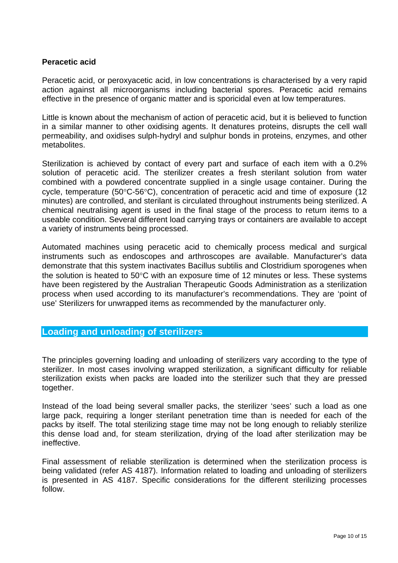#### **Peracetic acid**

Peracetic acid, or peroxyacetic acid, in low concentrations is characterised by a very rapid action against all microorganisms including bacterial spores. Peracetic acid remains effective in the presence of organic matter and is sporicidal even at low temperatures.

Little is known about the mechanism of action of peracetic acid, but it is believed to function in a similar manner to other oxidising agents. It denatures proteins, disrupts the cell wall permeability, and oxidises sulph-hydryl and sulphur bonds in proteins, enzymes, and other metabolites.

Sterilization is achieved by contact of every part and surface of each item with a 0.2% solution of peracetic acid. The sterilizer creates a fresh sterilant solution from water combined with a powdered concentrate supplied in a single usage container. During the cycle, temperature (50°C-56°C), concentration of peracetic acid and time of exposure (12 minutes) are controlled, and sterilant is circulated throughout instruments being sterilized. A chemical neutralising agent is used in the final stage of the process to return items to a useable condition. Several different load carrying trays or containers are available to accept a variety of instruments being processed.

Automated machines using peracetic acid to chemically process medical and surgical instruments such as endoscopes and arthroscopes are available. Manufacturer's data demonstrate that this system inactivates Bacillus subtilis and Clostridium sporogenes when the solution is heated to 50°C with an exposure time of 12 minutes or less. These systems have been registered by the Australian Therapeutic Goods Administration as a sterilization process when used according to its manufacturer's recommendations. They are 'point of use' Sterilizers for unwrapped items as recommended by the manufacturer only.

#### **Loading and unloading of sterilizers**

The principles governing loading and unloading of sterilizers vary according to the type of sterilizer. In most cases involving wrapped sterilization, a significant difficulty for reliable sterilization exists when packs are loaded into the sterilizer such that they are pressed together.

Instead of the load being several smaller packs, the sterilizer 'sees' such a load as one large pack, requiring a longer sterilant penetration time than is needed for each of the packs by itself. The total sterilizing stage time may not be long enough to reliably sterilize this dense load and, for steam sterilization, drying of the load after sterilization may be ineffective.

Final assessment of reliable sterilization is determined when the sterilization process is being validated (refer AS 4187). Information related to loading and unloading of sterilizers is presented in AS 4187. Specific considerations for the different sterilizing processes follow.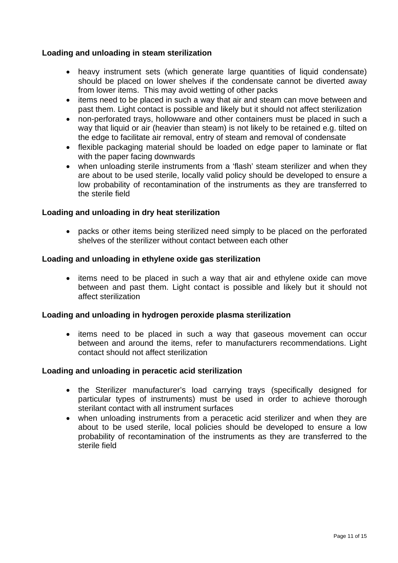#### **Loading and unloading in steam sterilization**

- heavy instrument sets (which generate large quantities of liquid condensate) should be placed on lower shelves if the condensate cannot be diverted away from lower items. This may avoid wetting of other packs
- items need to be placed in such a way that air and steam can move between and past them. Light contact is possible and likely but it should not affect sterilization
- non-perforated trays, hollowware and other containers must be placed in such a way that liquid or air (heavier than steam) is not likely to be retained e.g. tilted on the edge to facilitate air removal, entry of steam and removal of condensate
- flexible packaging material should be loaded on edge paper to laminate or flat with the paper facing downwards
- when unloading sterile instruments from a 'flash' steam sterilizer and when they are about to be used sterile, locally valid policy should be developed to ensure a low probability of recontamination of the instruments as they are transferred to the sterile field

#### **Loading and unloading in dry heat sterilization**

• packs or other items being sterilized need simply to be placed on the perforated shelves of the sterilizer without contact between each other

#### **Loading and unloading in ethylene oxide gas sterilization**

• items need to be placed in such a way that air and ethylene oxide can move between and past them. Light contact is possible and likely but it should not affect sterilization

#### **Loading and unloading in hydrogen peroxide plasma sterilization**

• items need to be placed in such a way that gaseous movement can occur between and around the items, refer to manufacturers recommendations. Light contact should not affect sterilization

#### **Loading and unloading in peracetic acid sterilization**

- the Sterilizer manufacturer's load carrying trays (specifically designed for particular types of instruments) must be used in order to achieve thorough sterilant contact with all instrument surfaces
- when unloading instruments from a peracetic acid sterilizer and when they are about to be used sterile, local policies should be developed to ensure a low probability of recontamination of the instruments as they are transferred to the sterile field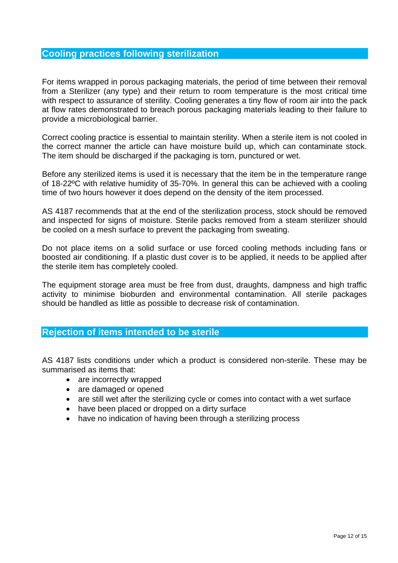#### **Cooling practices following sterilization**

For items wrapped in porous packaging materials, the period of time between their removal from a Sterilizer (any type) and their return to room temperature is the most critical time with respect to assurance of sterility. Cooling generates a tiny flow of room air into the pack at flow rates demonstrated to breach porous packaging materials leading to their failure to provide a microbiological barrier.

Correct cooling practice is essential to maintain sterility. When a sterile item is not cooled in the correct manner the article can have moisture build up, which can contaminate stock. The item should be discharged if the packaging is torn, punctured or wet.

Before any sterilized items is used it is necessary that the item be in the temperature range of 18-22ºC with relative humidity of 35-70%. In general this can be achieved with a cooling time of two hours however it does depend on the density of the item processed.

AS 4187 recommends that at the end of the sterilization process, stock should be removed and inspected for signs of moisture. Sterile packs removed from a steam sterilizer should be cooled on a mesh surface to prevent the packaging from sweating.

Do not place items on a solid surface or use forced cooling methods including fans or boosted air conditioning. If a plastic dust cover is to be applied, it needs to be applied after the sterile item has completely cooled.

The equipment storage area must be free from dust, draughts, dampness and high traffic activity to minimise bioburden and environmental contamination. All sterile packages should be handled as little as possible to decrease risk of contamination.

#### **Rejection of items intended to be sterile**

AS 4187 lists conditions under which a product is considered non-sterile. These may be summarised as items that:

- are incorrectly wrapped
- are damaged or opened
- are still wet after the sterilizing cycle or comes into contact with a wet surface
- have been placed or dropped on a dirty surface
- have no indication of having been through a sterilizing process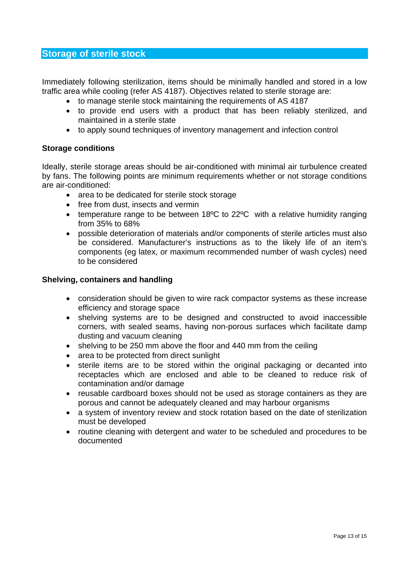## **Storage of sterile stock**

Immediately following sterilization, items should be minimally handled and stored in a low traffic area while cooling (refer AS 4187). Objectives related to sterile storage are:

- to manage sterile stock maintaining the requirements of AS 4187
- to provide end users with a product that has been reliably sterilized, and maintained in a sterile state
- to apply sound techniques of inventory management and infection control

## **Storage conditions**

Ideally, sterile storage areas should be air-conditioned with minimal air turbulence created by fans. The following points are minimum requirements whether or not storage conditions are air-conditioned:

- area to be dedicated for sterile stock storage
- free from dust, insects and vermin
- temperature range to be between 18°C to 22°C with a relative humidity ranging from 35% to 68%
- possible deterioration of materials and/or components of sterile articles must also be considered. Manufacturer's instructions as to the likely life of an item's components (eg latex, or maximum recommended number of wash cycles) need to be considered

#### **Shelving, containers and handling**

- consideration should be given to wire rack compactor systems as these increase efficiency and storage space
- shelving systems are to be designed and constructed to avoid inaccessible corners, with sealed seams, having non-porous surfaces which facilitate damp dusting and vacuum cleaning
- shelving to be 250 mm above the floor and 440 mm from the ceiling
- area to be protected from direct sunlight
- sterile items are to be stored within the original packaging or decanted into receptacles which are enclosed and able to be cleaned to reduce risk of contamination and/or damage
- reusable cardboard boxes should not be used as storage containers as they are porous and cannot be adequately cleaned and may harbour organisms
- a system of inventory review and stock rotation based on the date of sterilization must be developed
- routine cleaning with detergent and water to be scheduled and procedures to be documented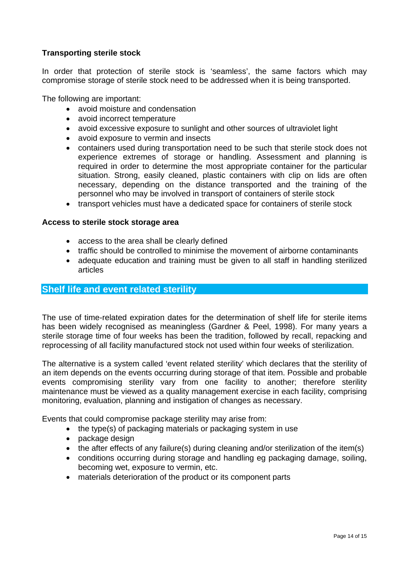## **Transporting sterile stock**

In order that protection of sterile stock is 'seamless', the same factors which may compromise storage of sterile stock need to be addressed when it is being transported.

The following are important:

- avoid moisture and condensation
- avoid incorrect temperature
- avoid excessive exposure to sunlight and other sources of ultraviolet light
- avoid exposure to vermin and insects
- containers used during transportation need to be such that sterile stock does not experience extremes of storage or handling. Assessment and planning is required in order to determine the most appropriate container for the particular situation. Strong, easily cleaned, plastic containers with clip on lids are often necessary, depending on the distance transported and the training of the personnel who may be involved in transport of containers of sterile stock
- transport vehicles must have a dedicated space for containers of sterile stock

## **Access to sterile stock storage area**

- access to the area shall be clearly defined
- traffic should be controlled to minimise the movement of airborne contaminants
- adequate education and training must be given to all staff in handling sterilized articles

## **Shelf life and event related sterility**

The use of time-related expiration dates for the determination of shelf life for sterile items has been widely recognised as meaningless (Gardner & Peel, 1998). For many years a sterile storage time of four weeks has been the tradition, followed by recall, repacking and reprocessing of all facility manufactured stock not used within four weeks of sterilization.

The alternative is a system called 'event related sterility' which declares that the sterility of an item depends on the events occurring during storage of that item. Possible and probable events compromising sterility vary from one facility to another; therefore sterility maintenance must be viewed as a quality management exercise in each facility, comprising monitoring, evaluation, planning and instigation of changes as necessary.

Events that could compromise package sterility may arise from:

- the type(s) of packaging materials or packaging system in use
- package design
- the after effects of any failure(s) during cleaning and/or sterilization of the item(s)
- conditions occurring during storage and handling eg packaging damage, soiling, becoming wet, exposure to vermin, etc.
- materials deterioration of the product or its component parts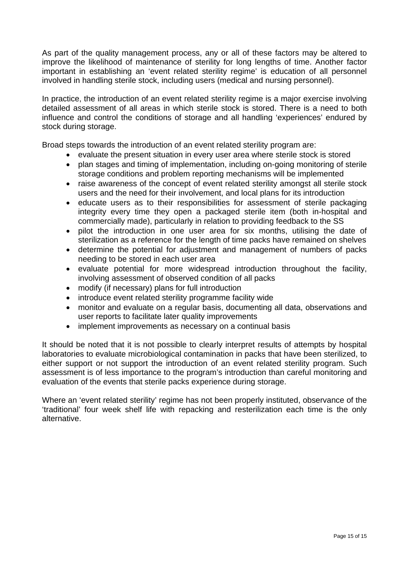As part of the quality management process, any or all of these factors may be altered to improve the likelihood of maintenance of sterility for long lengths of time. Another factor important in establishing an 'event related sterility regime' is education of all personnel involved in handling sterile stock, including users (medical and nursing personnel).

In practice, the introduction of an event related sterility regime is a major exercise involving detailed assessment of all areas in which sterile stock is stored. There is a need to both influence and control the conditions of storage and all handling 'experiences' endured by stock during storage.

Broad steps towards the introduction of an event related sterility program are:

- evaluate the present situation in every user area where sterile stock is stored
- plan stages and timing of implementation, including on-going monitoring of sterile storage conditions and problem reporting mechanisms will be implemented
- raise awareness of the concept of event related sterility amongst all sterile stock users and the need for their involvement, and local plans for its introduction
- educate users as to their responsibilities for assessment of sterile packaging integrity every time they open a packaged sterile item (both in-hospital and commercially made), particularly in relation to providing feedback to the SS
- pilot the introduction in one user area for six months, utilising the date of sterilization as a reference for the length of time packs have remained on shelves
- determine the potential for adjustment and management of numbers of packs needing to be stored in each user area
- evaluate potential for more widespread introduction throughout the facility, involving assessment of observed condition of all packs
- modify (if necessary) plans for full introduction
- introduce event related sterility programme facility wide
- monitor and evaluate on a regular basis, documenting all data, observations and user reports to facilitate later quality improvements
- implement improvements as necessary on a continual basis

It should be noted that it is not possible to clearly interpret results of attempts by hospital laboratories to evaluate microbiological contamination in packs that have been sterilized, to either support or not support the introduction of an event related sterility program. Such assessment is of less importance to the program's introduction than careful monitoring and evaluation of the events that sterile packs experience during storage.

Where an 'event related sterility' regime has not been properly instituted, observance of the 'traditional' four week shelf life with repacking and resterilization each time is the only alternative.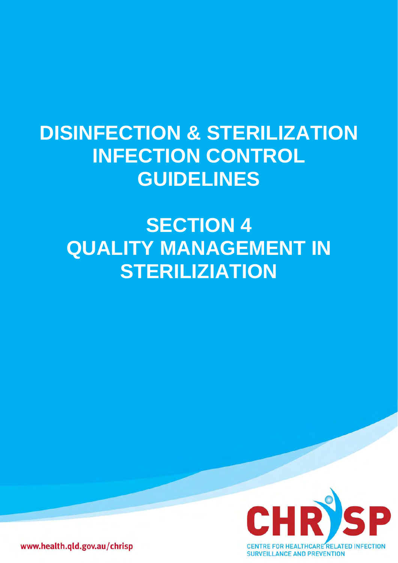## **DISINFECTION & STERILIZATION INFECTION CONTROL GUIDELINES**

# **SECTION 4 QUALITY MANAGEMENT IN STERILIZIATION**



www.health.qld.gov.au/chrisp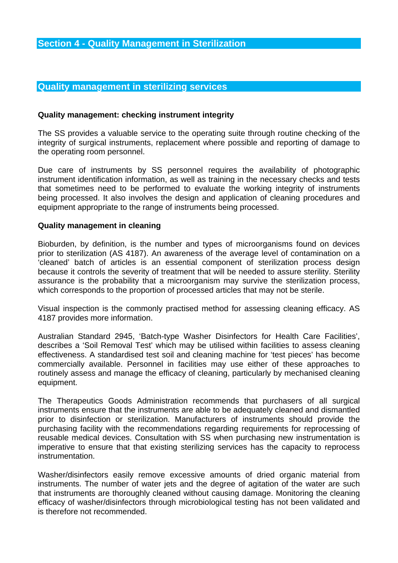## **Quality management in sterilizing services**

## **Quality management: checking instrument integrity**

The SS provides a valuable service to the operating suite through routine checking of the integrity of surgical instruments, replacement where possible and reporting of damage to the operating room personnel.

Due care of instruments by SS personnel requires the availability of photographic instrument identification information, as well as training in the necessary checks and tests that sometimes need to be performed to evaluate the working integrity of instruments being processed. It also involves the design and application of cleaning procedures and equipment appropriate to the range of instruments being processed.

## **Quality management in cleaning**

Bioburden, by definition, is the number and types of microorganisms found on devices prior to sterilization (AS 4187). An awareness of the average level of contamination on a 'cleaned' batch of articles is an essential component of sterilization process design because it controls the severity of treatment that will be needed to assure sterility. Sterility assurance is the probability that a microorganism may survive the sterilization process, which corresponds to the proportion of processed articles that may not be sterile.

Visual inspection is the commonly practised method for assessing cleaning efficacy. AS 4187 provides more information.

Australian Standard 2945, 'Batch-type Washer Disinfectors for Health Care Facilities', describes a 'Soil Removal Test' which may be utilised within facilities to assess cleaning effectiveness. A standardised test soil and cleaning machine for 'test pieces' has become commercially available. Personnel in facilities may use either of these approaches to routinely assess and manage the efficacy of cleaning, particularly by mechanised cleaning equipment.

The Therapeutics Goods Administration recommends that purchasers of all surgical instruments ensure that the instruments are able to be adequately cleaned and dismantled prior to disinfection or sterilization. Manufacturers of instruments should provide the purchasing facility with the recommendations regarding requirements for reprocessing of reusable medical devices. Consultation with SS when purchasing new instrumentation is imperative to ensure that that existing sterilizing services has the capacity to reprocess instrumentation.

Washer/disinfectors easily remove excessive amounts of dried organic material from instruments. The number of water jets and the degree of agitation of the water are such that instruments are thoroughly cleaned without causing damage. Monitoring the cleaning efficacy of washer/disinfectors through microbiological testing has not been validated and is therefore not recommended.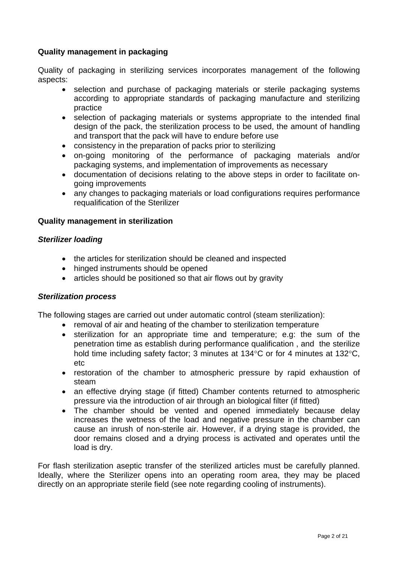## **Quality management in packaging**

Quality of packaging in sterilizing services incorporates management of the following aspects:

- selection and purchase of packaging materials or sterile packaging systems according to appropriate standards of packaging manufacture and sterilizing practice
- selection of packaging materials or systems appropriate to the intended final design of the pack, the sterilization process to be used, the amount of handling and transport that the pack will have to endure before use
- consistency in the preparation of packs prior to sterilizing
- on-going monitoring of the performance of packaging materials and/or packaging systems, and implementation of improvements as necessary
- documentation of decisions relating to the above steps in order to facilitate ongoing improvements
- any changes to packaging materials or load configurations requires performance requalification of the Sterilizer

## **Quality management in sterilization**

## *Sterilizer loading*

- the articles for sterilization should be cleaned and inspected
- hinged instruments should be opened
- articles should be positioned so that air flows out by gravity

## *Sterilization process*

The following stages are carried out under automatic control (steam sterilization):

- removal of air and heating of the chamber to sterilization temperature
- sterilization for an appropriate time and temperature; e.g: the sum of the penetration time as establish during performance qualification , and the sterilize hold time including safety factor; 3 minutes at 134°C or for 4 minutes at 132°C, etc
- restoration of the chamber to atmospheric pressure by rapid exhaustion of steam
- an effective drying stage (if fitted) Chamber contents returned to atmospheric pressure via the introduction of air through an biological filter (if fitted)
- The chamber should be vented and opened immediately because delay increases the wetness of the load and negative pressure in the chamber can cause an inrush of non-sterile air. However, if a drying stage is provided, the door remains closed and a drying process is activated and operates until the load is dry.

For flash sterilization aseptic transfer of the sterilized articles must be carefully planned. Ideally, where the Sterilizer opens into an operating room area, they may be placed directly on an appropriate sterile field (see note regarding cooling of instruments).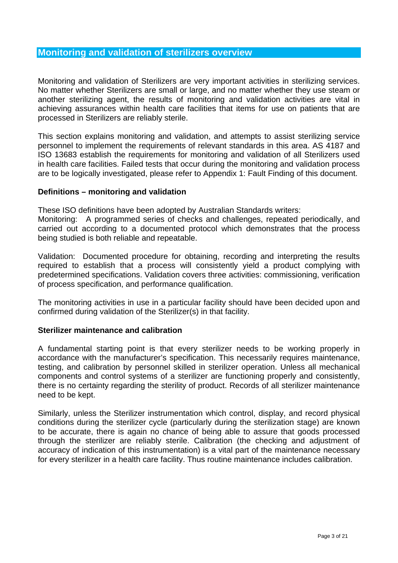## **Monitoring and validation of sterilizers overview**

Monitoring and validation of Sterilizers are very important activities in sterilizing services. No matter whether Sterilizers are small or large, and no matter whether they use steam or another sterilizing agent, the results of monitoring and validation activities are vital in achieving assurances within health care facilities that items for use on patients that are processed in Sterilizers are reliably sterile.

This section explains monitoring and validation, and attempts to assist sterilizing service personnel to implement the requirements of relevant standards in this area. AS 4187 and ISO 13683 establish the requirements for monitoring and validation of all Sterilizers used in health care facilities. Failed tests that occur during the monitoring and validation process are to be logically investigated, please refer to Appendix 1: Fault Finding of this document.

#### **Definitions – monitoring and validation**

These ISO definitions have been adopted by Australian Standards writers:

Monitoring: A programmed series of checks and challenges, repeated periodically, and carried out according to a documented protocol which demonstrates that the process being studied is both reliable and repeatable.

Validation: Documented procedure for obtaining, recording and interpreting the results required to establish that a process will consistently yield a product complying with predetermined specifications. Validation covers three activities: commissioning, verification of process specification, and performance qualification.

The monitoring activities in use in a particular facility should have been decided upon and confirmed during validation of the Sterilizer(s) in that facility.

#### **Sterilizer maintenance and calibration**

A fundamental starting point is that every sterilizer needs to be working properly in accordance with the manufacturer's specification. This necessarily requires maintenance, testing, and calibration by personnel skilled in sterilizer operation. Unless all mechanical components and control systems of a sterilizer are functioning properly and consistently, there is no certainty regarding the sterility of product. Records of all sterilizer maintenance need to be kept.

Similarly, unless the Sterilizer instrumentation which control, display, and record physical conditions during the sterilizer cycle (particularly during the sterilization stage) are known to be accurate, there is again no chance of being able to assure that goods processed through the sterilizer are reliably sterile. Calibration (the checking and adjustment of accuracy of indication of this instrumentation) is a vital part of the maintenance necessary for every sterilizer in a health care facility. Thus routine maintenance includes calibration.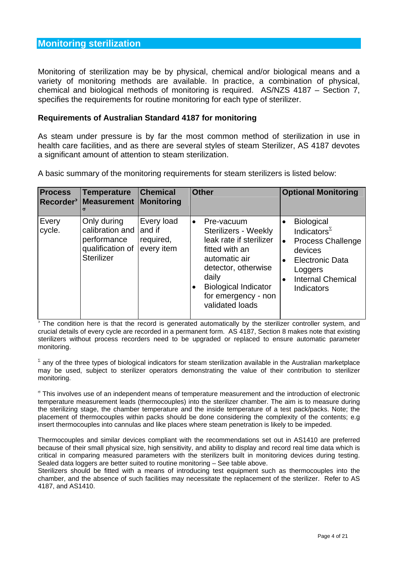## **Monitoring sterilization**

Monitoring of sterilization may be by physical, chemical and/or biological means and a variety of monitoring methods are available. In practice, a combination of physical, chemical and biological methods of monitoring is required. AS/NZS 4187 – Section 7, specifies the requirements for routine monitoring for each type of sterilizer.

#### **Requirements of Australian Standard 4187 for monitoring**

As steam under pressure is by far the most common method of sterilization in use in health care facilities, and as there are several styles of steam Sterilizer, AS 4187 devotes a significant amount of attention to steam sterilization.

A basic summary of the monitoring requirements for steam sterilizers is listed below:

| <b>Process</b>  | <b>Temperature</b><br>Recorder <sup>3</sup> Measurement                                | <b>Chemical</b><br><b>Monitoring</b>            | <b>Other</b>                                                                                                                                                                                                                        | <b>Optional Monitoring</b>                                                                                                                                                                               |
|-----------------|----------------------------------------------------------------------------------------|-------------------------------------------------|-------------------------------------------------------------------------------------------------------------------------------------------------------------------------------------------------------------------------------------|----------------------------------------------------------------------------------------------------------------------------------------------------------------------------------------------------------|
| Every<br>cycle. | Only during<br>calibration and<br>performance<br>qualification of<br><b>Sterilizer</b> | Every load<br>and if<br>required,<br>every item | Pre-vacuum<br>$\bullet$<br>Sterilizers - Weekly<br>leak rate if sterilizer<br>fitted with an<br>automatic air<br>detector, otherwise<br>daily<br><b>Biological Indicator</b><br>$\bullet$<br>for emergency - non<br>validated loads | <b>Biological</b><br>$\bullet$<br>Indicators $^{\Sigma}$<br><b>Process Challenge</b><br>$\bullet$<br>devices<br><b>Electronic Data</b><br>Loggers<br><b>Internal Chemical</b><br>$\bullet$<br>Indicators |

<sup>3</sup> The condition here is that the record is generated automatically by the sterilizer controller system, and crucial details of every cycle are recorded in a permanent form. AS 4187, Section 8 makes note that existing sterilizers without process recorders need to be upgraded or replaced to ensure automatic parameter monitoring.

 $\Sigma$  any of the three types of biological indicators for steam sterilization available in the Australian marketplace may be used, subject to sterilizer operators demonstrating the value of their contribution to sterilizer monitoring.

σ This involves use of an independent means of temperature measurement and the introduction of electronic temperature measurement leads (thermocouples) into the sterilizer chamber. The aim is to measure during the sterilizing stage, the chamber temperature and the inside temperature of a test pack/packs. Note; the placement of thermocouples within packs should be done considering the complexity of the contents; e.g insert thermocouples into cannulas and like places where steam penetration is likely to be impeded.

Thermocouples and similar devices compliant with the recommendations set out in AS1410 are preferred because of their small physical size, high sensitivity, and ability to display and record real time data which is critical in comparing measured parameters with the sterilizers built in monitoring devices during testing. Sealed data loggers are better suited to routine monitoring – See table above.

Sterilizers should be fitted with a means of introducing test equipment such as thermocouples into the chamber, and the absence of such facilities may necessitate the replacement of the sterilizer. Refer to AS 4187, and AS1410.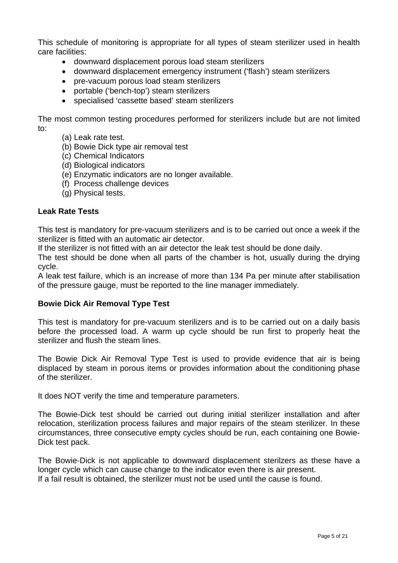This schedule of monitoring is appropriate for all types of steam sterilizer used in health care facilities:

- downward displacement porous load steam sterilizers
- downward displacement emergency instrument ('flash') steam sterilizers
- pre-vacuum porous load steam sterilizers
- portable ('bench-top') steam sterilizers
- specialised 'cassette based' steam sterilizers

The most common testing procedures performed for sterilizers include but are not limited to:

- (a) Leak rate test.
- (b) Bowie Dick type air removal test
- (c) Chemical Indicators
- (d) Biological indicators
- (e) Enzymatic indicators are no longer available.
- (f) Process challenge devices
- (g) Physical tests.

## **Leak Rate Tests**

This test is mandatory for pre-vacuum sterilizers and is to be carried out once a week if the sterilizer is fitted with an automatic air detector.

If the sterilizer is not fitted with an air detector the leak test should be done daily.

The test should be done when all parts of the chamber is hot, usually during the drying cycle.

A leak test failure, which is an increase of more than 134 Pa per minute after stabilisation of the pressure gauge, must be reported to the line manager immediately.

## **Bowie Dick Air Removal Type Test**

This test is mandatory for pre-vacuum sterilizers and is to be carried out on a daily basis before the processed load. A warm up cycle should be run first to properly heat the sterilizer and flush the steam lines.

The Bowie Dick Air Removal Type Test is used to provide evidence that air is being displaced by steam in porous items or provides information about the conditioning phase of the sterilizer.

It does NOT verify the time and temperature parameters.

The Bowie-Dick test should be carried out during initial sterilizer installation and after relocation, sterilization process failures and major repairs of the steam sterilizer. In these circumstances, three consecutive empty cycles should be run, each containing one Bowie-Dick test pack.

The Bowie-Dick is not applicable to downward displacement sterilzers as these have a longer cycle which can cause change to the indicator even there is air present. If a fail result is obtained, the sterilizer must not be used until the cause is found.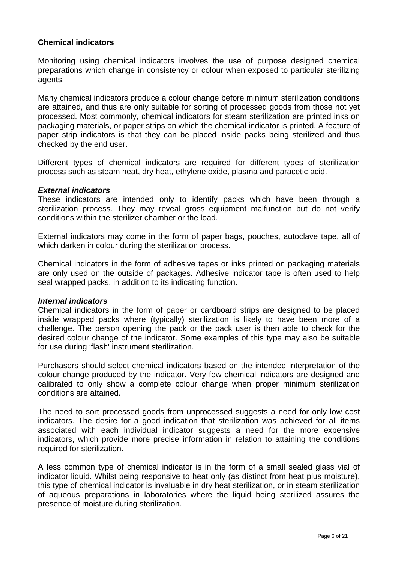## **Chemical indicators**

Monitoring using chemical indicators involves the use of purpose designed chemical preparations which change in consistency or colour when exposed to particular sterilizing agents.

Many chemical indicators produce a colour change before minimum sterilization conditions are attained, and thus are only suitable for sorting of processed goods from those not yet processed. Most commonly, chemical indicators for steam sterilization are printed inks on packaging materials, or paper strips on which the chemical indicator is printed. A feature of paper strip indicators is that they can be placed inside packs being sterilized and thus checked by the end user.

Different types of chemical indicators are required for different types of sterilization process such as steam heat, dry heat, ethylene oxide, plasma and paracetic acid.

#### *External indicators*

These indicators are intended only to identify packs which have been through a sterilization process. They may reveal gross equipment malfunction but do not verify conditions within the sterilizer chamber or the load.

External indicators may come in the form of paper bags, pouches, autoclave tape, all of which darken in colour during the sterilization process.

Chemical indicators in the form of adhesive tapes or inks printed on packaging materials are only used on the outside of packages. Adhesive indicator tape is often used to help seal wrapped packs, in addition to its indicating function.

#### *Internal indicators*

Chemical indicators in the form of paper or cardboard strips are designed to be placed inside wrapped packs where (typically) sterilization is likely to have been more of a challenge. The person opening the pack or the pack user is then able to check for the desired colour change of the indicator. Some examples of this type may also be suitable for use during 'flash' instrument sterilization.

Purchasers should select chemical indicators based on the intended interpretation of the colour change produced by the indicator. Very few chemical indicators are designed and calibrated to only show a complete colour change when proper minimum sterilization conditions are attained.

The need to sort processed goods from unprocessed suggests a need for only low cost indicators. The desire for a good indication that sterilization was achieved for all items associated with each individual indicator suggests a need for the more expensive indicators, which provide more precise information in relation to attaining the conditions required for sterilization.

A less common type of chemical indicator is in the form of a small sealed glass vial of indicator liquid. Whilst being responsive to heat only (as distinct from heat plus moisture), this type of chemical indicator is invaluable in dry heat sterilization, or in steam sterilization of aqueous preparations in laboratories where the liquid being sterilized assures the presence of moisture during sterilization.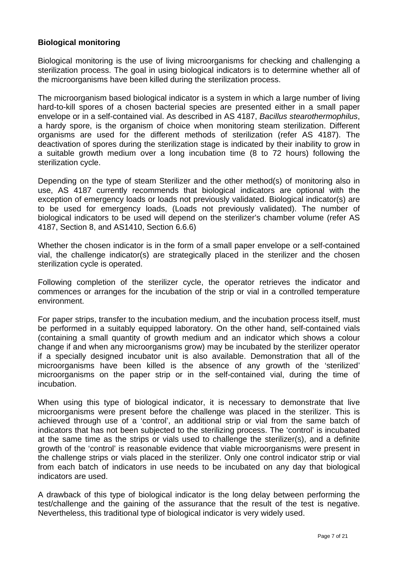## **Biological monitoring**

Biological monitoring is the use of living microorganisms for checking and challenging a sterilization process. The goal in using biological indicators is to determine whether all of the microorganisms have been killed during the sterilization process.

The microorganism based biological indicator is a system in which a large number of living hard-to-kill spores of a chosen bacterial species are presented either in a small paper envelope or in a self-contained vial. As described in AS 4187, *Bacillus stearothermophilus*, a hardy spore, is the organism of choice when monitoring steam sterilization. Different organisms are used for the different methods of sterilization (refer AS 4187). The deactivation of spores during the sterilization stage is indicated by their inability to grow in a suitable growth medium over a long incubation time (8 to 72 hours) following the sterilization cycle.

Depending on the type of steam Sterilizer and the other method(s) of monitoring also in use, AS 4187 currently recommends that biological indicators are optional with the exception of emergency loads or loads not previously validated. Biological indicator(s) are to be used for emergency loads, (Loads not previously validated). The number of biological indicators to be used will depend on the sterilizer's chamber volume (refer AS 4187, Section 8, and AS1410, Section 6.6.6)

Whether the chosen indicator is in the form of a small paper envelope or a self-contained vial, the challenge indicator(s) are strategically placed in the sterilizer and the chosen sterilization cycle is operated.

Following completion of the sterilizer cycle, the operator retrieves the indicator and commences or arranges for the incubation of the strip or vial in a controlled temperature environment.

For paper strips, transfer to the incubation medium, and the incubation process itself, must be performed in a suitably equipped laboratory. On the other hand, self-contained vials (containing a small quantity of growth medium and an indicator which shows a colour change if and when any microorganisms grow) may be incubated by the sterilizer operator if a specially designed incubator unit is also available. Demonstration that all of the microorganisms have been killed is the absence of any growth of the 'sterilized' microorganisms on the paper strip or in the self-contained vial, during the time of incubation.

When using this type of biological indicator, it is necessary to demonstrate that live microorganisms were present before the challenge was placed in the sterilizer. This is achieved through use of a 'control', an additional strip or vial from the same batch of indicators that has not been subjected to the sterilizing process. The 'control' is incubated at the same time as the strips or vials used to challenge the sterilizer(s), and a definite growth of the 'control' is reasonable evidence that viable microorganisms were present in the challenge strips or vials placed in the sterilizer. Only one control indicator strip or vial from each batch of indicators in use needs to be incubated on any day that biological indicators are used.

A drawback of this type of biological indicator is the long delay between performing the test/challenge and the gaining of the assurance that the result of the test is negative. Nevertheless, this traditional type of biological indicator is very widely used.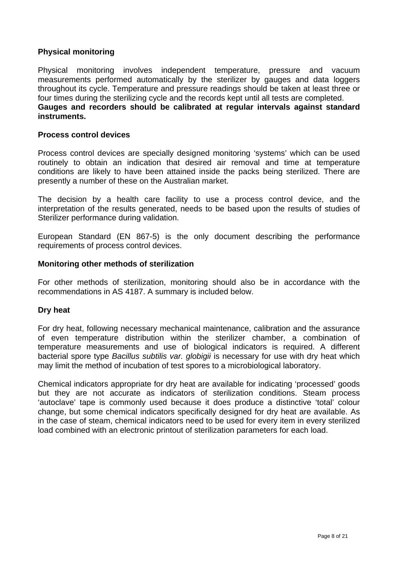## **Physical monitoring**

Physical monitoring involves independent temperature, pressure and vacuum measurements performed automatically by the sterilizer by gauges and data loggers throughout its cycle. Temperature and pressure readings should be taken at least three or four times during the sterilizing cycle and the records kept until all tests are completed. **Gauges and recorders should be calibrated at regular intervals against standard instruments.** 

#### **Process control devices**

Process control devices are specially designed monitoring 'systems' which can be used routinely to obtain an indication that desired air removal and time at temperature conditions are likely to have been attained inside the packs being sterilized. There are presently a number of these on the Australian market.

The decision by a health care facility to use a process control device, and the interpretation of the results generated, needs to be based upon the results of studies of Sterilizer performance during validation.

European Standard (EN 867-5) is the only document describing the performance requirements of process control devices.

#### **Monitoring other methods of sterilization**

For other methods of sterilization, monitoring should also be in accordance with the recommendations in AS 4187. A summary is included below.

#### **Dry heat**

For dry heat, following necessary mechanical maintenance, calibration and the assurance of even temperature distribution within the sterilizer chamber, a combination of temperature measurements and use of biological indicators is required. A different bacterial spore type *Bacillus subtilis var. globigii* is necessary for use with dry heat which may limit the method of incubation of test spores to a microbiological laboratory.

Chemical indicators appropriate for dry heat are available for indicating 'processed' goods but they are not accurate as indicators of sterilization conditions. Steam process 'autoclave' tape is commonly used because it does produce a distinctive 'total' colour change, but some chemical indicators specifically designed for dry heat are available. As in the case of steam, chemical indicators need to be used for every item in every sterilized load combined with an electronic printout of sterilization parameters for each load.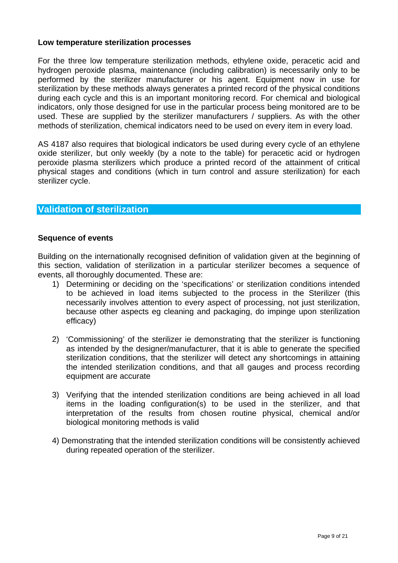## **Low temperature sterilization processes**

For the three low temperature sterilization methods, ethylene oxide, peracetic acid and hydrogen peroxide plasma, maintenance (including calibration) is necessarily only to be performed by the sterilizer manufacturer or his agent. Equipment now in use for sterilization by these methods always generates a printed record of the physical conditions during each cycle and this is an important monitoring record. For chemical and biological indicators, only those designed for use in the particular process being monitored are to be used. These are supplied by the sterilizer manufacturers / suppliers. As with the other methods of sterilization, chemical indicators need to be used on every item in every load.

AS 4187 also requires that biological indicators be used during every cycle of an ethylene oxide sterilizer, but only weekly (by a note to the table) for peracetic acid or hydrogen peroxide plasma sterilizers which produce a printed record of the attainment of critical physical stages and conditions (which in turn control and assure sterilization) for each sterilizer cycle.

## **Validation of sterilization**

## **Sequence of events**

Building on the internationally recognised definition of validation given at the beginning of this section, validation of sterilization in a particular sterilizer becomes a sequence of events, all thoroughly documented. These are:

- 1) Determining or deciding on the 'specifications' or sterilization conditions intended to be achieved in load items subjected to the process in the Sterilizer (this necessarily involves attention to every aspect of processing, not just sterilization, because other aspects eg cleaning and packaging, do impinge upon sterilization efficacy)
- 2) 'Commissioning' of the sterilizer ie demonstrating that the sterilizer is functioning as intended by the designer/manufacturer, that it is able to generate the specified sterilization conditions, that the sterilizer will detect any shortcomings in attaining the intended sterilization conditions, and that all gauges and process recording equipment are accurate
- 3) Verifying that the intended sterilization conditions are being achieved in all load items in the loading configuration(s) to be used in the sterilizer, and that interpretation of the results from chosen routine physical, chemical and/or biological monitoring methods is valid
- 4) Demonstrating that the intended sterilization conditions will be consistently achieved during repeated operation of the sterilizer.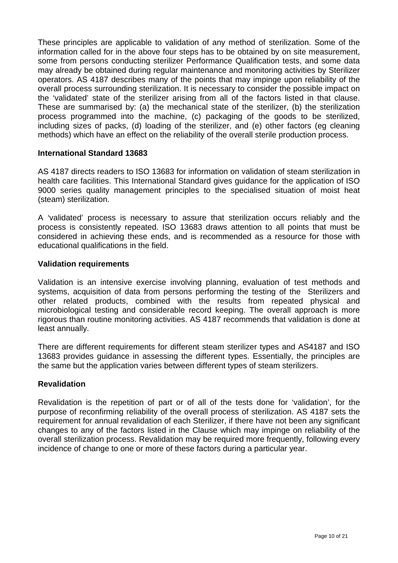These principles are applicable to validation of any method of sterilization. Some of the information called for in the above four steps has to be obtained by on site measurement, some from persons conducting sterilizer Performance Qualification tests, and some data may already be obtained during regular maintenance and monitoring activities by Sterilizer operators. AS 4187 describes many of the points that may impinge upon reliability of the overall process surrounding sterilization. It is necessary to consider the possible impact on the 'validated' state of the sterilizer arising from all of the factors listed in that clause. These are summarised by: (a) the mechanical state of the sterilizer, (b) the sterilization process programmed into the machine, (c) packaging of the goods to be sterilized, including sizes of packs, (d) loading of the sterilizer, and (e) other factors (eg cleaning methods) which have an effect on the reliability of the overall sterile production process.

## **International Standard 13683**

AS 4187 directs readers to ISO 13683 for information on validation of steam sterilization in health care facilities. This International Standard gives guidance for the application of ISO 9000 series quality management principles to the specialised situation of moist heat (steam) sterilization.

A 'validated' process is necessary to assure that sterilization occurs reliably and the process is consistently repeated. ISO 13683 draws attention to all points that must be considered in achieving these ends, and is recommended as a resource for those with educational qualifications in the field.

#### **Validation requirements**

Validation is an intensive exercise involving planning, evaluation of test methods and systems, acquisition of data from persons performing the testing of the Sterilizers and other related products, combined with the results from repeated physical and microbiological testing and considerable record keeping. The overall approach is more rigorous than routine monitoring activities. AS 4187 recommends that validation is done at least annually.

There are different requirements for different steam sterilizer types and AS4187 and ISO 13683 provides guidance in assessing the different types. Essentially, the principles are the same but the application varies between different types of steam sterilizers.

## **Revalidation**

Revalidation is the repetition of part or of all of the tests done for 'validation', for the purpose of reconfirming reliability of the overall process of sterilization. AS 4187 sets the requirement for annual revalidation of each Sterilizer, if there have not been any significant changes to any of the factors listed in the Clause which may impinge on reliability of the overall sterilization process. Revalidation may be required more frequently, following every incidence of change to one or more of these factors during a particular year.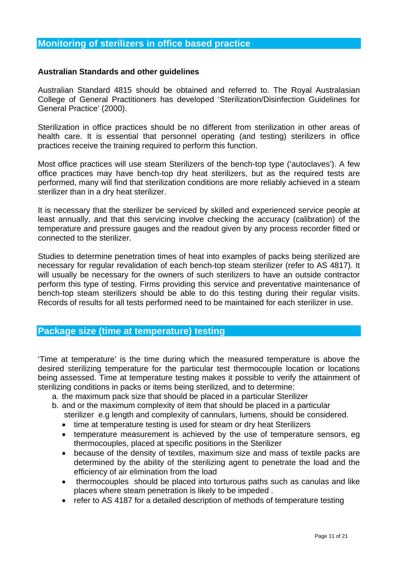## **Australian Standards and other guidelines**

Australian Standard 4815 should be obtained and referred to. The Royal Australasian College of General Practitioners has developed 'Sterilization/Disinfection Guidelines for General Practice' (2000).

Sterilization in office practices should be no different from sterilization in other areas of health care. It is essential that personnel operating (and testing) sterilizers in office practices receive the training required to perform this function.

Most office practices will use steam Sterilizers of the bench-top type ('autoclaves'). A few office practices may have bench-top dry heat sterilizers, but as the required tests are performed, many will find that sterilization conditions are more reliably achieved in a steam sterilizer than in a dry heat sterilizer.

It is necessary that the sterilizer be serviced by skilled and experienced service people at least annually, and that this servicing involve checking the accuracy (calibration) of the temperature and pressure gauges and the readout given by any process recorder fitted or connected to the sterilizer.

Studies to determine penetration times of heat into examples of packs being sterilized are necessary for regular revalidation of each bench-top steam sterilizer (refer to AS 4817). It will usually be necessary for the owners of such sterilizers to have an outside contractor perform this type of testing. Firms providing this service and preventative maintenance of bench-top steam sterilizers should be able to do this testing during their regular visits. Records of results for all tests performed need to be maintained for each sterilizer in use.

## **Package size (time at temperature) testing**

'Time at temperature' is the time during which the measured temperature is above the desired sterilizing temperature for the particular test thermocouple location or locations being assessed. Time at temperature testing makes it possible to verify the attainment of sterilizing conditions in packs or items being sterilized, and to determine:

- a. the maximum pack size that should be placed in a particular Sterilizer
- b. and or the maximum complexity of item that should be placed in a particular sterilizer e.g length and complexity of cannulars, lumens, should be considered.
	- time at temperature testing is used for steam or dry heat Sterilizers
	- temperature measurement is achieved by the use of temperature sensors, eg thermocouples, placed at specific positions in the Sterilizer
	- because of the density of textiles, maximum size and mass of textile packs are determined by the ability of the sterilizing agent to penetrate the load and the efficiency of air elimination from the load
	- thermocouples should be placed into torturous paths such as canulas and like places where steam penetration is likely to be impeded .
	- refer to AS 4187 for a detailed description of methods of temperature testing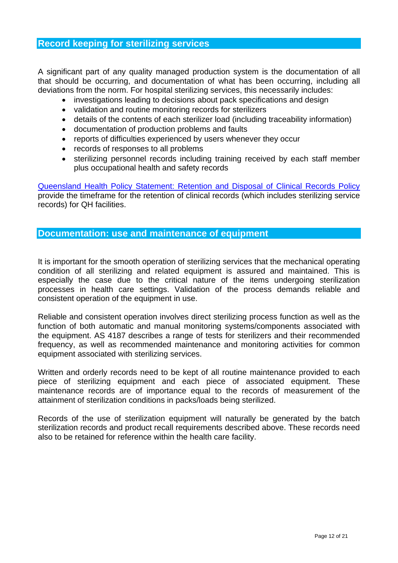## **Record keeping for sterilizing services**

A significant part of any quality managed production system is the documentation of all that should be occurring, and documentation of what has been occurring, including all deviations from the norm. For hospital sterilizing services, this necessarily includes:

- investigations leading to decisions about pack specifications and design
- validation and routine monitoring records for sterilizers
- details of the contents of each sterilizer load (including traceability information)
- documentation of production problems and faults
- reports of difficulties experienced by users whenever they occur
- records of responses to all problems
- sterilizing personnel records including training received by each staff member plus occupational health and safety records

[Queensland Health Policy Statement: Retention and Disposal of Clinical Records Policy](http://qheps.health.qld.gov.au/iib/docs/9442.pdf) provide the timeframe for the retention of clinical records (which includes sterilizing service records) for QH facilities.

## **Documentation: use and maintenance of equipment**

It is important for the smooth operation of sterilizing services that the mechanical operating condition of all sterilizing and related equipment is assured and maintained. This is especially the case due to the critical nature of the items undergoing sterilization processes in health care settings. Validation of the process demands reliable and consistent operation of the equipment in use.

Reliable and consistent operation involves direct sterilizing process function as well as the function of both automatic and manual monitoring systems/components associated with the equipment. AS 4187 describes a range of tests for sterilizers and their recommended frequency, as well as recommended maintenance and monitoring activities for common equipment associated with sterilizing services.

Written and orderly records need to be kept of all routine maintenance provided to each piece of sterilizing equipment and each piece of associated equipment. These maintenance records are of importance equal to the records of measurement of the attainment of sterilization conditions in packs/loads being sterilized.

Records of the use of sterilization equipment will naturally be generated by the batch sterilization records and product recall requirements described above. These records need also to be retained for reference within the health care facility.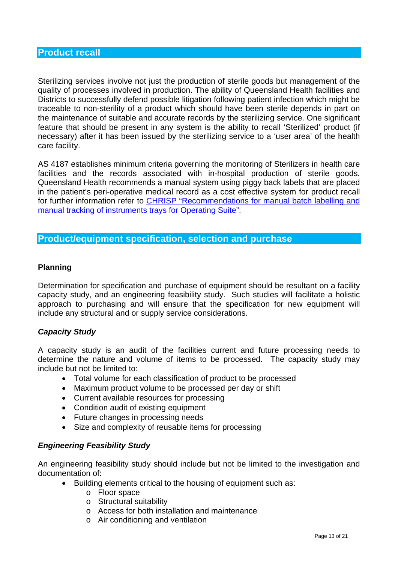Sterilizing services involve not just the production of sterile goods but management of the quality of processes involved in production. The ability of Queensland Health facilities and Districts to successfully defend possible litigation following patient infection which might be traceable to non-sterility of a product which should have been sterile depends in part on the maintenance of suitable and accurate records by the sterilizing service. One significant feature that should be present in any system is the ability to recall 'Sterilized' product (if necessary) after it has been issued by the sterilizing service to a 'user area' of the health care facility.

AS 4187 establishes minimum criteria governing the monitoring of Sterilizers in health care facilities and the records associated with in-hospital production of sterile goods. Queensland Health recommends a manual system using piggy back labels that are placed in the patient's peri-operative medical record as a cost effective system for product recall for further information refer to [CHRISP "Recommendations for manual batch labelling and](http://www.health.qld.gov.au/chrisp/sterilising/manual_lab_track.pdf)  [manual tracking of instruments trays for Operating Suite".](http://www.health.qld.gov.au/chrisp/sterilising/manual_lab_track.pdf) 

## **Product/equipment specification, selection and purchase**

## **Planning**

Determination for specification and purchase of equipment should be resultant on a facility capacity study, and an engineering feasibility study. Such studies will facilitate a holistic approach to purchasing and will ensure that the specification for new equipment will include any structural and or supply service considerations.

## *Capacity Study*

A capacity study is an audit of the facilities current and future processing needs to determine the nature and volume of items to be processed. The capacity study may include but not be limited to:

- Total volume for each classification of product to be processed
- Maximum product volume to be processed per day or shift
- Current available resources for processing
- Condition audit of existing equipment
- Future changes in processing needs
- Size and complexity of reusable items for processing

#### *Engineering Feasibility Study*

An engineering feasibility study should include but not be limited to the investigation and documentation of:

- Building elements critical to the housing of equipment such as:
	- o Floor space
	- o Structural suitability
	- o Access for both installation and maintenance
	- o Air conditioning and ventilation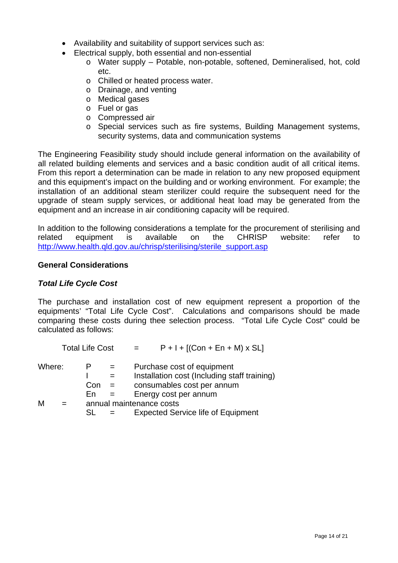- Availability and suitability of support services such as:
- Electrical supply, both essential and non-essential
	- o Water supply Potable, non-potable, softened, Demineralised, hot, cold etc.
	- o Chilled or heated process water.
	- o Drainage, and venting
	- o Medical gases
	- o Fuel or gas
	- o Compressed air
	- o Special services such as fire systems, Building Management systems, security systems, data and communication systems

The Engineering Feasibility study should include general information on the availability of all related building elements and services and a basic condition audit of all critical items. From this report a determination can be made in relation to any new proposed equipment and this equipment's impact on the building and or working environment. For example; the installation of an additional steam sterilizer could require the subsequent need for the upgrade of steam supply services, or additional heat load may be generated from the equipment and an increase in air conditioning capacity will be required.

In addition to the following considerations a template for the procurement of sterilising and related equipment is available on the CHRISP website: refer to [http://www.health.qld.gov.au/chrisp/sterilising/sterile\\_support.asp](http://www.health.qld.gov.au/chrisp/sterilising/sterile_support.asp)

## **General Considerations**

## *Total Life Cycle Cost*

The purchase and installation cost of new equipment represent a proportion of the equipments' "Total Life Cycle Cost". Calculations and comparisons should be made comparing these costs during thee selection process. "Total Life Cycle Cost" could be calculated as follows:

|        | <b>Total Life Cost</b>   |  | $P + I + [(Con + En + M) \times SL]$                                       |  |  |
|--------|--------------------------|--|----------------------------------------------------------------------------|--|--|
| Where: |                          |  | Purchase cost of equipment<br>Installation cost (Including staff training) |  |  |
|        | Con                      |  | consumables cost per annum                                                 |  |  |
|        | Fn                       |  | Energy cost per annum                                                      |  |  |
| М      | annual maintenance costs |  |                                                                            |  |  |
|        | SL                       |  | <b>Expected Service life of Equipment</b>                                  |  |  |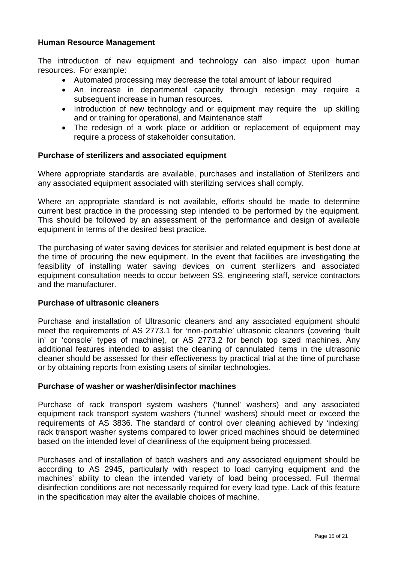## **Human Resource Management**

The introduction of new equipment and technology can also impact upon human resources. For example:

- Automated processing may decrease the total amount of labour required
- An increase in departmental capacity through redesign may require a subsequent increase in human resources.
- Introduction of new technology and or equipment may require the up skilling and or training for operational, and Maintenance staff
- The redesign of a work place or addition or replacement of equipment may require a process of stakeholder consultation.

#### **Purchase of sterilizers and associated equipment**

Where appropriate standards are available, purchases and installation of Sterilizers and any associated equipment associated with sterilizing services shall comply.

Where an appropriate standard is not available, efforts should be made to determine current best practice in the processing step intended to be performed by the equipment. This should be followed by an assessment of the performance and design of available equipment in terms of the desired best practice.

The purchasing of water saving devices for sterilsier and related equipment is best done at the time of procuring the new equipment. In the event that facilities are investigating the feasibility of installing water saving devices on current sterilizers and associated equipment consultation needs to occur between SS, engineering staff, service contractors and the manufacturer.

#### **Purchase of ultrasonic cleaners**

Purchase and installation of Ultrasonic cleaners and any associated equipment should meet the requirements of AS 2773.1 for 'non-portable' ultrasonic cleaners (covering 'built in' or 'console' types of machine), or AS 2773.2 for bench top sized machines. Any additional features intended to assist the cleaning of cannulated items in the ultrasonic cleaner should be assessed for their effectiveness by practical trial at the time of purchase or by obtaining reports from existing users of similar technologies.

#### **Purchase of washer or washer/disinfector machines**

Purchase of rack transport system washers ('tunnel' washers) and any associated equipment rack transport system washers ('tunnel' washers) should meet or exceed the requirements of AS 3836. The standard of control over cleaning achieved by 'indexing' rack transport washer systems compared to lower priced machines should be determined based on the intended level of cleanliness of the equipment being processed.

Purchases and of installation of batch washers and any associated equipment should be according to AS 2945, particularly with respect to load carrying equipment and the machines' ability to clean the intended variety of load being processed. Full thermal disinfection conditions are not necessarily required for every load type. Lack of this feature in the specification may alter the available choices of machine.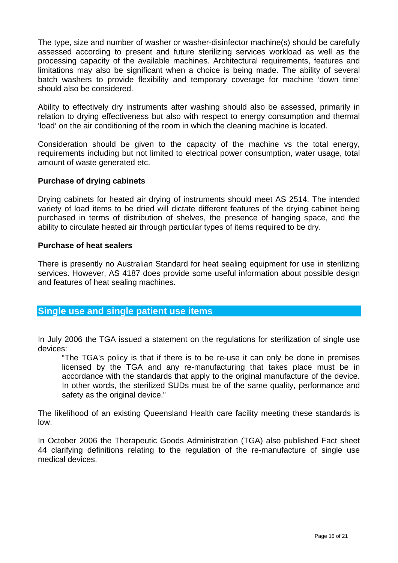The type, size and number of washer or washer-disinfector machine(s) should be carefully assessed according to present and future sterilizing services workload as well as the processing capacity of the available machines. Architectural requirements, features and limitations may also be significant when a choice is being made. The ability of several batch washers to provide flexibility and temporary coverage for machine 'down time' should also be considered.

Ability to effectively dry instruments after washing should also be assessed, primarily in relation to drying effectiveness but also with respect to energy consumption and thermal 'load' on the air conditioning of the room in which the cleaning machine is located.

Consideration should be given to the capacity of the machine vs the total energy, requirements including but not limited to electrical power consumption, water usage, total amount of waste generated etc.

## **Purchase of drying cabinets**

Drying cabinets for heated air drying of instruments should meet AS 2514. The intended variety of load items to be dried will dictate different features of the drying cabinet being purchased in terms of distribution of shelves, the presence of hanging space, and the ability to circulate heated air through particular types of items required to be dry.

## **Purchase of heat sealers**

There is presently no Australian Standard for heat sealing equipment for use in sterilizing services. However, AS 4187 does provide some useful information about possible design and features of heat sealing machines.

## **Single use and single patient use items**

In July 2006 the TGA issued a statement on the regulations for sterilization of single use devices:

"The TGA's policy is that if there is to be re-use it can only be done in premises licensed by the TGA and any re-manufacturing that takes place must be in accordance with the standards that apply to the original manufacture of the device. In other words, the sterilized SUDs must be of the same quality, performance and safety as the original device."

The likelihood of an existing Queensland Health care facility meeting these standards is low.

In October 2006 the Therapeutic Goods Administration (TGA) also published Fact sheet 44 clarifying definitions relating to the regulation of the re-manufacture of single use medical devices.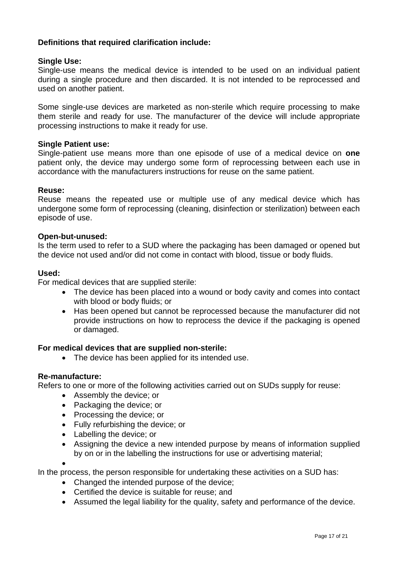## **Definitions that required clarification include:**

## **Single Use:**

Single-use means the medical device is intended to be used on an individual patient during a single procedure and then discarded. It is not intended to be reprocessed and used on another patient.

Some single-use devices are marketed as non-sterile which require processing to make them sterile and ready for use. The manufacturer of the device will include appropriate processing instructions to make it ready for use.

#### **Single Patient use:**

Single-patient use means more than one episode of use of a medical device on **one**  patient only, the device may undergo some form of reprocessing between each use in accordance with the manufacturers instructions for reuse on the same patient.

#### **Reuse:**

Reuse means the repeated use or multiple use of any medical device which has undergone some form of reprocessing (cleaning, disinfection or sterilization) between each episode of use.

#### **Open-but-unused:**

Is the term used to refer to a SUD where the packaging has been damaged or opened but the device not used and/or did not come in contact with blood, tissue or body fluids.

#### **Used:**

For medical devices that are supplied sterile:

- The device has been placed into a wound or body cavity and comes into contact with blood or body fluids; or
- Has been opened but cannot be reprocessed because the manufacturer did not provide instructions on how to reprocess the device if the packaging is opened or damaged.

#### **For medical devices that are supplied non-sterile:**

• The device has been applied for its intended use.

#### **Re-manufacture:**

Refers to one or more of the following activities carried out on SUDs supply for reuse:

- Assembly the device; or
- Packaging the device; or
- Processing the device; or
- Fully refurbishing the device; or
- Labelling the device; or
- Assigning the device a new intended purpose by means of information supplied by on or in the labelling the instructions for use or advertising material;

•

In the process, the person responsible for undertaking these activities on a SUD has:

- Changed the intended purpose of the device:
- Certified the device is suitable for reuse; and
- Assumed the legal liability for the quality, safety and performance of the device.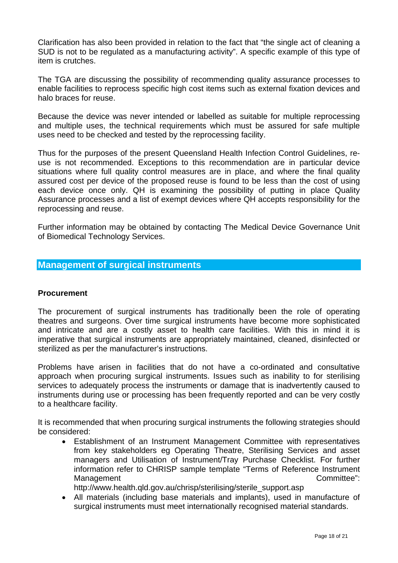Clarification has also been provided in relation to the fact that "the single act of cleaning a SUD is not to be regulated as a manufacturing activity". A specific example of this type of item is crutches.

The TGA are discussing the possibility of recommending quality assurance processes to enable facilities to reprocess specific high cost items such as external fixation devices and halo braces for reuse.

Because the device was never intended or labelled as suitable for multiple reprocessing and multiple uses, the technical requirements which must be assured for safe multiple uses need to be checked and tested by the reprocessing facility.

Thus for the purposes of the present Queensland Health Infection Control Guidelines, reuse is not recommended. Exceptions to this recommendation are in particular device situations where full quality control measures are in place, and where the final quality assured cost per device of the proposed reuse is found to be less than the cost of using each device once only. QH is examining the possibility of putting in place Quality Assurance processes and a list of exempt devices where QH accepts responsibility for the reprocessing and reuse.

Further information may be obtained by contacting The Medical Device Governance Unit of Biomedical Technology Services.

## **Management of surgical instruments**

#### **Procurement**

The procurement of surgical instruments has traditionally been the role of operating theatres and surgeons. Over time surgical instruments have become more sophisticated and intricate and are a costly asset to health care facilities. With this in mind it is imperative that surgical instruments are appropriately maintained, cleaned, disinfected or sterilized as per the manufacturer's instructions.

Problems have arisen in facilities that do not have a co-ordinated and consultative approach when procuring surgical instruments. Issues such as inability to for sterilising services to adequately process the instruments or damage that is inadvertently caused to instruments during use or processing has been frequently reported and can be very costly to a healthcare facility.

It is recommended that when procuring surgical instruments the following strategies should be considered:

- Establishment of an Instrument Management Committee with representatives from key stakeholders eg Operating Theatre, Sterilising Services and asset managers and Utilisation of Instrument/Tray Purchase Checklist. For further information refer to CHRISP sample template "Terms of Reference Instrument Management Committee": http://www.health.qld.gov.au/chrisp/sterilising/sterile\_support.asp
- All materials (including base materials and implants), used in manufacture of surgical instruments must meet internationally recognised material standards.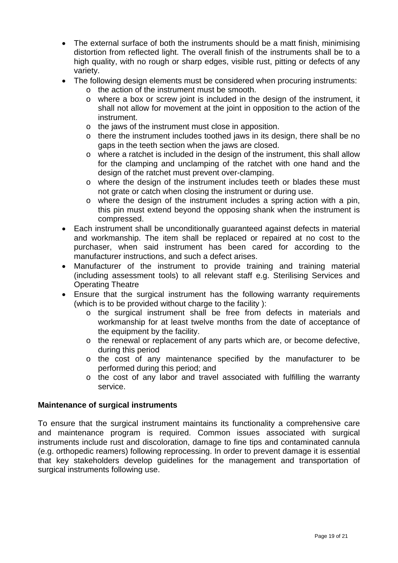- The external surface of both the instruments should be a matt finish, minimising distortion from reflected light. The overall finish of the instruments shall be to a high quality, with no rough or sharp edges, visible rust, pitting or defects of any variety.
- The following design elements must be considered when procuring instruments:
	- o the action of the instrument must be smooth.
	- o where a box or screw joint is included in the design of the instrument, it shall not allow for movement at the joint in opposition to the action of the instrument.
	- o the jaws of the instrument must close in apposition.
	- o there the instrument includes toothed jaws in its design, there shall be no gaps in the teeth section when the jaws are closed.
	- o where a ratchet is included in the design of the instrument, this shall allow for the clamping and unclamping of the ratchet with one hand and the design of the ratchet must prevent over-clamping.
	- o where the design of the instrument includes teeth or blades these must not grate or catch when closing the instrument or during use.
	- o where the design of the instrument includes a spring action with a pin, this pin must extend beyond the opposing shank when the instrument is compressed.
- Each instrument shall be unconditionally guaranteed against defects in material and workmanship. The item shall be replaced or repaired at no cost to the purchaser, when said instrument has been cared for according to the manufacturer instructions, and such a defect arises.
- Manufacturer of the instrument to provide training and training material (including assessment tools) to all relevant staff e.g. Sterilising Services and Operating Theatre
- Ensure that the surgical instrument has the following warranty requirements (which is to be provided without charge to the facility ):
	- o the surgical instrument shall be free from defects in materials and workmanship for at least twelve months from the date of acceptance of the equipment by the facility.
	- o the renewal or replacement of any parts which are, or become defective, during this period
	- o the cost of any maintenance specified by the manufacturer to be performed during this period; and
	- o the cost of any labor and travel associated with fulfilling the warranty service.

## **Maintenance of surgical instruments**

To ensure that the surgical instrument maintains its functionality a comprehensive care and maintenance program is required. Common issues associated with surgical instruments include rust and discoloration, damage to fine tips and contaminated cannula (e.g. orthopedic reamers) following reprocessing. In order to prevent damage it is essential that key stakeholders develop guidelines for the management and transportation of surgical instruments following use.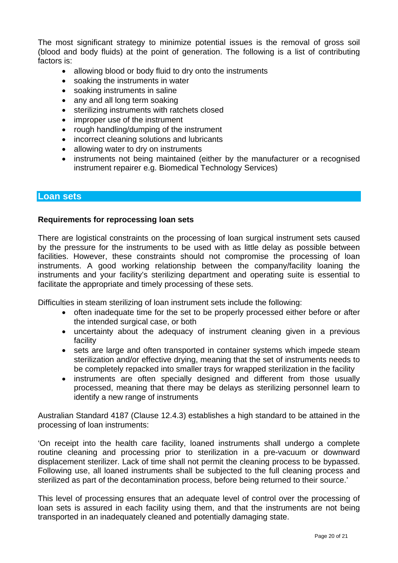The most significant strategy to minimize potential issues is the removal of gross soil (blood and body fluids) at the point of generation. The following is a list of contributing factors is:

- allowing blood or body fluid to dry onto the instruments
- soaking the instruments in water
- soaking instruments in saline
- any and all long term soaking
- sterilizing instruments with ratchets closed
- improper use of the instrument
- rough handling/dumping of the instrument
- incorrect cleaning solutions and lubricants
- allowing water to dry on instruments
- instruments not being maintained (either by the manufacturer or a recognised instrument repairer e.g. Biomedical Technology Services)

#### **Loan sets**

#### **Requirements for reprocessing loan sets**

There are logistical constraints on the processing of loan surgical instrument sets caused by the pressure for the instruments to be used with as little delay as possible between facilities. However, these constraints should not compromise the processing of loan instruments. A good working relationship between the company/facility loaning the instruments and your facility's sterilizing department and operating suite is essential to facilitate the appropriate and timely processing of these sets.

Difficulties in steam sterilizing of loan instrument sets include the following:

- often inadequate time for the set to be properly processed either before or after the intended surgical case, or both
- uncertainty about the adequacy of instrument cleaning given in a previous facility
- sets are large and often transported in container systems which impede steam sterilization and/or effective drying, meaning that the set of instruments needs to be completely repacked into smaller trays for wrapped sterilization in the facility
- instruments are often specially designed and different from those usually processed, meaning that there may be delays as sterilizing personnel learn to identify a new range of instruments

Australian Standard 4187 (Clause 12.4.3) establishes a high standard to be attained in the processing of loan instruments:

'On receipt into the health care facility, loaned instruments shall undergo a complete routine cleaning and processing prior to sterilization in a pre-vacuum or downward displacement sterilizer. Lack of time shall not permit the cleaning process to be bypassed. Following use, all loaned instruments shall be subjected to the full cleaning process and sterilized as part of the decontamination process, before being returned to their source.'

This level of processing ensures that an adequate level of control over the processing of loan sets is assured in each facility using them, and that the instruments are not being transported in an inadequately cleaned and potentially damaging state.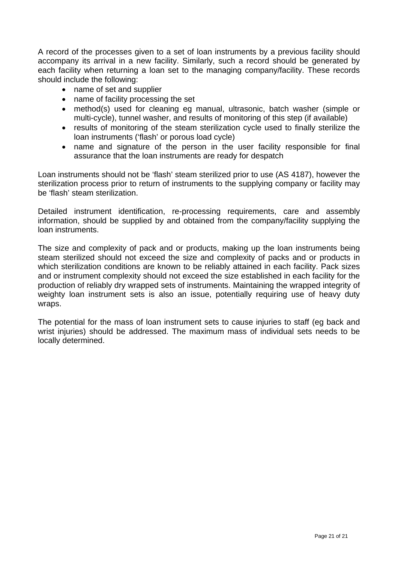A record of the processes given to a set of loan instruments by a previous facility should accompany its arrival in a new facility. Similarly, such a record should be generated by each facility when returning a loan set to the managing company/facility. These records should include the following:

- name of set and supplier
- name of facility processing the set
- method(s) used for cleaning eg manual, ultrasonic, batch washer (simple or multi-cycle), tunnel washer, and results of monitoring of this step (if available)
- results of monitoring of the steam sterilization cycle used to finally sterilize the loan instruments ('flash' or porous load cycle)
- name and signature of the person in the user facility responsible for final assurance that the loan instruments are ready for despatch

Loan instruments should not be 'flash' steam sterilized prior to use (AS 4187), however the sterilization process prior to return of instruments to the supplying company or facility may be 'flash' steam sterilization.

Detailed instrument identification, re-processing requirements, care and assembly information, should be supplied by and obtained from the company/facility supplying the loan instruments.

The size and complexity of pack and or products, making up the loan instruments being steam sterilized should not exceed the size and complexity of packs and or products in which sterilization conditions are known to be reliably attained in each facility. Pack sizes and or instrument complexity should not exceed the size established in each facility for the production of reliably dry wrapped sets of instruments. Maintaining the wrapped integrity of weighty loan instrument sets is also an issue, potentially requiring use of heavy duty wraps.

The potential for the mass of loan instrument sets to cause injuries to staff (eg back and wrist injuries) should be addressed. The maximum mass of individual sets needs to be locally determined.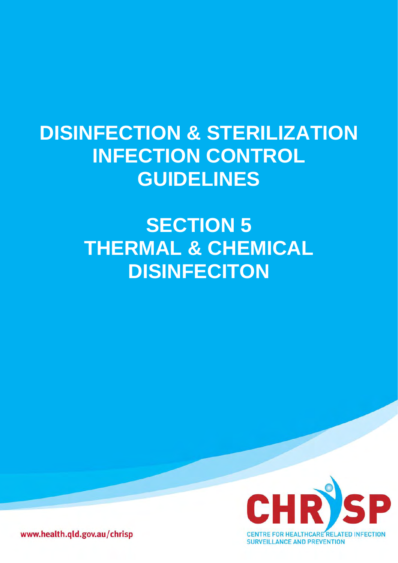## **DISINFECTION & STERILIZATION INFECTION CONTROL GUIDELINES**

# **SECTION 5 THERMAL & CHEMICAL DISINFECITON**



www.health.qld.gov.au/chrisp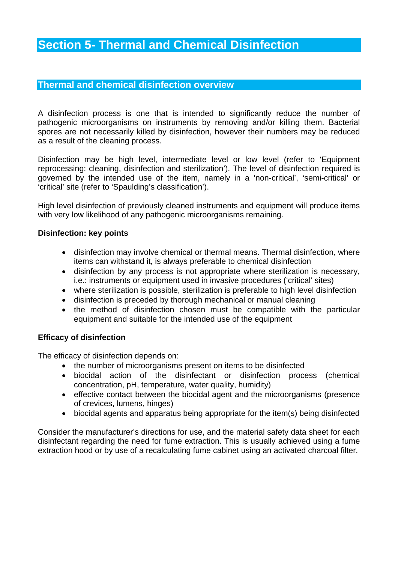## **Section 5- Thermal and Chemical Disinfection**

## **Thermal and chemical disinfection overview**

A disinfection process is one that is intended to significantly reduce the number of pathogenic microorganisms on instruments by removing and/or killing them. Bacterial spores are not necessarily killed by disinfection, however their numbers may be reduced as a result of the cleaning process.

Disinfection may be high level, intermediate level or low level (refer to 'Equipment reprocessing: cleaning, disinfection and sterilization'). The level of disinfection required is governed by the intended use of the item, namely in a 'non-critical', 'semi-critical' or 'critical' site (refer to 'Spaulding's classification').

High level disinfection of previously cleaned instruments and equipment will produce items with very low likelihood of any pathogenic microorganisms remaining.

## **Disinfection: key points**

- disinfection may involve chemical or thermal means. Thermal disinfection, where items can withstand it, is always preferable to chemical disinfection
- disinfection by any process is not appropriate where sterilization is necessary, i.e.: instruments or equipment used in invasive procedures ('critical' sites)
- where sterilization is possible, sterilization is preferable to high level disinfection
- disinfection is preceded by thorough mechanical or manual cleaning
- the method of disinfection chosen must be compatible with the particular equipment and suitable for the intended use of the equipment

## **Efficacy of disinfection**

The efficacy of disinfection depends on:

- the number of microorganisms present on items to be disinfected
- biocidal action of the disinfectant or disinfection process (chemical concentration, pH, temperature, water quality, humidity)
- effective contact between the biocidal agent and the microorganisms (presence of crevices, lumens, hinges)
- biocidal agents and apparatus being appropriate for the item(s) being disinfected

Consider the manufacturer's directions for use, and the material safety data sheet for each disinfectant regarding the need for fume extraction. This is usually achieved using a fume extraction hood or by use of a recalculating fume cabinet using an activated charcoal filter.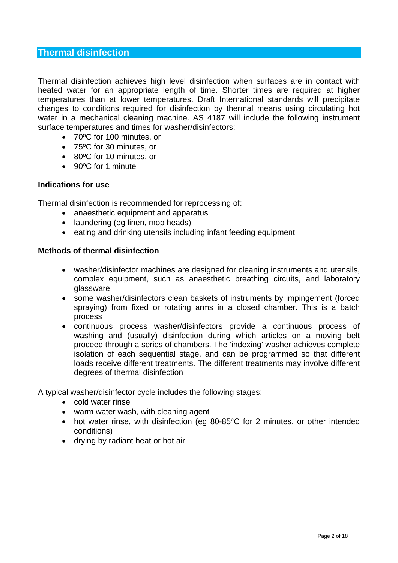## **Thermal disinfection**

Thermal disinfection achieves high level disinfection when surfaces are in contact with heated water for an appropriate length of time. Shorter times are required at higher temperatures than at lower temperatures. Draft International standards will precipitate changes to conditions required for disinfection by thermal means using circulating hot water in a mechanical cleaning machine. AS 4187 will include the following instrument surface temperatures and times for washer/disinfectors:

- 70ºC for 100 minutes, or
- 75ºC for 30 minutes, or
- 80ºC for 10 minutes, or
- 90°C for 1 minute

## **Indications for use**

Thermal disinfection is recommended for reprocessing of:

- anaesthetic equipment and apparatus
- laundering (eg linen, mop heads)
- eating and drinking utensils including infant feeding equipment

#### **Methods of thermal disinfection**

- washer/disinfector machines are designed for cleaning instruments and utensils, complex equipment, such as anaesthetic breathing circuits, and laboratory glassware
- some washer/disinfectors clean baskets of instruments by impingement (forced spraying) from fixed or rotating arms in a closed chamber. This is a batch process
- continuous process washer/disinfectors provide a continuous process of washing and (usually) disinfection during which articles on a moving belt proceed through a series of chambers. The 'indexing' washer achieves complete isolation of each sequential stage, and can be programmed so that different loads receive different treatments. The different treatments may involve different degrees of thermal disinfection

A typical washer/disinfector cycle includes the following stages:

- cold water rinse
- warm water wash, with cleaning agent
- hot water rinse, with disinfection (eg 80-85°C for 2 minutes, or other intended conditions)
- drying by radiant heat or hot air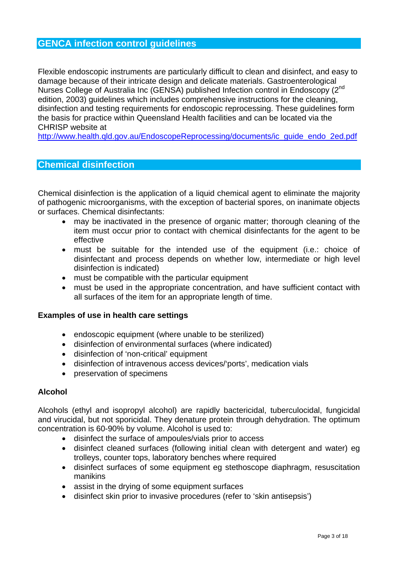## **GENCA infection control guidelines**

Flexible endoscopic instruments are particularly difficult to clean and disinfect, and easy to damage because of their intricate design and delicate materials. Gastroenterological Nurses College of Australia Inc (GENSA) published Infection control in Endoscopy (2<sup>nd</sup> edition, 2003) guidelines which includes comprehensive instructions for the cleaning, disinfection and testing requirements for endoscopic reprocessing. These guidelines form the basis for practice within Queensland Health facilities and can be located via the CHRISP website at

[http://www.health.qld.gov.au/EndoscopeReprocessing/documents/ic\\_guide\\_endo\\_2ed.pdf](http://www.health.qld.gov.au/EndoscopeReprocessing/documents/ic_guide_endo_2ed.pdf)

## **Chemical disinfection**

Chemical disinfection is the application of a liquid chemical agent to eliminate the majority of pathogenic microorganisms, with the exception of bacterial spores, on inanimate objects or surfaces. Chemical disinfectants:

- may be inactivated in the presence of organic matter; thorough cleaning of the item must occur prior to contact with chemical disinfectants for the agent to be effective
- must be suitable for the intended use of the equipment (i.e.: choice of disinfectant and process depends on whether low, intermediate or high level disinfection is indicated)
- must be compatible with the particular equipment
- must be used in the appropriate concentration, and have sufficient contact with all surfaces of the item for an appropriate length of time.

#### **Examples of use in health care settings**

- endoscopic equipment (where unable to be sterilized)
- disinfection of environmental surfaces (where indicated)
- disinfection of 'non-critical' equipment
- disinfection of intravenous access devices/'ports', medication vials
- preservation of specimens

#### **Alcohol**

Alcohols (ethyl and isopropyl alcohol) are rapidly bactericidal, tuberculocidal, fungicidal and virucidal, but not sporicidal. They denature protein through dehydration. The optimum concentration is 60-90% by volume. Alcohol is used to:

- disinfect the surface of ampoules/vials prior to access
- disinfect cleaned surfaces (following initial clean with detergent and water) eg trolleys, counter tops, laboratory benches where required
- disinfect surfaces of some equipment eg stethoscope diaphragm, resuscitation manikins
- assist in the drying of some equipment surfaces
- disinfect skin prior to invasive procedures (refer to 'skin antisepsis')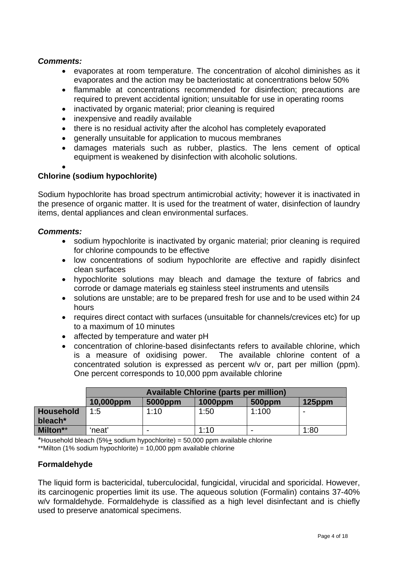## *Comments:*

- evaporates at room temperature. The concentration of alcohol diminishes as it evaporates and the action may be bacteriostatic at concentrations below 50%
- flammable at concentrations recommended for disinfection; precautions are required to prevent accidental ignition; unsuitable for use in operating rooms
- inactivated by organic material; prior cleaning is required
- inexpensive and readily available
- there is no residual activity after the alcohol has completely evaporated
- generally unsuitable for application to mucous membranes
- damages materials such as rubber, plastics. The lens cement of optical equipment is weakened by disinfection with alcoholic solutions.
- •

## **Chlorine (sodium hypochlorite)**

Sodium hypochlorite has broad spectrum antimicrobial activity; however it is inactivated in the presence of organic matter. It is used for the treatment of water, disinfection of laundry items, dental appliances and clean environmental surfaces.

## *Comments:*

- sodium hypochlorite is inactivated by organic material; prior cleaning is required for chlorine compounds to be effective
- low concentrations of sodium hypochlorite are effective and rapidly disinfect clean surfaces
- hypochlorite solutions may bleach and damage the texture of fabrics and corrode or damage materials eg stainless steel instruments and utensils
- solutions are unstable; are to be prepared fresh for use and to be used within 24 hours
- requires direct contact with surfaces (unsuitable for channels/crevices etc) for up to a maximum of 10 minutes
- affected by temperature and water pH
- concentration of chlorine-based disinfectants refers to available chlorine, which is a measure of oxidising power. The available chlorine content of a concentrated solution is expressed as percent w/v or, part per million (ppm). One percent corresponds to 10,000 ppm available chlorine

|                                         | <b>Available Chlorine (parts per million)</b> |                          |            |        |                          |  |  |  |
|-----------------------------------------|-----------------------------------------------|--------------------------|------------|--------|--------------------------|--|--|--|
|                                         | 10,000ppm                                     | 5000ppm                  | $1000$ ppm | 500ppm | $125$ ppm                |  |  |  |
| <b>Household</b><br>bleach <sup>*</sup> | 1:5                                           | 1:10                     | 1:50       | 1:100  | $\overline{\phantom{0}}$ |  |  |  |
| Milton**                                | 'neat'                                        | $\overline{\phantom{0}}$ | 1:10       |        | 1:80                     |  |  |  |

\*Household bleach (5%+ sodium hypochlorite) = 50,000 ppm available chlorine

\*\*Milton (1% sodium hypochlorite) = 10,000 ppm available chlorine

## **Formaldehyde**

The liquid form is bactericidal, tuberculocidal, fungicidal, virucidal and sporicidal. However, its carcinogenic properties limit its use. The aqueous solution (Formalin) contains 37-40% w/v formaldehyde. Formaldehyde is classified as a high level disinfectant and is chiefly used to preserve anatomical specimens.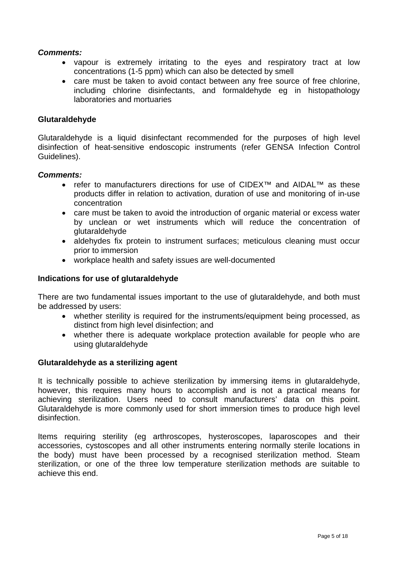## *Comments:*

- vapour is extremely irritating to the eyes and respiratory tract at low concentrations (1-5 ppm) which can also be detected by smell
- care must be taken to avoid contact between any free source of free chlorine, including chlorine disinfectants, and formaldehyde eg in histopathology laboratories and mortuaries

#### **Glutaraldehyde**

Glutaraldehyde is a liquid disinfectant recommended for the purposes of high level disinfection of heat-sensitive endoscopic instruments (refer GENSA Infection Control Guidelines).

#### *Comments:*

- refer to manufacturers directions for use of CIDEX<sup>™</sup> and AIDAL<sup>™</sup> as these products differ in relation to activation, duration of use and monitoring of in-use concentration
- care must be taken to avoid the introduction of organic material or excess water by unclean or wet instruments which will reduce the concentration of glutaraldehyde
- aldehydes fix protein to instrument surfaces; meticulous cleaning must occur prior to immersion
- workplace health and safety issues are well-documented

## **Indications for use of glutaraldehyde**

There are two fundamental issues important to the use of glutaraldehyde, and both must be addressed by users:

- whether sterility is required for the instruments/equipment being processed, as distinct from high level disinfection; and
- whether there is adequate workplace protection available for people who are using glutaraldehyde

#### **Glutaraldehyde as a sterilizing agent**

It is technically possible to achieve sterilization by immersing items in glutaraldehyde, however, this requires many hours to accomplish and is not a practical means for achieving sterilization. Users need to consult manufacturers' data on this point. Glutaraldehyde is more commonly used for short immersion times to produce high level disinfection.

Items requiring sterility (eg arthroscopes, hysteroscopes, laparoscopes and their accessories, cystoscopes and all other instruments entering normally sterile locations in the body) must have been processed by a recognised sterilization method. Steam sterilization, or one of the three low temperature sterilization methods are suitable to achieve this end.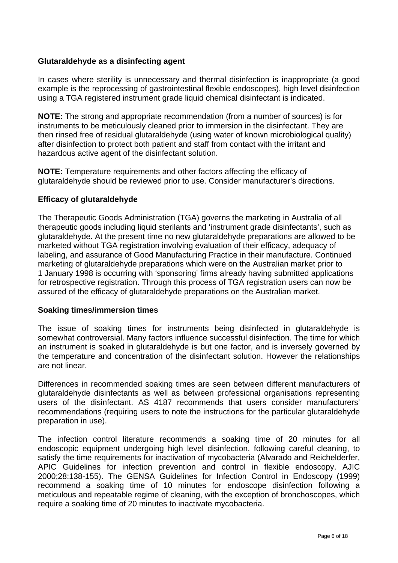## **Glutaraldehyde as a disinfecting agent**

In cases where sterility is unnecessary and thermal disinfection is inappropriate (a good example is the reprocessing of gastrointestinal flexible endoscopes), high level disinfection using a TGA registered instrument grade liquid chemical disinfectant is indicated.

**NOTE:** The strong and appropriate recommendation (from a number of sources) is for instruments to be meticulously cleaned prior to immersion in the disinfectant. They are then rinsed free of residual glutaraldehyde (using water of known microbiological quality) after disinfection to protect both patient and staff from contact with the irritant and hazardous active agent of the disinfectant solution.

**NOTE:** Temperature requirements and other factors affecting the efficacy of glutaraldehyde should be reviewed prior to use. Consider manufacturer's directions.

## **Efficacy of glutaraldehyde**

The Therapeutic Goods Administration (TGA) governs the marketing in Australia of all therapeutic goods including liquid sterilants and 'instrument grade disinfectants', such as glutaraldehyde. At the present time no new glutaraldehyde preparations are allowed to be marketed without TGA registration involving evaluation of their efficacy, adequacy of labeling, and assurance of Good Manufacturing Practice in their manufacture. Continued marketing of glutaraldehyde preparations which were on the Australian market prior to 1 January 1998 is occurring with 'sponsoring' firms already having submitted applications for retrospective registration. Through this process of TGA registration users can now be assured of the efficacy of glutaraldehyde preparations on the Australian market.

#### **Soaking times/immersion times**

The issue of soaking times for instruments being disinfected in glutaraldehyde is somewhat controversial. Many factors influence successful disinfection. The time for which an instrument is soaked in glutaraldehyde is but one factor, and is inversely governed by the temperature and concentration of the disinfectant solution. However the relationships are not linear.

Differences in recommended soaking times are seen between different manufacturers of glutaraldehyde disinfectants as well as between professional organisations representing users of the disinfectant. AS 4187 recommends that users consider manufacturers' recommendations (requiring users to note the instructions for the particular glutaraldehyde preparation in use).

The infection control literature recommends a soaking time of 20 minutes for all endoscopic equipment undergoing high level disinfection, following careful cleaning, to satisfy the time requirements for inactivation of mycobacteria (Alvarado and Reichelderfer, APIC Guidelines for infection prevention and control in flexible endoscopy. AJIC 2000;28:138-155). The GENSA Guidelines for Infection Control in Endoscopy (1999) recommend a soaking time of 10 minutes for endoscope disinfection following a meticulous and repeatable regime of cleaning, with the exception of bronchoscopes, which require a soaking time of 20 minutes to inactivate mycobacteria.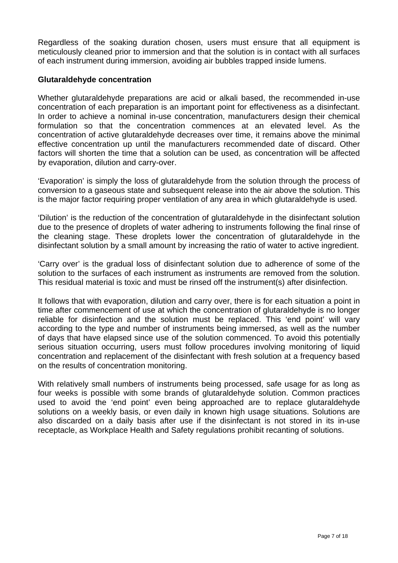Regardless of the soaking duration chosen, users must ensure that all equipment is meticulously cleaned prior to immersion and that the solution is in contact with all surfaces of each instrument during immersion, avoiding air bubbles trapped inside lumens.

## **Glutaraldehyde concentration**

Whether glutaraldehyde preparations are acid or alkali based, the recommended in-use concentration of each preparation is an important point for effectiveness as a disinfectant. In order to achieve a nominal in-use concentration, manufacturers design their chemical formulation so that the concentration commences at an elevated level. As the concentration of active glutaraldehyde decreases over time, it remains above the minimal effective concentration up until the manufacturers recommended date of discard. Other factors will shorten the time that a solution can be used, as concentration will be affected by evaporation, dilution and carry-over.

'Evaporation' is simply the loss of glutaraldehyde from the solution through the process of conversion to a gaseous state and subsequent release into the air above the solution. This is the major factor requiring proper ventilation of any area in which glutaraldehyde is used.

'Dilution' is the reduction of the concentration of glutaraldehyde in the disinfectant solution due to the presence of droplets of water adhering to instruments following the final rinse of the cleaning stage. These droplets lower the concentration of glutaraldehyde in the disinfectant solution by a small amount by increasing the ratio of water to active ingredient.

'Carry over' is the gradual loss of disinfectant solution due to adherence of some of the solution to the surfaces of each instrument as instruments are removed from the solution. This residual material is toxic and must be rinsed off the instrument(s) after disinfection.

It follows that with evaporation, dilution and carry over, there is for each situation a point in time after commencement of use at which the concentration of glutaraldehyde is no longer reliable for disinfection and the solution must be replaced. This 'end point' will vary according to the type and number of instruments being immersed, as well as the number of days that have elapsed since use of the solution commenced. To avoid this potentially serious situation occurring, users must follow procedures involving monitoring of liquid concentration and replacement of the disinfectant with fresh solution at a frequency based on the results of concentration monitoring.

With relatively small numbers of instruments being processed, safe usage for as long as four weeks is possible with some brands of glutaraldehyde solution. Common practices used to avoid the 'end point' even being approached are to replace glutaraldehyde solutions on a weekly basis, or even daily in known high usage situations. Solutions are also discarded on a daily basis after use if the disinfectant is not stored in its in-use receptacle, as Workplace Health and Safety regulations prohibit recanting of solutions.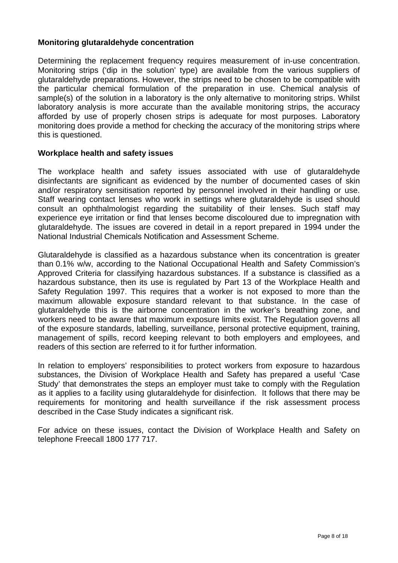## **Monitoring glutaraldehyde concentration**

Determining the replacement frequency requires measurement of in-use concentration. Monitoring strips ('dip in the solution' type) are available from the various suppliers of glutaraldehyde preparations. However, the strips need to be chosen to be compatible with the particular chemical formulation of the preparation in use. Chemical analysis of sample(s) of the solution in a laboratory is the only alternative to monitoring strips. Whilst laboratory analysis is more accurate than the available monitoring strips, the accuracy afforded by use of properly chosen strips is adequate for most purposes. Laboratory monitoring does provide a method for checking the accuracy of the monitoring strips where this is questioned.

## **Workplace health and safety issues**

The workplace health and safety issues associated with use of glutaraldehyde disinfectants are significant as evidenced by the number of documented cases of skin and/or respiratory sensitisation reported by personnel involved in their handling or use. Staff wearing contact lenses who work in settings where glutaraldehyde is used should consult an ophthalmologist regarding the suitability of their lenses. Such staff may experience eye irritation or find that lenses become discoloured due to impregnation with glutaraldehyde. The issues are covered in detail in a report prepared in 1994 under the National Industrial Chemicals Notification and Assessment Scheme.

Glutaraldehyde is classified as a hazardous substance when its concentration is greater than 0.1% w/w, according to the National Occupational Health and Safety Commission's Approved Criteria for classifying hazardous substances. If a substance is classified as a hazardous substance, then its use is regulated by Part 13 of the Workplace Health and Safety Regulation 1997. This requires that a worker is not exposed to more than the maximum allowable exposure standard relevant to that substance. In the case of glutaraldehyde this is the airborne concentration in the worker's breathing zone, and workers need to be aware that maximum exposure limits exist. The Regulation governs all of the exposure standards, labelling, surveillance, personal protective equipment, training, management of spills, record keeping relevant to both employers and employees, and readers of this section are referred to it for further information.

In relation to employers' responsibilities to protect workers from exposure to hazardous substances, the Division of Workplace Health and Safety has prepared a useful 'Case Study' that demonstrates the steps an employer must take to comply with the Regulation as it applies to a facility using glutaraldehyde for disinfection. It follows that there may be requirements for monitoring and health surveillance if the risk assessment process described in the Case Study indicates a significant risk.

For advice on these issues, contact the Division of Workplace Health and Safety on telephone Freecall 1800 177 717.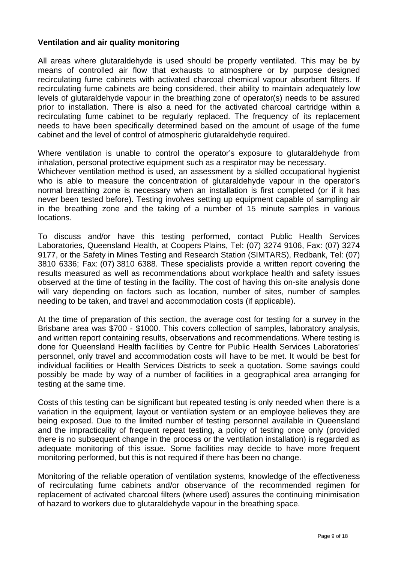## **Ventilation and air quality monitoring**

All areas where glutaraldehyde is used should be properly ventilated. This may be by means of controlled air flow that exhausts to atmosphere or by purpose designed recirculating fume cabinets with activated charcoal chemical vapour absorbent filters. If recirculating fume cabinets are being considered, their ability to maintain adequately low levels of glutaraldehyde vapour in the breathing zone of operator(s) needs to be assured prior to installation. There is also a need for the activated charcoal cartridge within a recirculating fume cabinet to be regularly replaced. The frequency of its replacement needs to have been specifically determined based on the amount of usage of the fume cabinet and the level of control of atmospheric glutaraldehyde required.

Where ventilation is unable to control the operator's exposure to glutaraldehyde from inhalation, personal protective equipment such as a respirator may be necessary.

Whichever ventilation method is used, an assessment by a skilled occupational hygienist who is able to measure the concentration of glutaraldehyde vapour in the operator's normal breathing zone is necessary when an installation is first completed (or if it has never been tested before). Testing involves setting up equipment capable of sampling air in the breathing zone and the taking of a number of 15 minute samples in various locations.

To discuss and/or have this testing performed, contact Public Health Services Laboratories, Queensland Health, at Coopers Plains, Tel: (07) 3274 9106, Fax: (07) 3274 9177, or the Safety in Mines Testing and Research Station (SIMTARS), Redbank, Tel: (07) 3810 6336; Fax: (07) 3810 6388. These specialists provide a written report covering the results measured as well as recommendations about workplace health and safety issues observed at the time of testing in the facility. The cost of having this on-site analysis done will vary depending on factors such as location, number of sites, number of samples needing to be taken, and travel and accommodation costs (if applicable).

At the time of preparation of this section, the average cost for testing for a survey in the Brisbane area was \$700 - \$1000. This covers collection of samples, laboratory analysis, and written report containing results, observations and recommendations. Where testing is done for Queensland Health facilities by Centre for Public Health Services Laboratories' personnel, only travel and accommodation costs will have to be met. It would be best for individual facilities or Health Services Districts to seek a quotation. Some savings could possibly be made by way of a number of facilities in a geographical area arranging for testing at the same time.

Costs of this testing can be significant but repeated testing is only needed when there is a variation in the equipment, layout or ventilation system or an employee believes they are being exposed. Due to the limited number of testing personnel available in Queensland and the impracticality of frequent repeat testing, a policy of testing once only (provided there is no subsequent change in the process or the ventilation installation) is regarded as adequate monitoring of this issue. Some facilities may decide to have more frequent monitoring performed, but this is not required if there has been no change.

Monitoring of the reliable operation of ventilation systems, knowledge of the effectiveness of recirculating fume cabinets and/or observance of the recommended regimen for replacement of activated charcoal filters (where used) assures the continuing minimisation of hazard to workers due to glutaraldehyde vapour in the breathing space.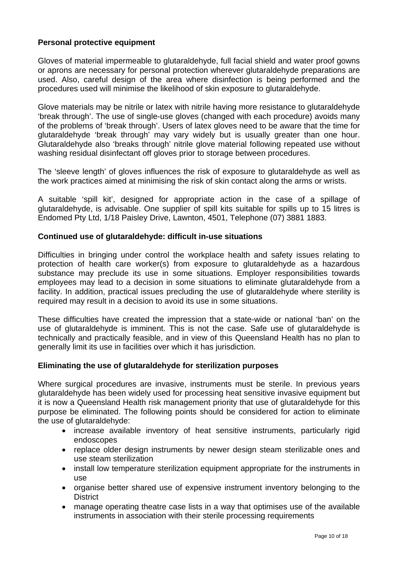## **Personal protective equipment**

Gloves of material impermeable to glutaraldehyde, full facial shield and water proof gowns or aprons are necessary for personal protection wherever glutaraldehyde preparations are used. Also, careful design of the area where disinfection is being performed and the procedures used will minimise the likelihood of skin exposure to glutaraldehyde.

Glove materials may be nitrile or latex with nitrile having more resistance to glutaraldehyde 'break through'. The use of single-use gloves (changed with each procedure) avoids many of the problems of 'break through'. Users of latex gloves need to be aware that the time for glutaraldehyde 'break through' may vary widely but is usually greater than one hour. Glutaraldehyde also 'breaks through' nitrile glove material following repeated use without washing residual disinfectant off gloves prior to storage between procedures.

The 'sleeve length' of gloves influences the risk of exposure to glutaraldehyde as well as the work practices aimed at minimising the risk of skin contact along the arms or wrists.

A suitable 'spill kit', designed for appropriate action in the case of a spillage of glutaraldehyde, is advisable. One supplier of spill kits suitable for spills up to 15 litres is Endomed Pty Ltd, 1/18 Paisley Drive, Lawnton, 4501, Telephone (07) 3881 1883.

## **Continued use of glutaraldehyde: difficult in-use situations**

Difficulties in bringing under control the workplace health and safety issues relating to protection of health care worker(s) from exposure to glutaraldehyde as a hazardous substance may preclude its use in some situations. Employer responsibilities towards employees may lead to a decision in some situations to eliminate glutaraldehyde from a facility. In addition, practical issues precluding the use of glutaraldehyde where sterility is required may result in a decision to avoid its use in some situations.

These difficulties have created the impression that a state-wide or national 'ban' on the use of glutaraldehyde is imminent. This is not the case. Safe use of glutaraldehyde is technically and practically feasible, and in view of this Queensland Health has no plan to generally limit its use in facilities over which it has jurisdiction.

## **Eliminating the use of glutaraldehyde for sterilization purposes**

Where surgical procedures are invasive, instruments must be sterile. In previous years glutaraldehyde has been widely used for processing heat sensitive invasive equipment but it is now a Queensland Health risk management priority that use of glutaraldehyde for this purpose be eliminated. The following points should be considered for action to eliminate the use of glutaraldehyde:

- increase available inventory of heat sensitive instruments, particularly rigid endoscopes
- replace older design instruments by newer design steam sterilizable ones and use steam sterilization
- install low temperature sterilization equipment appropriate for the instruments in use
- organise better shared use of expensive instrument inventory belonging to the **District**
- manage operating theatre case lists in a way that optimises use of the available instruments in association with their sterile processing requirements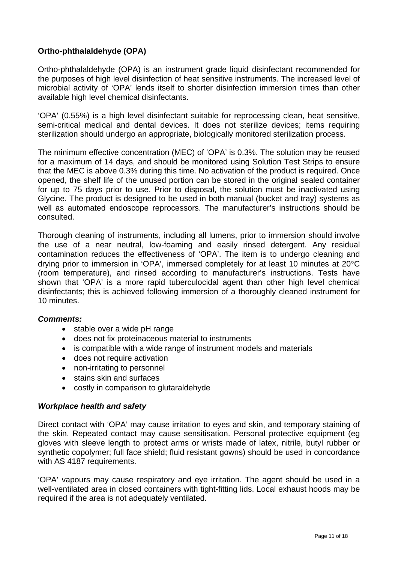#### **Ortho-phthalaldehyde (OPA)**

Ortho-phthalaldehyde (OPA) is an instrument grade liquid disinfectant recommended for the purposes of high level disinfection of heat sensitive instruments. The increased level of microbial activity of 'OPA' lends itself to shorter disinfection immersion times than other available high level chemical disinfectants.

'OPA' (0.55%) is a high level disinfectant suitable for reprocessing clean, heat sensitive, semi-critical medical and dental devices. It does not sterilize devices; items requiring sterilization should undergo an appropriate, biologically monitored sterilization process.

The minimum effective concentration (MEC) of 'OPA' is 0.3%. The solution may be reused for a maximum of 14 days, and should be monitored using Solution Test Strips to ensure that the MEC is above 0.3% during this time. No activation of the product is required. Once opened, the shelf life of the unused portion can be stored in the original sealed container for up to 75 days prior to use. Prior to disposal, the solution must be inactivated using Glycine. The product is designed to be used in both manual (bucket and tray) systems as well as automated endoscope reprocessors. The manufacturer's instructions should be consulted.

Thorough cleaning of instruments, including all lumens, prior to immersion should involve the use of a near neutral, low-foaming and easily rinsed detergent. Any residual contamination reduces the effectiveness of 'OPA'. The item is to undergo cleaning and drying prior to immersion in 'OPA', immersed completely for at least 10 minutes at 20°C (room temperature), and rinsed according to manufacturer's instructions. Tests have shown that 'OPA' is a more rapid tuberculocidal agent than other high level chemical disinfectants; this is achieved following immersion of a thoroughly cleaned instrument for 10 minutes.

#### *Comments:*

- stable over a wide pH range
- does not fix proteinaceous material to instruments
- is compatible with a wide range of instrument models and materials
- does not require activation
- non-irritating to personnel
- stains skin and surfaces
- costly in comparison to glutaraldehyde

#### *Workplace health and safety*

Direct contact with 'OPA' may cause irritation to eyes and skin, and temporary staining of the skin. Repeated contact may cause sensitisation. Personal protective equipment (eg gloves with sleeve length to protect arms or wrists made of latex, nitrile, butyl rubber or synthetic copolymer; full face shield; fluid resistant gowns) should be used in concordance with AS 4187 requirements.

'OPA' vapours may cause respiratory and eye irritation. The agent should be used in a well-ventilated area in closed containers with tight-fitting lids. Local exhaust hoods may be required if the area is not adequately ventilated.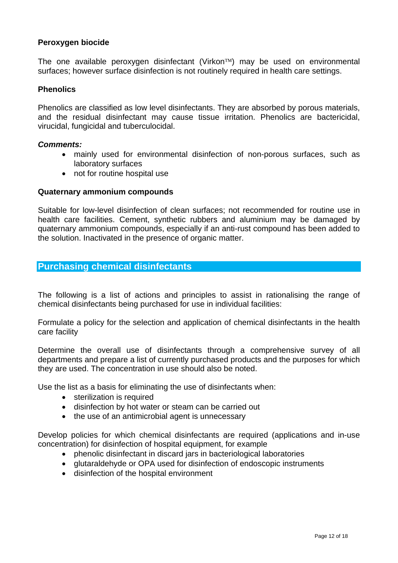#### **Peroxygen biocide**

The one available peroxygen disinfectant (Virkon™) may be used on environmental surfaces; however surface disinfection is not routinely required in health care settings.

#### **Phenolics**

Phenolics are classified as low level disinfectants. They are absorbed by porous materials, and the residual disinfectant may cause tissue irritation. Phenolics are bactericidal, virucidal, fungicidal and tuberculocidal.

#### *Comments:*

- mainly used for environmental disinfection of non-porous surfaces, such as laboratory surfaces
- not for routine hospital use

#### **Quaternary ammonium compounds**

Suitable for low-level disinfection of clean surfaces; not recommended for routine use in health care facilities. Cement, synthetic rubbers and aluminium may be damaged by quaternary ammonium compounds, especially if an anti-rust compound has been added to the solution. Inactivated in the presence of organic matter.

#### **Purchasing chemical disinfectants**

The following is a list of actions and principles to assist in rationalising the range of chemical disinfectants being purchased for use in individual facilities:

Formulate a policy for the selection and application of chemical disinfectants in the health care facility

Determine the overall use of disinfectants through a comprehensive survey of all departments and prepare a list of currently purchased products and the purposes for which they are used. The concentration in use should also be noted.

Use the list as a basis for eliminating the use of disinfectants when:

- sterilization is required
- disinfection by hot water or steam can be carried out
- the use of an antimicrobial agent is unnecessary

Develop policies for which chemical disinfectants are required (applications and in-use concentration) for disinfection of hospital equipment, for example

- phenolic disinfectant in discard jars in bacteriological laboratories
- glutaraldehyde or OPA used for disinfection of endoscopic instruments
- disinfection of the hospital environment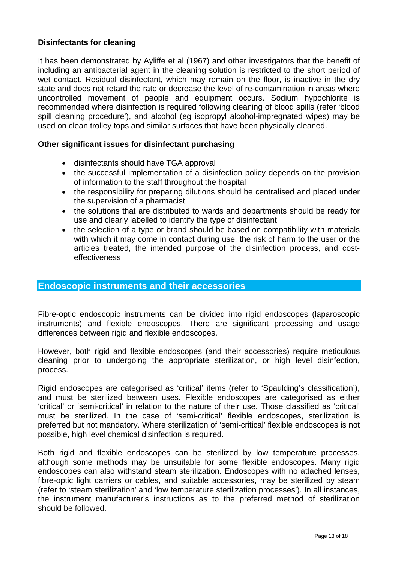#### **Disinfectants for cleaning**

It has been demonstrated by Ayliffe et al (1967) and other investigators that the benefit of including an antibacterial agent in the cleaning solution is restricted to the short period of wet contact. Residual disinfectant, which may remain on the floor, is inactive in the dry state and does not retard the rate or decrease the level of re-contamination in areas where uncontrolled movement of people and equipment occurs. Sodium hypochlorite is recommended where disinfection is required following cleaning of blood spills (refer 'blood spill cleaning procedure'), and alcohol (eg isopropyl alcohol-impregnated wipes) may be used on clean trolley tops and similar surfaces that have been physically cleaned.

#### **Other significant issues for disinfectant purchasing**

- disinfectants should have TGA approval
- the successful implementation of a disinfection policy depends on the provision of information to the staff throughout the hospital
- the responsibility for preparing dilutions should be centralised and placed under the supervision of a pharmacist
- the solutions that are distributed to wards and departments should be ready for use and clearly labelled to identify the type of disinfectant
- the selection of a type or brand should be based on compatibility with materials with which it may come in contact during use, the risk of harm to the user or the articles treated, the intended purpose of the disinfection process, and costeffectiveness

#### **Endoscopic instruments and their accessories**

Fibre-optic endoscopic instruments can be divided into rigid endoscopes (laparoscopic instruments) and flexible endoscopes. There are significant processing and usage differences between rigid and flexible endoscopes.

However, both rigid and flexible endoscopes (and their accessories) require meticulous cleaning prior to undergoing the appropriate sterilization, or high level disinfection, process.

Rigid endoscopes are categorised as 'critical' items (refer to 'Spaulding's classification'), and must be sterilized between uses. Flexible endoscopes are categorised as either 'critical' or 'semi-critical' in relation to the nature of their use. Those classified as 'critical' must be sterilized. In the case of 'semi-critical' flexible endoscopes, sterilization is preferred but not mandatory. Where sterilization of 'semi-critical' flexible endoscopes is not possible, high level chemical disinfection is required.

Both rigid and flexible endoscopes can be sterilized by low temperature processes, although some methods may be unsuitable for some flexible endoscopes. Many rigid endoscopes can also withstand steam sterilization. Endoscopes with no attached lenses, fibre-optic light carriers or cables, and suitable accessories, may be sterilized by steam (refer to 'steam sterilization' and 'low temperature sterilization processes'). In all instances, the instrument manufacturer's instructions as to the preferred method of sterilization should be followed.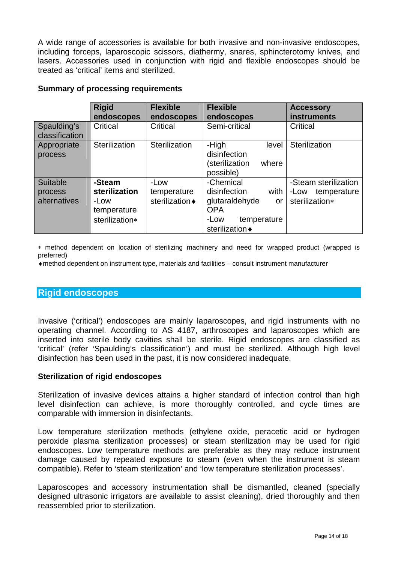A wide range of accessories is available for both invasive and non-invasive endoscopes, including forceps, laparoscopic scissors, diathermy, snares, sphincterotomy knives, and lasers. Accessories used in conjunction with rigid and flexible endoscopes should be treated as 'critical' items and sterilized.

#### **Rigid endoscopes Flexible endoscopes Flexible endoscopes Accessory instruments**  Spaulding's classification Critical Critical Semi-critical Critical Appropriate process Sterilization Sterilization - High level disinfection (sterilization where possible) **Sterilization** Suitable process alternatives **-Steam sterilization**  -Low temperature sterilization∗ -Low temperature sterilization  $\triangle$ -Chemical disinfection with glutaraldehyde or **OPA** -Low temperature sterilization  $\bullet$ -Steam sterilization -Low temperature sterilization∗

#### **Summary of processing requirements**

∗ method dependent on location of sterilizing machinery and need for wrapped product (wrapped is preferred)

♦method dependent on instrument type, materials and facilities – consult instrument manufacturer

#### **Rigid endoscopes**

Invasive ('critical') endoscopes are mainly laparoscopes, and rigid instruments with no operating channel. According to AS 4187, arthroscopes and laparoscopes which are inserted into sterile body cavities shall be sterile. Rigid endoscopes are classified as 'critical' (refer 'Spaulding's classification') and must be sterilized. Although high level disinfection has been used in the past, it is now considered inadequate.

#### **Sterilization of rigid endoscopes**

Sterilization of invasive devices attains a higher standard of infection control than high level disinfection can achieve, is more thoroughly controlled, and cycle times are comparable with immersion in disinfectants.

Low temperature sterilization methods (ethylene oxide, peracetic acid or hydrogen peroxide plasma sterilization processes) or steam sterilization may be used for rigid endoscopes. Low temperature methods are preferable as they may reduce instrument damage caused by repeated exposure to steam (even when the instrument is steam compatible). Refer to 'steam sterilization' and 'low temperature sterilization processes'.

Laparoscopes and accessory instrumentation shall be dismantled, cleaned (specially designed ultrasonic irrigators are available to assist cleaning), dried thoroughly and then reassembled prior to sterilization.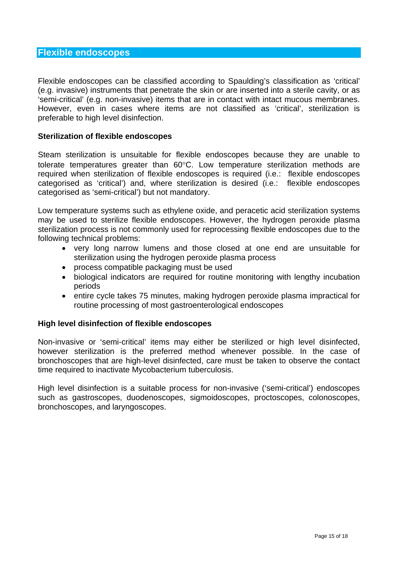#### **Flexible endoscopes**

Flexible endoscopes can be classified according to Spaulding's classification as 'critical' (e.g. invasive) instruments that penetrate the skin or are inserted into a sterile cavity, or as 'semi-critical' (e.g. non-invasive) items that are in contact with intact mucous membranes. However, even in cases where items are not classified as 'critical', sterilization is preferable to high level disinfection.

#### **Sterilization of flexible endoscopes**

Steam sterilization is unsuitable for flexible endoscopes because they are unable to tolerate temperatures greater than 60°C. Low temperature sterilization methods are required when sterilization of flexible endoscopes is required (i.e.: flexible endoscopes categorised as 'critical') and, where sterilization is desired (i.e.: flexible endoscopes categorised as 'semi-critical') but not mandatory.

Low temperature systems such as ethylene oxide, and peracetic acid sterilization systems may be used to sterilize flexible endoscopes. However, the hydrogen peroxide plasma sterilization process is not commonly used for reprocessing flexible endoscopes due to the following technical problems:

- very long narrow lumens and those closed at one end are unsuitable for sterilization using the hydrogen peroxide plasma process
- process compatible packaging must be used
- biological indicators are required for routine monitoring with lengthy incubation periods
- entire cycle takes 75 minutes, making hydrogen peroxide plasma impractical for routine processing of most gastroenterological endoscopes

#### **High level disinfection of flexible endoscopes**

Non-invasive or 'semi-critical' items may either be sterilized or high level disinfected, however sterilization is the preferred method whenever possible. In the case of bronchoscopes that are high-level disinfected, care must be taken to observe the contact time required to inactivate Mycobacterium tuberculosis.

High level disinfection is a suitable process for non-invasive ('semi-critical') endoscopes such as gastroscopes, duodenoscopes, sigmoidoscopes, proctoscopes, colonoscopes, bronchoscopes, and laryngoscopes.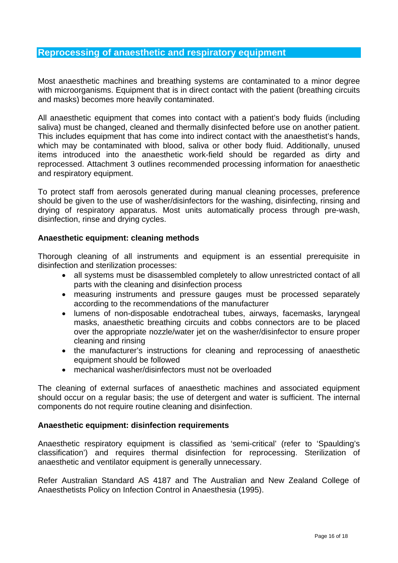#### **Reprocessing of anaesthetic and respiratory equipment**

Most anaesthetic machines and breathing systems are contaminated to a minor degree with microorganisms. Equipment that is in direct contact with the patient (breathing circuits and masks) becomes more heavily contaminated.

All anaesthetic equipment that comes into contact with a patient's body fluids (including saliva) must be changed, cleaned and thermally disinfected before use on another patient. This includes equipment that has come into indirect contact with the anaesthetist's hands, which may be contaminated with blood, saliva or other body fluid. Additionally, unused items introduced into the anaesthetic work-field should be regarded as dirty and reprocessed. Attachment 3 outlines recommended processing information for anaesthetic and respiratory equipment.

To protect staff from aerosols generated during manual cleaning processes, preference should be given to the use of washer/disinfectors for the washing, disinfecting, rinsing and drying of respiratory apparatus. Most units automatically process through pre-wash, disinfection, rinse and drying cycles.

#### **Anaesthetic equipment: cleaning methods**

Thorough cleaning of all instruments and equipment is an essential prerequisite in disinfection and sterilization processes:

- all systems must be disassembled completely to allow unrestricted contact of all parts with the cleaning and disinfection process
- measuring instruments and pressure gauges must be processed separately according to the recommendations of the manufacturer
- lumens of non-disposable endotracheal tubes, airways, facemasks, laryngeal masks, anaesthetic breathing circuits and cobbs connectors are to be placed over the appropriate nozzle/water jet on the washer/disinfector to ensure proper cleaning and rinsing
- the manufacturer's instructions for cleaning and reprocessing of anaesthetic equipment should be followed
- mechanical washer/disinfectors must not be overloaded

The cleaning of external surfaces of anaesthetic machines and associated equipment should occur on a regular basis; the use of detergent and water is sufficient. The internal components do not require routine cleaning and disinfection.

#### **Anaesthetic equipment: disinfection requirements**

Anaesthetic respiratory equipment is classified as 'semi-critical' (refer to 'Spaulding's classification') and requires thermal disinfection for reprocessing. Sterilization of anaesthetic and ventilator equipment is generally unnecessary.

Refer Australian Standard AS 4187 and The Australian and New Zealand College of Anaesthetists Policy on Infection Control in Anaesthesia (1995).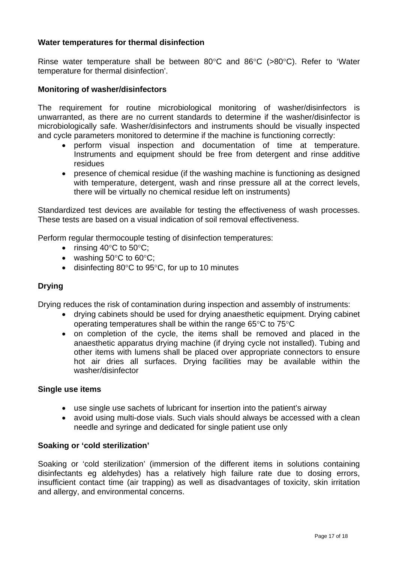#### **Water temperatures for thermal disinfection**

Rinse water temperature shall be between 80°C and 86°C (>80°C). Refer to 'Water temperature for thermal disinfection'.

#### **Monitoring of washer/disinfectors**

The requirement for routine microbiological monitoring of washer/disinfectors is unwarranted, as there are no current standards to determine if the washer/disinfector is microbiologically safe. Washer/disinfectors and instruments should be visually inspected and cycle parameters monitored to determine if the machine is functioning correctly:

- perform visual inspection and documentation of time at temperature. Instruments and equipment should be free from detergent and rinse additive residues
- presence of chemical residue (if the washing machine is functioning as designed with temperature, detergent, wash and rinse pressure all at the correct levels, there will be virtually no chemical residue left on instruments)

Standardized test devices are available for testing the effectiveness of wash processes. These tests are based on a visual indication of soil removal effectiveness.

Perform regular thermocouple testing of disinfection temperatures:

- rinsing  $40^{\circ}$ C to  $50^{\circ}$ C;
- washing  $50^{\circ}$ C to  $60^{\circ}$ C;
- disinfecting 80°C to 95°C, for up to 10 minutes

#### **Drying**

Drying reduces the risk of contamination during inspection and assembly of instruments:

- drying cabinets should be used for drying anaesthetic equipment. Drying cabinet operating temperatures shall be within the range 65°C to 75°C
- on completion of the cycle, the items shall be removed and placed in the anaesthetic apparatus drying machine (if drying cycle not installed). Tubing and other items with lumens shall be placed over appropriate connectors to ensure hot air dries all surfaces. Drying facilities may be available within the washer/disinfector

#### **Single use items**

- use single use sachets of lubricant for insertion into the patient's airway
- avoid using multi-dose vials. Such vials should always be accessed with a clean needle and syringe and dedicated for single patient use only

#### **Soaking or 'cold sterilization'**

Soaking or 'cold sterilization' (immersion of the different items in solutions containing disinfectants eg aldehydes) has a relatively high failure rate due to dosing errors, insufficient contact time (air trapping) as well as disadvantages of toxicity, skin irritation and allergy, and environmental concerns.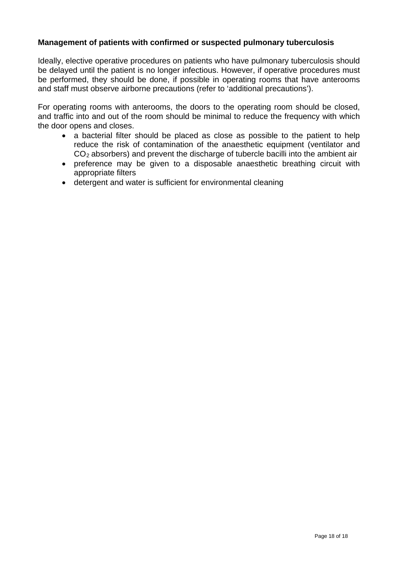#### **Management of patients with confirmed or suspected pulmonary tuberculosis**

Ideally, elective operative procedures on patients who have pulmonary tuberculosis should be delayed until the patient is no longer infectious. However, if operative procedures must be performed, they should be done, if possible in operating rooms that have anterooms and staff must observe airborne precautions (refer to 'additional precautions').

For operating rooms with anterooms, the doors to the operating room should be closed, and traffic into and out of the room should be minimal to reduce the frequency with which the door opens and closes.

- a bacterial filter should be placed as close as possible to the patient to help reduce the risk of contamination of the anaesthetic equipment (ventilator and  $CO<sub>2</sub>$  absorbers) and prevent the discharge of tubercle bacilli into the ambient air
- preference may be given to a disposable anaesthetic breathing circuit with appropriate filters
- detergent and water is sufficient for environmental cleaning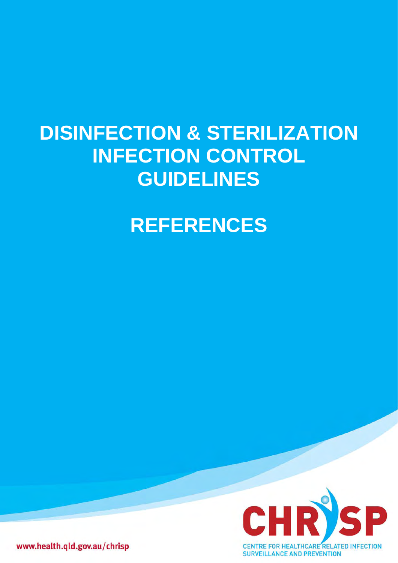# **DISINFECTION & STERILIZATION INFECTION CONTROL GUIDELINES**

## **REFERENCES**



www.health.qld.gov.au/chrisp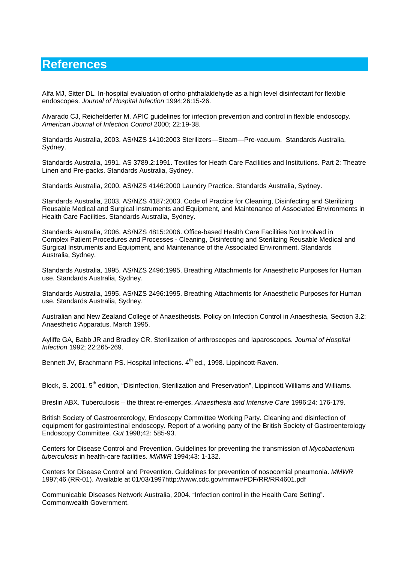### **References**

Alfa MJ, Sitter DL. In-hospital evaluation of ortho-phthalaldehyde as a high level disinfectant for flexible endoscopes. *Journal of Hospital Infection* 1994;26:15-26.

Alvarado CJ, Reichelderfer M. APIC guidelines for infection prevention and control in flexible endoscopy. *American Journal of Infection Control* 2000; 22:19-38.

Standards Australia, 2003. AS/NZS 1410:2003 Sterilizers—Steam—Pre-vacuum. Standards Australia, Sydney.

Standards Australia, 1991. AS 3789.2:1991. Textiles for Heath Care Facilities and Institutions. Part 2: Theatre Linen and Pre-packs. Standards Australia, Sydney.

Standards Australia, 2000. AS/NZS 4146:2000 Laundry Practice. Standards Australia, Sydney.

Standards Australia, 2003. AS/NZS 4187:2003. Code of Practice for Cleaning, Disinfecting and Sterilizing Reusable Medical and Surgical Instruments and Equipment, and Maintenance of Associated Environments in Health Care Facilities. Standards Australia, Sydney.

Standards Australia, 2006. AS/NZS 4815:2006. Office-based Health Care Facilities Not Involved in Complex Patient Procedures and Processes - Cleaning, Disinfecting and Sterilizing Reusable Medical and Surgical Instruments and Equipment, and Maintenance of the Associated Environment. Standards Australia, Sydney.

Standards Australia, 1995. AS/NZS 2496:1995. Breathing Attachments for Anaesthetic Purposes for Human use. Standards Australia, Sydney.

Standards Australia, 1995. AS/NZS 2496:1995. Breathing Attachments for Anaesthetic Purposes for Human use. Standards Australia, Sydney.

Australian and New Zealand College of Anaesthetists. Policy on Infection Control in Anaesthesia, Section 3.2: Anaesthetic Apparatus. March 1995.

Ayliffe GA, Babb JR and Bradley CR. Sterilization of arthroscopes and laparoscopes. *Journal of Hospital Infection* 1992; 22:265-269.

Bennett JV, Brachmann PS. Hospital Infections. 4<sup>th</sup> ed., 1998. Lippincott-Raven.

Block, S. 2001, 5<sup>th</sup> edition, "Disinfection, Sterilization and Preservation", Lippincott Williams and Williams.

Breslin ABX. Tuberculosis – the threat re-emerges. *Anaesthesia and Intensive Care* 1996;24: 176-179.

British Society of Gastroenterology, Endoscopy Committee Working Party. Cleaning and disinfection of equipment for gastrointestinal endoscopy. Report of a working party of the British Society of Gastroenterology Endoscopy Committee. *Gut* 1998;42: 585-93.

Centers for Disease Control and Prevention. Guidelines for preventing the transmission of *Mycobacterium tuberculosis* in health-care facilities. *MMWR* 1994;43: 1-132.

Centers for Disease Control and Prevention. Guidelines for prevention of nosocomial pneumonia. *MMWR* 1997;46 (RR-01). Available at 01/03/1997http://www.cdc.gov/mmwr/PDF/RR/RR4601.pdf

Communicable Diseases Network Australia, 2004. "Infection control in the Health Care Setting". Commonwealth Government.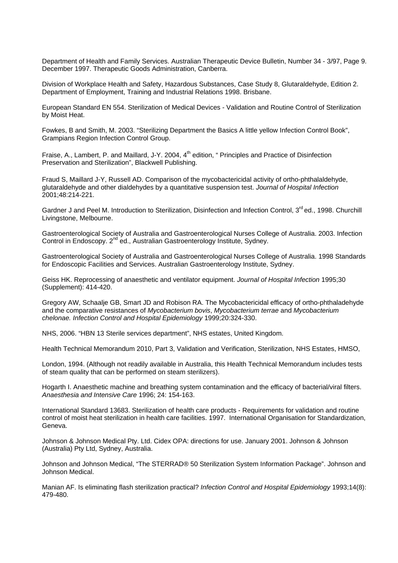Department of Health and Family Services. Australian Therapeutic Device Bulletin, Number 34 - 3/97, Page 9. December 1997. Therapeutic Goods Administration, Canberra.

Division of Workplace Health and Safety, Hazardous Substances, Case Study 8, Glutaraldehyde, Edition 2. Department of Employment, Training and Industrial Relations 1998. Brisbane.

European Standard EN 554. Sterilization of Medical Devices - Validation and Routine Control of Sterilization by Moist Heat.

Fowkes, B and Smith, M. 2003. "Sterilizing Department the Basics A little yellow Infection Control Book", Grampians Region Infection Control Group.

Fraise, A., Lambert, P. and Maillard, J-Y. 2004, 4<sup>th</sup> edition, " Principles and Practice of Disinfection Preservation and Sterilization", Blackwell Publishing.

Fraud S, Maillard J-Y, Russell AD. Comparison of the mycobactericidal activity of ortho-phthalaldehyde, glutaraldehyde and other dialdehydes by a quantitative suspension test. *Journal of Hospital Infection* 2001;48:214-221.

Gardner J and Peel M. Introduction to Sterilization, Disinfection and Infection Control. 3<sup>rd</sup> ed., 1998. Churchill Livingstone, Melbourne.

Gastroenterological Society of Australia and Gastroenterological Nurses College of Australia. 2003. Infection Control in Endoscopy. 2<sup>nd</sup> ed., Australian Gastroenterology Institute, Sydney.

Gastroenterological Society of Australia and Gastroenterological Nurses College of Australia. 1998 Standards for Endoscopic Facilities and Services. Australian Gastroenterology Institute, Sydney.

Geiss HK. Reprocessing of anaesthetic and ventilator equipment. *Journal of Hospital Infection* 1995;30 (Supplement): 414-420.

Gregory AW, Schaalje GB, Smart JD and Robison RA. The Mycobactericidal efficacy of ortho-phthaladehyde and the comparative resistances of *Mycobacterium bovis*, *Mycobacterium terrae* and *Mycobacterium chelonae. Infection Control and Hospital Epidemiology* 1999;20:324-330.

NHS, 2006. "HBN 13 Sterile services department", NHS estates, United Kingdom.

Health Technical Memorandum 2010, Part 3, Validation and Verification, Sterilization, NHS Estates, HMSO,

London, 1994. (Although not readily available in Australia, this Health Technical Memorandum includes tests of steam quality that can be performed on steam sterilizers).

Hogarth I. Anaesthetic machine and breathing system contamination and the efficacy of bacterial/viral filters. *Anaesthesia and Intensive Care* 1996; 24: 154-163.

International Standard 13683. Sterilization of health care products - Requirements for validation and routine control of moist heat sterilization in health care facilities. 1997. International Organisation for Standardization, Geneva.

Johnson & Johnson Medical Pty. Ltd. Cidex OPA: directions for use. January 2001. Johnson & Johnson (Australia) Pty Ltd, Sydney, Australia.

Johnson and Johnson Medical, "The STERRAD® 50 Sterilization System Information Package". Johnson and Johnson Medical.

Manian AF. Is eliminating flash sterilization practical? *Infection Control and Hospital Epidemiology* 1993;14(8): 479-480.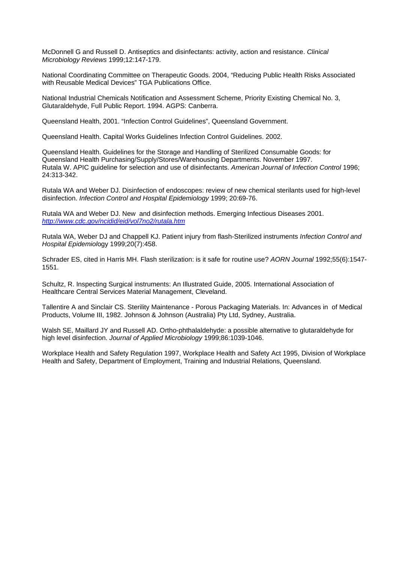McDonnell G and Russell D. Antiseptics and disinfectants: activity, action and resistance. *Clinical Microbiology Reviews* 1999;12:147-179.

National Coordinating Committee on Therapeutic Goods. 2004, "Reducing Public Health Risks Associated with Reusable Medical Devices" TGA Publications Office.

National Industrial Chemicals Notification and Assessment Scheme, Priority Existing Chemical No. 3, Glutaraldehyde, Full Public Report. 1994. AGPS: Canberra.

Queensland Health, 2001. "Infection Control Guidelines", Queensland Government.

Queensland Health. Capital Works Guidelines Infection Control Guidelines. 2002.

Queensland Health. Guidelines for the Storage and Handling of Sterilized Consumable Goods: for Queensland Health Purchasing/Supply/Stores/Warehousing Departments. November 1997. Rutala W. APIC guideline for selection and use of disinfectants. *American Journal of Infection Control* 1996; 24:313-342.

Rutala WA and Weber DJ. Disinfection of endoscopes: review of new chemical sterilants used for high-level disinfection. *Infection Control and Hospital Epidemiology* 1999; 20:69-76.

Rutala WA and Weber DJ. New and disinfection methods. Emerging Infectious Diseases 2001. *<http://www.cdc.gov/ncidid/eid/vol7no2/rutala.htm>*

Rutala WA, Weber DJ and Chappell KJ. Patient injury from flash-Sterilized instruments *Infection Control and Hospital Epidemiol*ogy 1999;20(7):458.

Schrader ES, cited in Harris MH. Flash sterilization: is it safe for routine use? *AORN Journal* 1992;55(6):1547- 1551.

Schultz, R. Inspecting Surgical instruments: An Illustrated Guide, 2005. International Association of Healthcare Central Services Material Management, Cleveland.

Tallentire A and Sinclair CS. Sterility Maintenance - Porous Packaging Materials. In: Advances in of Medical Products, Volume III, 1982. Johnson & Johnson (Australia) Pty Ltd, Sydney, Australia.

Walsh SE, Maillard JY and Russell AD. Ortho-phthalaldehyde: a possible alternative to glutaraldehyde for high level disinfection. *Journal of Applied Microbiology* 1999;86:1039-1046.

Workplace Health and Safety Regulation 1997, Workplace Health and Safety Act 1995, Division of Workplace Health and Safety, Department of Employment, Training and Industrial Relations, Queensland.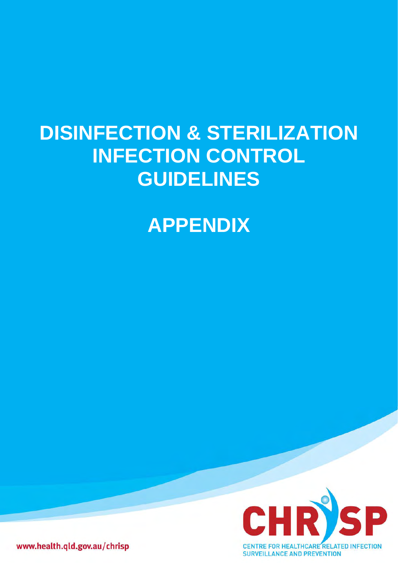# **DISINFECTION & STERILIZATION INFECTION CONTROL GUIDELINES**

### **APPENDIX**



www.health.qld.gov.au/chrisp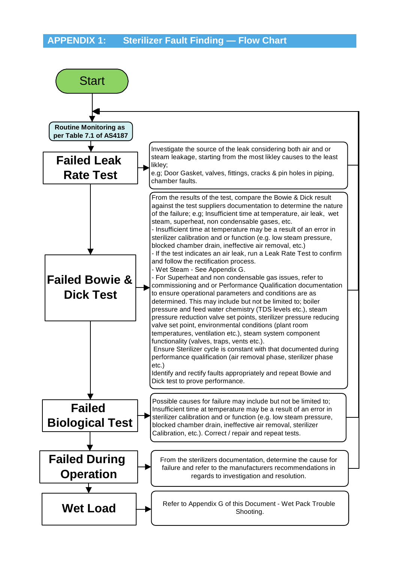### **APPENDIX 1: Sterilizer Fault Finding — Flow Chart**

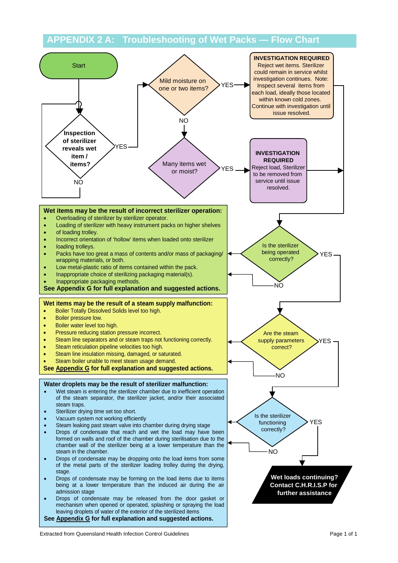#### **APPENDIX 2 A: Troubleshooting of Wet Packs — Flow Chart**



Extracted from Queensland Health Infection Control Guidelines **Page 1 of 1** and 2 and 2 and 2 and 2 and 2 and 2 and 2 and 2 and 2 and 2 and 2 and 2 and 2 and 2 and 2 and 2 and 2 and 2 and 2 and 2 and 2 and 2 and 2 and 2 an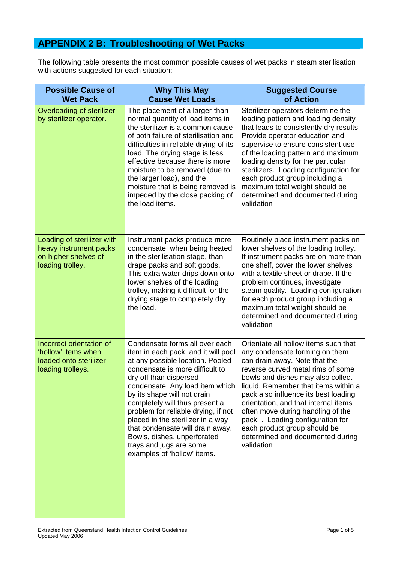### **APPENDIX 2 B: Troubleshooting of Wet Packs**

The following table presents the most common possible causes of wet packs in steam sterilisation with actions suggested for each situation:

| <b>Possible Cause of</b><br><b>Wet Pack</b>                                                      | <b>Why This May</b><br><b>Cause Wet Loads</b>                                                                                                                                                                                                                                                                                                                                                                                                                                       | <b>Suggested Course</b><br>of Action                                                                                                                                                                                                                                                                                                                                                                                                                                  |
|--------------------------------------------------------------------------------------------------|-------------------------------------------------------------------------------------------------------------------------------------------------------------------------------------------------------------------------------------------------------------------------------------------------------------------------------------------------------------------------------------------------------------------------------------------------------------------------------------|-----------------------------------------------------------------------------------------------------------------------------------------------------------------------------------------------------------------------------------------------------------------------------------------------------------------------------------------------------------------------------------------------------------------------------------------------------------------------|
| Overloading of sterilizer<br>by sterilizer operator.                                             | The placement of a larger-than-<br>normal quantity of load items in<br>the sterilizer is a common cause<br>of both failure of sterilisation and<br>difficulties in reliable drying of its<br>load. The drying stage is less<br>effective because there is more<br>moisture to be removed (due to<br>the larger load), and the<br>moisture that is being removed is<br>impeded by the close packing of<br>the load items.                                                            | Sterilizer operators determine the<br>loading pattern and loading density<br>that leads to consistently dry results.<br>Provide operator education and<br>supervise to ensure consistent use<br>of the loading pattern and maximum<br>loading density for the particular<br>sterilizers. Loading configuration for<br>each product group including a<br>maximum total weight should be<br>determined and documented during<br>validation                              |
| Loading of sterilizer with<br>heavy instrument packs<br>on higher shelves of<br>loading trolley. | Instrument packs produce more<br>condensate, when being heated<br>in the sterilisation stage, than<br>drape packs and soft goods.<br>This extra water drips down onto<br>lower shelves of the loading<br>trolley, making it difficult for the<br>drying stage to completely dry<br>the load.                                                                                                                                                                                        | Routinely place instrument packs on<br>lower shelves of the loading trolley.<br>If instrument packs are on more than<br>one shelf, cover the lower shelves<br>with a textile sheet or drape. If the<br>problem continues, investigate<br>steam quality. Loading configuration<br>for each product group including a<br>maximum total weight should be<br>determined and documented during<br>validation                                                               |
| Incorrect orientation of<br>'hollow' items when<br>loaded onto sterilizer<br>loading trolleys.   | Condensate forms all over each<br>item in each pack, and it will pool<br>at any possible location. Pooled<br>condensate is more difficult to<br>dry off than dispersed<br>condensate. Any load item which<br>by its shape will not drain<br>completely will thus present a<br>problem for reliable drying, if not<br>placed in the sterilizer in a way<br>that condensate will drain away.<br>Bowls, dishes, unperforated<br>trays and jugs are some<br>examples of 'hollow' items. | Orientate all hollow items such that<br>any condensate forming on them<br>can drain away. Note that the<br>reverse curved metal rims of some<br>bowls and dishes may also collect<br>liquid. Remember that items within a<br>pack also influence its best loading<br>orientation, and that internal items<br>often move during handling of the<br>pack. . Loading configuration for<br>each product group should be<br>determined and documented during<br>validation |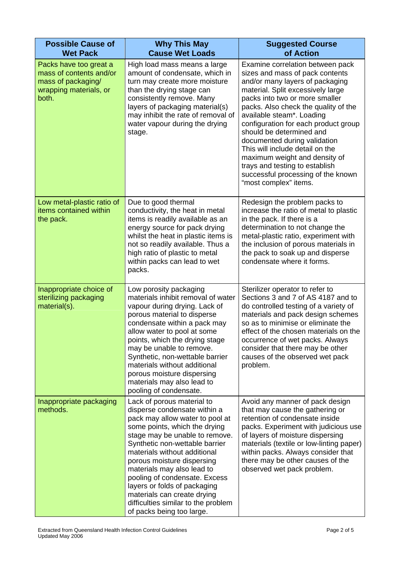| <b>Possible Cause of</b><br><b>Wet Pack</b>                                                                | <b>Why This May</b><br><b>Cause Wet Loads</b>                                                                                                                                                                                                                                                                                                                                                                                                                      | <b>Suggested Course</b><br>of Action                                                                                                                                                                                                                                                                                                                                                                                                                                                                                        |
|------------------------------------------------------------------------------------------------------------|--------------------------------------------------------------------------------------------------------------------------------------------------------------------------------------------------------------------------------------------------------------------------------------------------------------------------------------------------------------------------------------------------------------------------------------------------------------------|-----------------------------------------------------------------------------------------------------------------------------------------------------------------------------------------------------------------------------------------------------------------------------------------------------------------------------------------------------------------------------------------------------------------------------------------------------------------------------------------------------------------------------|
| Packs have too great a<br>mass of contents and/or<br>mass of packaging/<br>wrapping materials, or<br>both. | High load mass means a large<br>amount of condensate, which in<br>turn may create more moisture<br>than the drying stage can<br>consistently remove. Many<br>layers of packaging material(s)<br>may inhibit the rate of removal of<br>water vapour during the drying<br>stage.                                                                                                                                                                                     | Examine correlation between pack<br>sizes and mass of pack contents<br>and/or many layers of packaging<br>material. Split excessively large<br>packs into two or more smaller<br>packs. Also check the quality of the<br>available steam*. Loading<br>configuration for each product group<br>should be determined and<br>documented during validation<br>This will include detail on the<br>maximum weight and density of<br>trays and testing to establish<br>successful processing of the known<br>"most complex" items. |
| Low metal-plastic ratio of<br>items contained within<br>the pack.                                          | Due to good thermal<br>conductivity, the heat in metal<br>items is readily available as an<br>energy source for pack drying<br>whilst the heat in plastic items is<br>not so readily available. Thus a<br>high ratio of plastic to metal<br>within packs can lead to wet<br>packs.                                                                                                                                                                                 | Redesign the problem packs to<br>increase the ratio of metal to plastic<br>in the pack. If there is a<br>determination to not change the<br>metal-plastic ratio, experiment with<br>the inclusion of porous materials in<br>the pack to soak up and disperse<br>condensate where it forms.                                                                                                                                                                                                                                  |
| Inappropriate choice of<br>sterilizing packaging<br>material(s).                                           | Low porosity packaging<br>materials inhibit removal of water<br>vapour during drying. Lack of<br>porous material to disperse<br>condensate within a pack may<br>allow water to pool at some<br>points, which the drying stage<br>may be unable to remove.<br>Synthetic, non-wettable barrier<br>materials without additional<br>porous moisture dispersing<br>materials may also lead to<br>pooling of condensate.                                                 | Sterilizer operator to refer to<br>Sections 3 and 7 of AS 4187 and to<br>do controlled testing of a variety of<br>materials and pack design schemes<br>so as to minimise or eliminate the<br>effect of the chosen materials on the<br>occurrence of wet packs. Always<br>consider that there may be other<br>causes of the observed wet pack<br>problem.                                                                                                                                                                    |
| Inappropriate packaging<br>methods.                                                                        | Lack of porous material to<br>disperse condensate within a<br>pack may allow water to pool at<br>some points, which the drying<br>stage may be unable to remove.<br>Synthetic non-wettable barrier<br>materials without additional<br>porous moisture dispersing<br>materials may also lead to<br>pooling of condensate. Excess<br>layers or folds of packaging<br>materials can create drying<br>difficulties similar to the problem<br>of packs being too large. | Avoid any manner of pack design<br>that may cause the gathering or<br>retention of condensate inside<br>packs. Experiment with judicious use<br>of layers of moisture dispersing<br>materials (textile or low-linting paper)<br>within packs. Always consider that<br>there may be other causes of the<br>observed wet pack problem.                                                                                                                                                                                        |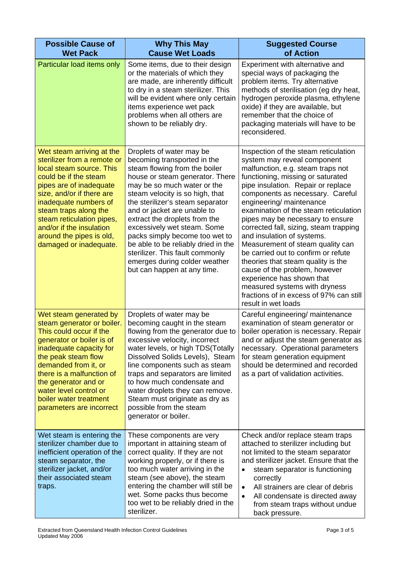| <b>Possible Cause of</b><br><b>Wet Pack</b>                                                                                                                                                                                                                                                                                            | <b>Why This May</b><br><b>Cause Wet Loads</b>                                                                                                                                                                                                                                                                                                                                                                                                                                                                | <b>Suggested Course</b><br>of Action                                                                                                                                                                                                                                                                                                                                                                                                                                                                                                                                                                                                                                                       |
|----------------------------------------------------------------------------------------------------------------------------------------------------------------------------------------------------------------------------------------------------------------------------------------------------------------------------------------|--------------------------------------------------------------------------------------------------------------------------------------------------------------------------------------------------------------------------------------------------------------------------------------------------------------------------------------------------------------------------------------------------------------------------------------------------------------------------------------------------------------|--------------------------------------------------------------------------------------------------------------------------------------------------------------------------------------------------------------------------------------------------------------------------------------------------------------------------------------------------------------------------------------------------------------------------------------------------------------------------------------------------------------------------------------------------------------------------------------------------------------------------------------------------------------------------------------------|
| Particular load items only                                                                                                                                                                                                                                                                                                             | Some items, due to their design<br>or the materials of which they<br>are made, are inherently difficult<br>to dry in a steam sterilizer. This<br>will be evident where only certain<br>items experience wet pack<br>problems when all others are<br>shown to be reliably dry.                                                                                                                                                                                                                                | Experiment with alternative and<br>special ways of packaging the<br>problem items. Try alternative<br>methods of sterilisation (eg dry heat,<br>hydrogen peroxide plasma, ethylene<br>oxide) if they are available, but<br>remember that the choice of<br>packaging materials will have to be<br>reconsidered.                                                                                                                                                                                                                                                                                                                                                                             |
| Wet steam arriving at the<br>sterilizer from a remote or<br>local steam source. This<br>could be if the steam<br>pipes are of inadequate<br>size, and/or if there are<br>inadequate numbers of<br>steam traps along the<br>steam reticulation pipes,<br>and/or if the insulation<br>around the pipes is old,<br>damaged or inadequate. | Droplets of water may be<br>becoming transported in the<br>steam flowing from the boiler<br>house or steam generator. There<br>may be so much water or the<br>steam velocity is so high, that<br>the sterilizer's steam separator<br>and or jacket are unable to<br>extract the droplets from the<br>excessively wet steam. Some<br>packs simply become too wet to<br>be able to be reliably dried in the<br>sterilizer. This fault commonly<br>emerges during colder weather<br>but can happen at any time. | Inspection of the steam reticulation<br>system may reveal component<br>malfunction, e.g. steam traps not<br>functioning, missing or saturated<br>pipe insulation. Repair or replace<br>components as necessary. Careful<br>engineering/ maintenance<br>examination of the steam reticulation<br>pipes may be necessary to ensure<br>corrected fall, sizing, steam trapping<br>and insulation of systems.<br>Measurement of steam quality can<br>be carried out to confirm or refute<br>theories that steam quality is the<br>cause of the problem, however<br>experience has shown that<br>measured systems with dryness<br>fractions of in excess of 97% can still<br>result in wet loads |
| Wet steam generated by<br>steam generator or boiler.<br>This could occur if the<br>generator or boiler is of<br>inadequate capacity for<br>the peak steam flow<br>demanded from it, or<br>there is a malfunction of<br>the generator and or<br>water level control or<br>boiler water treatment<br>parameters are incorrect            | Droplets of water may be<br>becoming caught in the steam<br>flowing from the generator due to<br>excessive velocity, incorrect<br>water levels, or high TDS(Totally<br>Dissolved Solids Levels), Steam<br>line components such as steam<br>traps and separators are limited<br>to how much condensate and<br>water droplets they can remove.<br>Steam must originate as dry as<br>possible from the steam<br>generator or boiler.                                                                            | Careful engineering/ maintenance<br>examination of steam generator or<br>boiler operation is necessary. Repair<br>and or adjust the steam generator as<br>necessary. Operational parameters<br>for steam generation equipment<br>should be determined and recorded<br>as a part of validation activities.                                                                                                                                                                                                                                                                                                                                                                                  |
| Wet steam is entering the<br>sterilizer chamber due to<br>inefficient operation of the<br>steam separator, the<br>sterilizer jacket, and/or<br>their associated steam<br>traps.                                                                                                                                                        | These components are very<br>important in attaining steam of<br>correct quality. If they are not<br>working properly, or if there is<br>too much water arriving in the<br>steam (see above), the steam<br>entering the chamber will still be<br>wet. Some packs thus become<br>too wet to be reliably dried in the<br>sterilizer.                                                                                                                                                                            | Check and/or replace steam traps<br>attached to sterilizer including but<br>not limited to the steam separator<br>and sterilizer jacket. Ensure that the<br>steam separator is functioning<br>correctly<br>All strainers are clear of debris<br>$\bullet$<br>All condensate is directed away<br>$\bullet$<br>from steam traps without undue<br>back pressure.                                                                                                                                                                                                                                                                                                                              |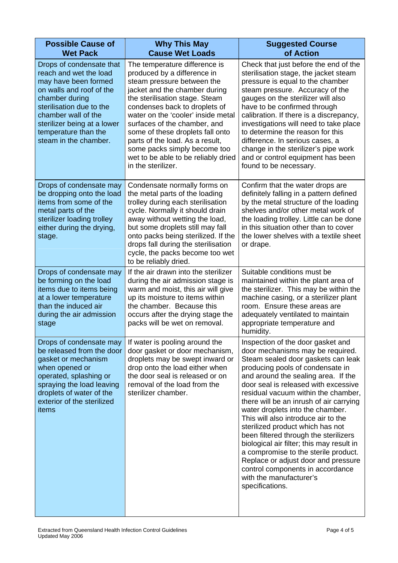| <b>Possible Cause of</b><br><b>Wet Pack</b>                                                                                                                                                                                                                 | <b>Why This May</b><br><b>Cause Wet Loads</b>                                                                                                                                                                                                                                                                                                                                                                                            | <b>Suggested Course</b><br>of Action                                                                                                                                                                                                                                                                                                                                                                                                                                                                                                                                                                                                                                                   |
|-------------------------------------------------------------------------------------------------------------------------------------------------------------------------------------------------------------------------------------------------------------|------------------------------------------------------------------------------------------------------------------------------------------------------------------------------------------------------------------------------------------------------------------------------------------------------------------------------------------------------------------------------------------------------------------------------------------|----------------------------------------------------------------------------------------------------------------------------------------------------------------------------------------------------------------------------------------------------------------------------------------------------------------------------------------------------------------------------------------------------------------------------------------------------------------------------------------------------------------------------------------------------------------------------------------------------------------------------------------------------------------------------------------|
| Drops of condensate that<br>reach and wet the load<br>may have been formed<br>on walls and roof of the<br>chamber during<br>sterilisation due to the<br>chamber wall of the<br>sterilizer being at a lower<br>temperature than the<br>steam in the chamber. | The temperature difference is<br>produced by a difference in<br>steam pressure between the<br>jacket and the chamber during<br>the sterilisation stage. Steam<br>condenses back to droplets of<br>water on the 'cooler' inside metal<br>surfaces of the chamber, and<br>some of these droplets fall onto<br>parts of the load. As a result,<br>some packs simply become too<br>wet to be able to be reliably dried<br>in the sterilizer. | Check that just before the end of the<br>sterilisation stage, the jacket steam<br>pressure is equal to the chamber<br>steam pressure. Accuracy of the<br>gauges on the sterilizer will also<br>have to be confirmed through<br>calibration. If there is a discrepancy,<br>investigations will need to take place<br>to determine the reason for this<br>difference. In serious cases, a<br>change in the sterilizer's pipe work<br>and or control equipment has been<br>found to be necessary.                                                                                                                                                                                         |
| Drops of condensate may<br>be dropping onto the load<br>items from some of the<br>metal parts of the<br>sterilizer loading trolley<br>either during the drying,<br>stage.                                                                                   | Condensate normally forms on<br>the metal parts of the loading<br>trolley during each sterilisation<br>cycle. Normally it should drain<br>away without wetting the load,<br>but some droplets still may fall<br>onto packs being sterilized. If the<br>drops fall during the sterilisation<br>cycle, the packs become too wet<br>to be reliably dried.                                                                                   | Confirm that the water drops are<br>definitely falling in a pattern defined<br>by the metal structure of the loading<br>shelves and/or other metal work of<br>the loading trolley. Little can be done<br>in this situation other than to cover<br>the lower shelves with a textile sheet<br>or drape.                                                                                                                                                                                                                                                                                                                                                                                  |
| Drops of condensate may<br>be forming on the load<br>items due to items being<br>at a lower temperature<br>than the induced air<br>during the air admission<br>stage                                                                                        | If the air drawn into the sterilizer<br>during the air admission stage is<br>warm and moist, this air will give<br>up its moisture to items within<br>the chamber. Because this<br>occurs after the drying stage the<br>packs will be wet on removal.                                                                                                                                                                                    | Suitable conditions must be<br>maintained within the plant area of<br>the sterilizer. This may be within the<br>machine casing, or a sterilizer plant<br>room. Ensure these areas are<br>adequately ventilated to maintain<br>appropriate temperature and<br>humidity.                                                                                                                                                                                                                                                                                                                                                                                                                 |
| Drops of condensate may<br>be released from the door<br>gasket or mechanism<br>when opened or<br>operated, splashing or<br>spraying the load leaving<br>droplets of water of the<br>exterior of the sterilized<br>items                                     | If water is pooling around the<br>door gasket or door mechanism,<br>droplets may be swept inward or<br>drop onto the load either when<br>the door seal is released or on<br>removal of the load from the<br>sterilizer chamber.                                                                                                                                                                                                          | Inspection of the door gasket and<br>door mechanisms may be required.<br>Steam sealed door gaskets can leak<br>producing pools of condensate in<br>and around the sealing area. If the<br>door seal is released with excessive<br>residual vacuum within the chamber,<br>there will be an inrush of air carrying<br>water droplets into the chamber.<br>This will also introduce air to the<br>sterilized product which has not<br>been filtered through the sterilizers<br>biological air filter; this may result in<br>a compromise to the sterile product.<br>Replace or adjust door and pressure<br>control components in accordance<br>with the manufacturer's<br>specifications. |